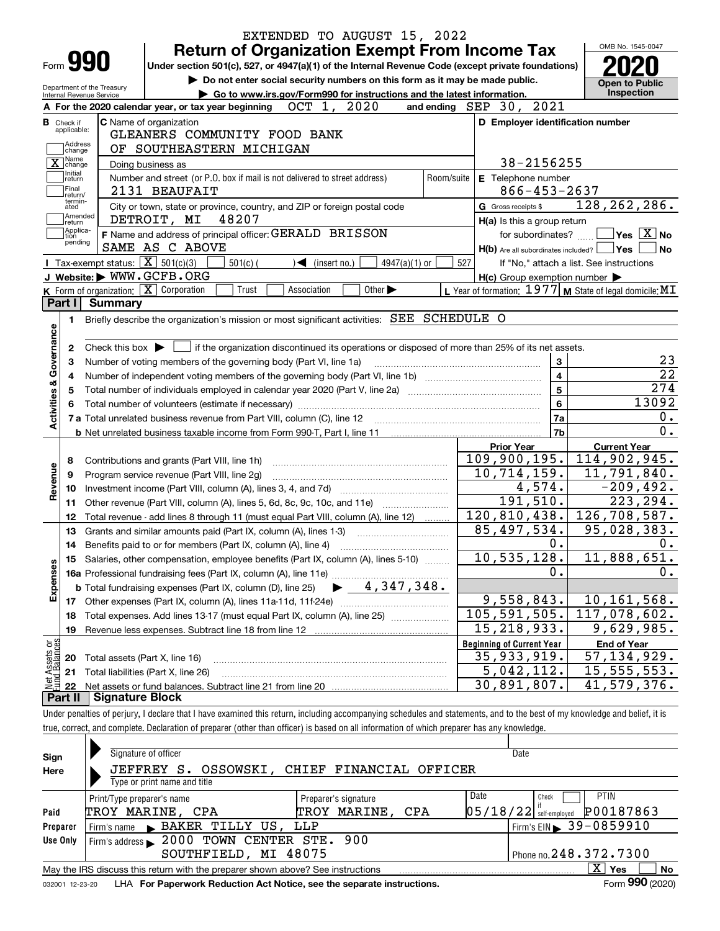|                              |                                                                                                                                                                 | EXTENDED TO AUGUST 15, 2022                                                                                                                                                |                         |                                                     |                                                         |  |
|------------------------------|-----------------------------------------------------------------------------------------------------------------------------------------------------------------|----------------------------------------------------------------------------------------------------------------------------------------------------------------------------|-------------------------|-----------------------------------------------------|---------------------------------------------------------|--|
|                              |                                                                                                                                                                 | <b>Return of Organization Exempt From Income Tax</b>                                                                                                                       |                         |                                                     | OMB No. 1545-0047                                       |  |
| Form 990                     |                                                                                                                                                                 | Under section 501(c), 527, or 4947(a)(1) of the Internal Revenue Code (except private foundations)                                                                         |                         |                                                     |                                                         |  |
| Department of the Treasury   |                                                                                                                                                                 | Do not enter social security numbers on this form as it may be made public.                                                                                                |                         |                                                     | <b>Open to Public</b>                                   |  |
| Internal Revenue Service     |                                                                                                                                                                 | Go to www.irs.gov/Form990 for instructions and the latest information.                                                                                                     |                         |                                                     | Inspection                                              |  |
|                              |                                                                                                                                                                 | OCT 1, 2020<br>A For the 2020 calendar year, or tax year beginning                                                                                                         | and ending SEP 30, 2021 |                                                     |                                                         |  |
| в<br>Check if<br>applicable: |                                                                                                                                                                 | C Name of organization                                                                                                                                                     |                         |                                                     | D Employer identification number                        |  |
| Address                      |                                                                                                                                                                 | GLEANERS COMMUNITY FOOD BANK                                                                                                                                               |                         |                                                     |                                                         |  |
| change<br>X Name             |                                                                                                                                                                 | OF SOUTHEASTERN MICHIGAN                                                                                                                                                   |                         |                                                     |                                                         |  |
| Initial                      | 38-2156255<br>Doing business as                                                                                                                                 |                                                                                                                                                                            |                         |                                                     |                                                         |  |
| Final                        | Number and street (or P.O. box if mail is not delivered to street address)<br>Room/suite<br>E Telephone number<br>return<br>2131 BEAUFAIT<br>$866 - 453 - 2637$ |                                                                                                                                                                            |                         |                                                     |                                                         |  |
| return/<br>termin-<br>ated   |                                                                                                                                                                 | City or town, state or province, country, and ZIP or foreign postal code                                                                                                   |                         | G Gross receipts \$                                 | 128, 262, 286.                                          |  |
| Amended                      |                                                                                                                                                                 | DETROIT, MI<br>48207                                                                                                                                                       |                         | H(a) Is this a group return                         |                                                         |  |
| return<br>Applica-           |                                                                                                                                                                 | F Name and address of principal officer: GERALD BRISSON                                                                                                                    |                         | for subordinates?                                   | $\sqrt{}$ Yes $\sqrt{}$ $\overline{\rm X}$ $\sqrt{}$ No |  |
| tion<br>pending              |                                                                                                                                                                 | SAME AS C ABOVE                                                                                                                                                            |                         | $H(b)$ Are all subordinates included?               | ∣Yes<br><b>No</b>                                       |  |
|                              | Tax-exempt status: $\overline{\mathbf{X}}$ 501(c)(3)                                                                                                            | $501(c)$ (<br>4947(a)(1) or<br>$\blacktriangleleft$ (insert no.)                                                                                                           | 527                     |                                                     | If "No," attach a list. See instructions                |  |
|                              |                                                                                                                                                                 | J Website: WWW.GCFB.ORG                                                                                                                                                    |                         | $H(c)$ Group exemption number $\blacktriangleright$ |                                                         |  |
|                              |                                                                                                                                                                 | K Form of organization: $\boxed{\mathbf{X}}$ Corporation<br>Trust<br>Association<br>Other $\blacktriangleright$                                                            |                         |                                                     | L Year of formation: 1977 M State of legal domicile: MI |  |
| Part I                       | <b>Summary</b>                                                                                                                                                  |                                                                                                                                                                            |                         |                                                     |                                                         |  |
| 1.                           |                                                                                                                                                                 | Briefly describe the organization's mission or most significant activities: SEE SCHEDULE O                                                                                 |                         |                                                     |                                                         |  |
|                              |                                                                                                                                                                 |                                                                                                                                                                            |                         |                                                     |                                                         |  |
| 2                            |                                                                                                                                                                 | Check this box $\blacktriangleright$ $\Box$ if the organization discontinued its operations or disposed of more than 25% of its net assets.                                |                         |                                                     |                                                         |  |
| З                            |                                                                                                                                                                 | Number of voting members of the governing body (Part VI, line 1a)                                                                                                          |                         | 3                                                   | 23                                                      |  |
|                              |                                                                                                                                                                 |                                                                                                                                                                            |                         | $\overline{\mathbf{4}}$                             | $\overline{22}$                                         |  |
|                              |                                                                                                                                                                 | Total number of individuals employed in calendar year 2020 (Part V, line 2a) manufacture of individuals employed in calendar year 2020 (Part V, line 2a)                   |                         | 5                                                   | $\sqrt{274}$                                            |  |
|                              |                                                                                                                                                                 |                                                                                                                                                                            |                         | 6                                                   | 13092                                                   |  |
| Activities & Governance      |                                                                                                                                                                 |                                                                                                                                                                            |                         | 7a                                                  | 0.                                                      |  |
|                              |                                                                                                                                                                 |                                                                                                                                                                            |                         | 7 <sub>b</sub>                                      | $\overline{0}$ .                                        |  |
|                              |                                                                                                                                                                 |                                                                                                                                                                            |                         | <b>Prior Year</b>                                   | <b>Current Year</b>                                     |  |
| 8                            |                                                                                                                                                                 | Contributions and grants (Part VIII, line 1h)                                                                                                                              |                         | 109,900,195.                                        | 114,902,945.                                            |  |
| 9                            |                                                                                                                                                                 | Program service revenue (Part VIII, line 2g)                                                                                                                               |                         | 10,714,159.                                         | 11,791,840.                                             |  |
| Revenue<br>10                |                                                                                                                                                                 |                                                                                                                                                                            |                         | 4,574.                                              | $-209, 492.$                                            |  |
| 11                           |                                                                                                                                                                 | Other revenue (Part VIII, column (A), lines 5, 6d, 8c, 9c, 10c, and 11e)                                                                                                   |                         | 191,510.                                            | $\overline{223}$ , 294.                                 |  |
| 12                           |                                                                                                                                                                 | Total revenue - add lines 8 through 11 (must equal Part VIII, column (A), line 12)                                                                                         |                         | 120,810,438.                                        | 126, 708, 587.                                          |  |
| 13                           |                                                                                                                                                                 | Grants and similar amounts paid (Part IX, column (A), lines 1-3)                                                                                                           |                         | 85,497,534.                                         | $\overline{95,028,383}$ .                               |  |
| 14                           |                                                                                                                                                                 | Benefits paid to or for members (Part IX, column (A), line 4)                                                                                                              |                         | 0.                                                  | 0.                                                      |  |
|                              |                                                                                                                                                                 | 15 Salaries, other compensation, employee benefits (Part IX, column (A), lines 5-10)                                                                                       |                         | 10, 535, 128.                                       | 11,888,651.                                             |  |
|                              |                                                                                                                                                                 |                                                                                                                                                                            |                         | Ο.                                                  | 0.                                                      |  |
| Expenses                     |                                                                                                                                                                 |                                                                                                                                                                            |                         |                                                     |                                                         |  |
|                              |                                                                                                                                                                 |                                                                                                                                                                            |                         | 9,558,843.                                          | 10, 161, 568.                                           |  |
| 18                           |                                                                                                                                                                 | Total expenses. Add lines 13-17 (must equal Part IX, column (A), line 25) [                                                                                                |                         | $\overline{105}$ , 591, 505.                        | 117,078,602.                                            |  |
| 19                           |                                                                                                                                                                 | Revenue less expenses. Subtract line 18 from line 12                                                                                                                       |                         | 15, 218, 933.                                       | 9,629,985.                                              |  |
| : Assets or<br>d Balances    |                                                                                                                                                                 |                                                                                                                                                                            |                         | <b>Beginning of Current Year</b>                    | <b>End of Year</b>                                      |  |
| 20                           |                                                                                                                                                                 | Total assets (Part X, line 16)                                                                                                                                             |                         | 35,933,919.                                         | 57,134,929.                                             |  |
| 21<br>鲳                      |                                                                                                                                                                 | Total liabilities (Part X, line 26)                                                                                                                                        |                         | 5,042,112.                                          | $\overline{15}$ , 555, 553.                             |  |
| 22                           |                                                                                                                                                                 |                                                                                                                                                                            |                         | 30,891,807.                                         | 41,579,376.                                             |  |
| Part II                      | <b>Signature Block</b>                                                                                                                                          |                                                                                                                                                                            |                         |                                                     |                                                         |  |
|                              |                                                                                                                                                                 | Under penalties of perjury, I declare that I have examined this return, including accompanying schedules and statements, and to the best of my knowledge and belief, it is |                         |                                                     |                                                         |  |
|                              |                                                                                                                                                                 | true, correct, and complete. Declaration of preparer (other than officer) is based on all information of which preparer has any knowledge.                                 |                         |                                                     |                                                         |  |
|                              |                                                                                                                                                                 |                                                                                                                                                                            |                         |                                                     |                                                         |  |

| Sign     | Signature of officer                                                                                     |                                   | Date                                         |  |  |  |  |  |
|----------|----------------------------------------------------------------------------------------------------------|-----------------------------------|----------------------------------------------|--|--|--|--|--|
| Here     | JEFFREY S.                                                                                               | OSSOWSKI, CHIEF FINANCIAL OFFICER |                                              |  |  |  |  |  |
|          | Type or print name and title                                                                             |                                   |                                              |  |  |  |  |  |
|          | Print/Type preparer's name                                                                               | Preparer's signature              | Date<br><b>PTIN</b><br>Check                 |  |  |  |  |  |
| Paid     | TROY MARINE, CPA                                                                                         | TROY MARINE,<br>CPA               | P00187863<br>$05/18/22$ self-employed        |  |  |  |  |  |
| Preparer | Firm's name BAKER TILLY US, LLP                                                                          |                                   | $\frac{1}{2}$ Firm's EIN $\geq 39 - 0859910$ |  |  |  |  |  |
| Use Only | Firm's address 2000 TOWN CENTER STE. 900                                                                 |                                   |                                              |  |  |  |  |  |
|          | SOUTHFIELD, MI 48075                                                                                     |                                   | Phone no. 248.372.7300                       |  |  |  |  |  |
|          | x<br><b>No</b><br>May the IRS discuss this return with the preparer shown above? See instructions<br>Yes |                                   |                                              |  |  |  |  |  |
|          |                                                                                                          |                                   | $\cdots$                                     |  |  |  |  |  |

032001 12-23-20 LHA **For Paperwork Reduction Act Notice, see the separate instructions. Form 990 (2020)** 

**990**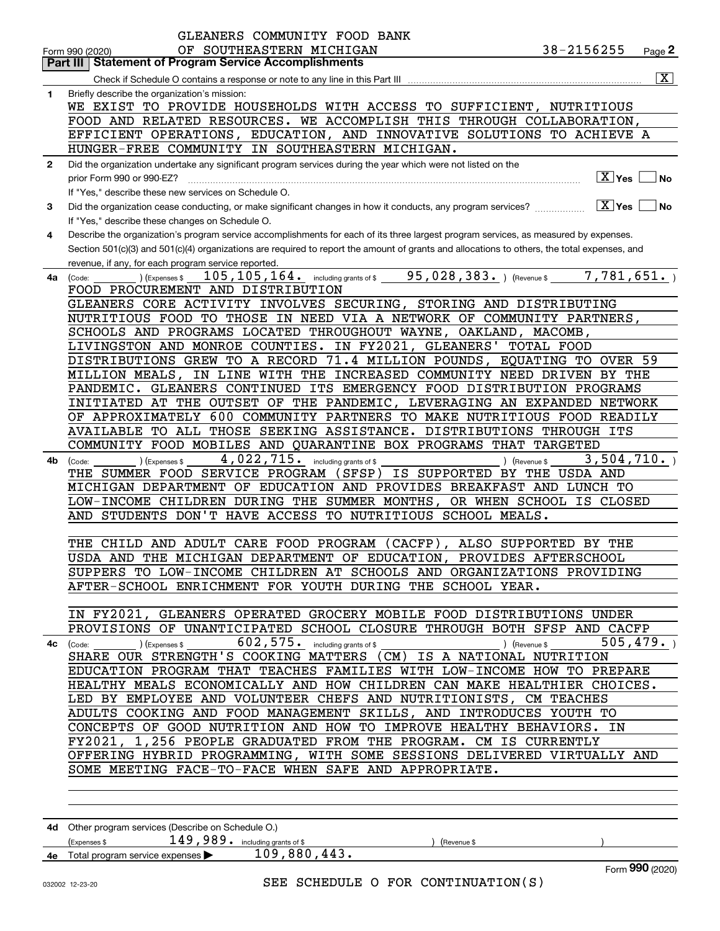|              | GLEANERS COMMUNITY FOOD BANK                                                                                                                               |
|--------------|------------------------------------------------------------------------------------------------------------------------------------------------------------|
|              | 38-2156255<br>OF SOUTHEASTERN MICHIGAN<br>$Page$ 2<br>Form 990 (2020)                                                                                      |
|              | <b>Statement of Program Service Accomplishments</b><br>Part III                                                                                            |
|              | $\boxed{\text{X}}$                                                                                                                                         |
| 1            | Briefly describe the organization's mission:                                                                                                               |
|              | WE EXIST TO PROVIDE HOUSEHOLDS WITH ACCESS TO SUFFICIENT, NUTRITIOUS                                                                                       |
|              | FOOD AND RELATED RESOURCES. WE ACCOMPLISH THIS THROUGH COLLABORATION,                                                                                      |
|              | EFFICIENT OPERATIONS, EDUCATION, AND INNOVATIVE SOLUTIONS TO ACHIEVE A<br>HUNGER-FREE COMMUNITY IN SOUTHEASTERN MICHIGAN.                                  |
| $\mathbf{2}$ | Did the organization undertake any significant program services during the year which were not listed on the                                               |
|              | ∣X ∣Yes ∣<br>∣No<br>prior Form 990 or 990-EZ?                                                                                                              |
|              | If "Yes," describe these new services on Schedule O.                                                                                                       |
| 3            | $\boxed{\text{X}}$ Yes $\boxed{\ }$<br>Did the organization cease conducting, or make significant changes in how it conducts, any program services?<br>∣No |
|              | If "Yes," describe these changes on Schedule O.                                                                                                            |
| 4            | Describe the organization's program service accomplishments for each of its three largest program services, as measured by expenses.                       |
|              | Section 501(c)(3) and 501(c)(4) organizations are required to report the amount of grants and allocations to others, the total expenses, and               |
|              | revenue, if any, for each program service reported.                                                                                                        |
| 4a           | $105, 105, 164$ including grants of \$95,028,383. ) (Revenue \$<br>7,781,651.<br>) (Expenses \$<br>(Code:                                                  |
|              | FOOD PROCUREMENT AND DISTRIBUTION                                                                                                                          |
|              | GLEANERS CORE ACTIVITY INVOLVES SECURING, STORING AND DISTRIBUTING                                                                                         |
|              | NUTRITIOUS FOOD TO THOSE IN NEED VIA A NETWORK OF COMMUNITY PARTNERS,                                                                                      |
|              | SCHOOLS AND PROGRAMS LOCATED THROUGHOUT WAYNE, OAKLAND, MACOMB,<br>LIVINGSTON AND MONROE COUNTIES. IN FY2021, GLEANERS' TOTAL FOOD                         |
|              | DISTRIBUTIONS GREW TO A RECORD 71.4 MILLION POUNDS, EQUATING TO OVER 59                                                                                    |
|              | MILLION MEALS, IN LINE WITH THE INCREASED COMMUNITY NEED DRIVEN BY THE                                                                                     |
|              | PANDEMIC. GLEANERS CONTINUED ITS EMERGENCY FOOD DISTRIBUTION PROGRAMS                                                                                      |
|              | INITIATED AT THE OUTSET OF THE PANDEMIC, LEVERAGING AN EXPANDED NETWORK                                                                                    |
|              | OF APPROXIMATELY 600 COMMUNITY PARTNERS TO MAKE NUTRITIOUS FOOD READILY                                                                                    |
|              | AVAILABLE TO ALL THOSE SEEKING ASSISTANCE. DISTRIBUTIONS THROUGH ITS                                                                                       |
|              | COMMUNITY FOOD MOBILES AND QUARANTINE BOX PROGRAMS THAT TARGETED                                                                                           |
| 4b           | 4,022,715. including grants of \$<br>3,504,710.<br>(Expenses \$<br>) (Revenue \$<br>(Code:                                                                 |
|              | THE SUMMER FOOD SERVICE PROGRAM (SFSP) IS SUPPORTED BY THE USDA AND                                                                                        |
|              | MICHIGAN DEPARTMENT OF EDUCATION AND PROVIDES BREAKFAST AND LUNCH TO                                                                                       |
|              | LOW-INCOME CHILDREN DURING THE SUMMER MONTHS, OR WHEN SCHOOL IS CLOSED<br>AND STUDENTS DON'T HAVE ACCESS TO NUTRITIOUS SCHOOL MEALS.                       |
|              |                                                                                                                                                            |
|              | THE CHILD AND ADULT CARE FOOD PROGRAM (CACFP),<br>ALSO SUPPORTED BY THE                                                                                    |
|              | USDA AND THE MICHIGAN DEPARTMENT OF EDUCATION, PROVIDES AFTERSCHOOL                                                                                        |
|              | SUPPERS TO LOW-INCOME CHILDREN AT SCHOOLS AND ORGANIZATIONS PROVIDING                                                                                      |
|              | AFTER-SCHOOL ENRICHMENT FOR YOUTH DURING THE SCHOOL YEAR.                                                                                                  |
|              |                                                                                                                                                            |
|              | IN FY2021, GLEANERS OPERATED GROCERY MOBILE FOOD DISTRIBUTIONS UNDER                                                                                       |
|              | PROVISIONS OF UNANTICIPATED SCHOOL CLOSURE THROUGH BOTH SFSP AND CACFP                                                                                     |
|              | 602,575. including grants of \$<br>505, 479.<br>$4c$ (Code: $\_\_\_\_\_\_\_\_\$ ) (Expenses \$<br>) (Revenue \$                                            |
|              | SHARE OUR STRENGTH'S COOKING MATTERS (CM) IS A NATIONAL NUTRITION                                                                                          |
|              | EDUCATION PROGRAM THAT TEACHES FAMILIES WITH LOW-INCOME HOW TO PREPARE                                                                                     |
|              | HEALTHY MEALS ECONOMICALLY AND HOW CHILDREN CAN MAKE HEALTHIER CHOICES.<br>LED BY EMPLOYEE AND VOLUNTEER CHEFS AND NUTRITIONISTS, CM TEACHES               |
|              | ADULTS COOKING AND FOOD MANAGEMENT SKILLS, AND INTRODUCES YOUTH TO                                                                                         |
|              | CONCEPTS OF GOOD NUTRITION AND HOW TO IMPROVE HEALTHY BEHAVIORS. IN                                                                                        |
|              | FY2021, 1,256 PEOPLE GRADUATED FROM THE PROGRAM. CM IS CURRENTLY                                                                                           |
|              | OFFERING HYBRID PROGRAMMING, WITH SOME SESSIONS DELIVERED VIRTUALLY AND                                                                                    |
|              | SOME MEETING FACE-TO-FACE WHEN SAFE AND APPROPRIATE.                                                                                                       |
|              |                                                                                                                                                            |
|              |                                                                                                                                                            |
|              |                                                                                                                                                            |
|              | 4d Other program services (Describe on Schedule O.)                                                                                                        |
|              | $149$ , $989$ or including grants of \$<br>(Expenses \$<br>(Revenue \$<br>4e Total program service expenses > 109,880,443.                                 |
|              |                                                                                                                                                            |

**4e** Total program service expenses |

Form (2020) **990**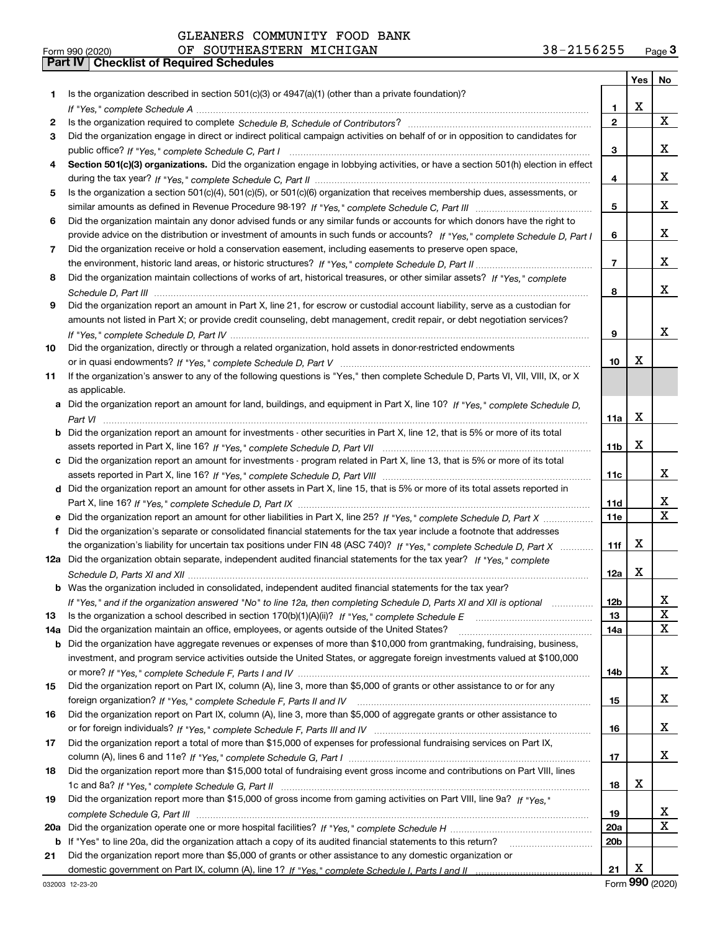| GLEANERS COMMUNITY FOOD BANK |  |
|------------------------------|--|
|                              |  |

|     |                                                                                                                                                                                                                                                       |                 | Yes | No |
|-----|-------------------------------------------------------------------------------------------------------------------------------------------------------------------------------------------------------------------------------------------------------|-----------------|-----|----|
| 1   | Is the organization described in section $501(c)(3)$ or $4947(a)(1)$ (other than a private foundation)?                                                                                                                                               |                 |     |    |
|     |                                                                                                                                                                                                                                                       | 1               | X   |    |
| 2   |                                                                                                                                                                                                                                                       | $\mathbf{2}$    |     | X. |
| З   | Did the organization engage in direct or indirect political campaign activities on behalf of or in opposition to candidates for                                                                                                                       |                 |     |    |
|     |                                                                                                                                                                                                                                                       | 3               |     | x  |
| 4   | Section 501(c)(3) organizations. Did the organization engage in lobbying activities, or have a section 501(h) election in effect                                                                                                                      |                 |     |    |
|     |                                                                                                                                                                                                                                                       | 4               |     | x  |
| 5   | Is the organization a section 501(c)(4), 501(c)(5), or 501(c)(6) organization that receives membership dues, assessments, or                                                                                                                          |                 |     |    |
|     |                                                                                                                                                                                                                                                       | 5               |     | x  |
| 6   | Did the organization maintain any donor advised funds or any similar funds or accounts for which donors have the right to                                                                                                                             |                 |     |    |
|     | provide advice on the distribution or investment of amounts in such funds or accounts? If "Yes," complete Schedule D, Part I                                                                                                                          | 6               |     | x  |
| 7   | Did the organization receive or hold a conservation easement, including easements to preserve open space,                                                                                                                                             |                 |     |    |
|     |                                                                                                                                                                                                                                                       | 7               |     | x  |
| 8   | Did the organization maintain collections of works of art, historical treasures, or other similar assets? If "Yes," complete                                                                                                                          |                 |     |    |
|     |                                                                                                                                                                                                                                                       | 8               |     | x  |
| 9   | Did the organization report an amount in Part X, line 21, for escrow or custodial account liability, serve as a custodian for                                                                                                                         |                 |     |    |
|     | amounts not listed in Part X; or provide credit counseling, debt management, credit repair, or debt negotiation services?                                                                                                                             |                 |     |    |
|     |                                                                                                                                                                                                                                                       | 9               |     | x  |
| 10  | Did the organization, directly or through a related organization, hold assets in donor-restricted endowments                                                                                                                                          |                 | X   |    |
|     |                                                                                                                                                                                                                                                       | 10              |     |    |
| 11  | If the organization's answer to any of the following questions is "Yes," then complete Schedule D, Parts VI, VII, VIII, IX, or X                                                                                                                      |                 |     |    |
|     | as applicable.                                                                                                                                                                                                                                        |                 |     |    |
|     | a Did the organization report an amount for land, buildings, and equipment in Part X, line 10? If "Yes," complete Schedule D,                                                                                                                         |                 |     |    |
|     |                                                                                                                                                                                                                                                       | 11a             | X   |    |
|     | <b>b</b> Did the organization report an amount for investments - other securities in Part X, line 12, that is 5% or more of its total                                                                                                                 |                 | X   |    |
|     |                                                                                                                                                                                                                                                       | 11 <sub>b</sub> |     |    |
|     | c Did the organization report an amount for investments - program related in Part X, line 13, that is 5% or more of its total                                                                                                                         |                 |     | x  |
|     |                                                                                                                                                                                                                                                       | 11c             |     |    |
|     | d Did the organization report an amount for other assets in Part X, line 15, that is 5% or more of its total assets reported in                                                                                                                       |                 |     | x  |
|     |                                                                                                                                                                                                                                                       | 11d             |     | X  |
| е   | Did the organization report an amount for other liabilities in Part X, line 25? If "Yes," complete Schedule D, Part X                                                                                                                                 | <b>11e</b>      |     |    |
|     | f Did the organization's separate or consolidated financial statements for the tax year include a footnote that addresses                                                                                                                             |                 | X   |    |
|     | the organization's liability for uncertain tax positions under FIN 48 (ASC 740)? If "Yes," complete Schedule D, Part X<br>12a Did the organization obtain separate, independent audited financial statements for the tax year? If "Yes," complete     | 11f             |     |    |
|     |                                                                                                                                                                                                                                                       |                 | X   |    |
|     |                                                                                                                                                                                                                                                       | 12a             |     |    |
|     | <b>b</b> Was the organization included in consolidated, independent audited financial statements for the tax year?                                                                                                                                    | 12 <sub>b</sub> |     | X  |
|     | If "Yes," and if the organization answered "No" to line 12a, then completing Schedule D, Parts XI and XII is optional                                                                                                                                 |                 |     | X  |
| 13  |                                                                                                                                                                                                                                                       | 13              |     | X  |
| 14a | Did the organization maintain an office, employees, or agents outside of the United States?                                                                                                                                                           | 14a             |     |    |
| b   | Did the organization have aggregate revenues or expenses of more than \$10,000 from grantmaking, fundraising, business,<br>investment, and program service activities outside the United States, or aggregate foreign investments valued at \$100,000 |                 |     |    |
|     |                                                                                                                                                                                                                                                       | <b>14b</b>      |     | x  |
| 15  | Did the organization report on Part IX, column (A), line 3, more than \$5,000 of grants or other assistance to or for any                                                                                                                             |                 |     |    |
|     |                                                                                                                                                                                                                                                       | 15              |     | x  |
| 16  | Did the organization report on Part IX, column (A), line 3, more than \$5,000 of aggregate grants or other assistance to                                                                                                                              |                 |     |    |
|     |                                                                                                                                                                                                                                                       | 16              |     | x  |
| 17  | Did the organization report a total of more than \$15,000 of expenses for professional fundraising services on Part IX,                                                                                                                               |                 |     |    |
|     |                                                                                                                                                                                                                                                       | 17              |     | x  |
| 18  | Did the organization report more than \$15,000 total of fundraising event gross income and contributions on Part VIII, lines                                                                                                                          |                 |     |    |
|     |                                                                                                                                                                                                                                                       | 18              | х   |    |
| 19  | Did the organization report more than \$15,000 of gross income from gaming activities on Part VIII, line 9a? If "Yes."                                                                                                                                |                 |     |    |
|     |                                                                                                                                                                                                                                                       | 19              |     | x  |
| 20a |                                                                                                                                                                                                                                                       | <b>20a</b>      |     | X  |
| b   | If "Yes" to line 20a, did the organization attach a copy of its audited financial statements to this return?                                                                                                                                          | 20 <sub>b</sub> |     |    |
| 21  | Did the organization report more than \$5,000 of grants or other assistance to any domestic organization or                                                                                                                                           |                 |     |    |
|     |                                                                                                                                                                                                                                                       | 21              | X   |    |
|     |                                                                                                                                                                                                                                                       |                 |     |    |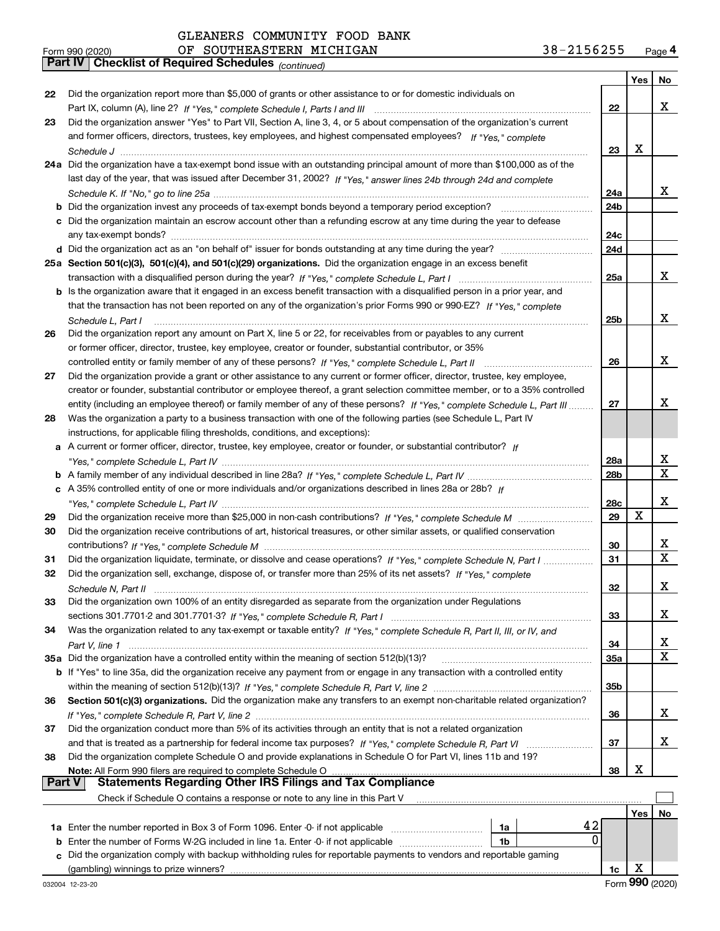| GLEANERS COMMUNITY FOOD BANK |  |  |  |
|------------------------------|--|--|--|
|------------------------------|--|--|--|

*(continued)*

| Form 990 (2020) | OF SOUTHEASTERN MICHIGAN                                     | 38-2156255 | Page 4 |
|-----------------|--------------------------------------------------------------|------------|--------|
|                 | <b>Part IV   Checklist of Required Schedules</b> (continued) |            |        |

| Did the organization report more than \$5,000 of grants or other assistance to or for domestic individuals on<br>22<br>х<br>22<br>Did the organization answer "Yes" to Part VII, Section A, line 3, 4, or 5 about compensation of the organization's current<br>23<br>and former officers, directors, trustees, key employees, and highest compensated employees? If "Yes," complete<br>X<br>23<br>24a Did the organization have a tax-exempt bond issue with an outstanding principal amount of more than \$100,000 as of the<br>last day of the year, that was issued after December 31, 2002? If "Yes," answer lines 24b through 24d and complete<br>x<br>24a<br>24b<br><b>b</b> Did the organization invest any proceeds of tax-exempt bonds beyond a temporary period exception?<br>c Did the organization maintain an escrow account other than a refunding escrow at any time during the year to defease<br>24с<br>any tax-exempt bonds?<br>24d<br>25a Section 501(c)(3), 501(c)(4), and 501(c)(29) organizations. Did the organization engage in an excess benefit<br>X<br>25a<br>b Is the organization aware that it engaged in an excess benefit transaction with a disqualified person in a prior year, and<br>that the transaction has not been reported on any of the organization's prior Forms 990 or 990-EZ? If "Yes," complete<br>X<br>25b<br>Schedule L. Part I<br>Did the organization report any amount on Part X, line 5 or 22, for receivables from or payables to any current<br>26<br>or former officer, director, trustee, key employee, creator or founder, substantial contributor, or 35%<br>х<br>26<br>controlled entity or family member of any of these persons? If "Yes," complete Schedule L, Part II<br>Did the organization provide a grant or other assistance to any current or former officer, director, trustee, key employee,<br>27<br>creator or founder, substantial contributor or employee thereof, a grant selection committee member, or to a 35% controlled<br>X<br>27<br>entity (including an employee thereof) or family member of any of these persons? If "Yes." complete Schedule L. Part III<br>Was the organization a party to a business transaction with one of the following parties (see Schedule L, Part IV<br>28<br>instructions, for applicable filing thresholds, conditions, and exceptions):<br>a A current or former officer, director, trustee, key employee, creator or founder, or substantial contributor? If<br>X<br>28a<br>$\overline{\mathbf{X}}$<br>28b<br>c A 35% controlled entity of one or more individuals and/or organizations described in lines 28a or 28b? If<br>X<br>28c<br>X<br>29<br>29<br>Did the organization receive contributions of art, historical treasures, or other similar assets, or qualified conservation<br>30<br>X<br>30<br>$\overline{\mathbf{X}}$<br>Did the organization liquidate, terminate, or dissolve and cease operations? If "Yes," complete Schedule N, Part I<br>31<br>31<br>Did the organization sell, exchange, dispose of, or transfer more than 25% of its net assets? If "Yes," complete<br>32<br>x<br>32<br>Did the organization own 100% of an entity disregarded as separate from the organization under Regulations<br>х<br>33<br>Was the organization related to any tax-exempt or taxable entity? If "Yes," complete Schedule R, Part II, III, or IV, and<br>34<br>х<br>34<br>$\mathbf x$<br>35a Did the organization have a controlled entity within the meaning of section 512(b)(13)?<br>35a<br>b If "Yes" to line 35a, did the organization receive any payment from or engage in any transaction with a controlled entity<br>35b<br>Section 501(c)(3) organizations. Did the organization make any transfers to an exempt non-charitable related organization?<br>36<br>x<br>36<br>Did the organization conduct more than 5% of its activities through an entity that is not a related organization<br>37<br>x<br>37<br>Did the organization complete Schedule O and provide explanations in Schedule O for Part VI, lines 11b and 19?<br>38<br>X<br>38<br><b>Statements Regarding Other IRS Filings and Tax Compliance</b><br><b>Part V</b><br>Check if Schedule O contains a response or note to any line in this Part V<br>No<br>Yes<br>42<br>1a Enter the number reported in Box 3 of Form 1096. Enter -0- if not applicable<br>1a<br>0<br><b>b</b> Enter the number of Forms W-2G included in line 1a. Enter -0- if not applicable <i>manumumumum</i><br>1b<br>c Did the organization comply with backup withholding rules for reportable payments to vendors and reportable gaming<br>х<br>1c |  | Yes   No |  |
|-------------------------------------------------------------------------------------------------------------------------------------------------------------------------------------------------------------------------------------------------------------------------------------------------------------------------------------------------------------------------------------------------------------------------------------------------------------------------------------------------------------------------------------------------------------------------------------------------------------------------------------------------------------------------------------------------------------------------------------------------------------------------------------------------------------------------------------------------------------------------------------------------------------------------------------------------------------------------------------------------------------------------------------------------------------------------------------------------------------------------------------------------------------------------------------------------------------------------------------------------------------------------------------------------------------------------------------------------------------------------------------------------------------------------------------------------------------------------------------------------------------------------------------------------------------------------------------------------------------------------------------------------------------------------------------------------------------------------------------------------------------------------------------------------------------------------------------------------------------------------------------------------------------------------------------------------------------------------------------------------------------------------------------------------------------------------------------------------------------------------------------------------------------------------------------------------------------------------------------------------------------------------------------------------------------------------------------------------------------------------------------------------------------------------------------------------------------------------------------------------------------------------------------------------------------------------------------------------------------------------------------------------------------------------------------------------------------------------------------------------------------------------------------------------------------------------------------------------------------------------------------------------------------------------------------------------------------------------------------------------------------------------------------------------------------------------------------------------------------------------------------------------------------------------------------------------------------------------------------------------------------------------------------------------------------------------------------------------------------------------------------------------------------------------------------------------------------------------------------------------------------------------------------------------------------------------------------------------------------------------------------------------------------------------------------------------------------------------------------------------------------------------------------------------------------------------------------------------------------------------------------------------------------------------------------------------------------------------------------------------------------------------------------------------------------------------------------------------------------------------------------------------------------------------------------------------------------------------------------------------------------------------------------------------------------------------------------------------------------------------------------------------------------------------------------------------------------------------------------------------------------------------------------------------------------------------------------------------------------------------------------|--|----------|--|
|                                                                                                                                                                                                                                                                                                                                                                                                                                                                                                                                                                                                                                                                                                                                                                                                                                                                                                                                                                                                                                                                                                                                                                                                                                                                                                                                                                                                                                                                                                                                                                                                                                                                                                                                                                                                                                                                                                                                                                                                                                                                                                                                                                                                                                                                                                                                                                                                                                                                                                                                                                                                                                                                                                                                                                                                                                                                                                                                                                                                                                                                                                                                                                                                                                                                                                                                                                                                                                                                                                                                                                                                                                                                                                                                                                                                                                                                                                                                                                                                                                                                                                                                                                                                                                                                                                                                                                                                                                                                                                                                                                                                                                     |  |          |  |
|                                                                                                                                                                                                                                                                                                                                                                                                                                                                                                                                                                                                                                                                                                                                                                                                                                                                                                                                                                                                                                                                                                                                                                                                                                                                                                                                                                                                                                                                                                                                                                                                                                                                                                                                                                                                                                                                                                                                                                                                                                                                                                                                                                                                                                                                                                                                                                                                                                                                                                                                                                                                                                                                                                                                                                                                                                                                                                                                                                                                                                                                                                                                                                                                                                                                                                                                                                                                                                                                                                                                                                                                                                                                                                                                                                                                                                                                                                                                                                                                                                                                                                                                                                                                                                                                                                                                                                                                                                                                                                                                                                                                                                     |  |          |  |
|                                                                                                                                                                                                                                                                                                                                                                                                                                                                                                                                                                                                                                                                                                                                                                                                                                                                                                                                                                                                                                                                                                                                                                                                                                                                                                                                                                                                                                                                                                                                                                                                                                                                                                                                                                                                                                                                                                                                                                                                                                                                                                                                                                                                                                                                                                                                                                                                                                                                                                                                                                                                                                                                                                                                                                                                                                                                                                                                                                                                                                                                                                                                                                                                                                                                                                                                                                                                                                                                                                                                                                                                                                                                                                                                                                                                                                                                                                                                                                                                                                                                                                                                                                                                                                                                                                                                                                                                                                                                                                                                                                                                                                     |  |          |  |
|                                                                                                                                                                                                                                                                                                                                                                                                                                                                                                                                                                                                                                                                                                                                                                                                                                                                                                                                                                                                                                                                                                                                                                                                                                                                                                                                                                                                                                                                                                                                                                                                                                                                                                                                                                                                                                                                                                                                                                                                                                                                                                                                                                                                                                                                                                                                                                                                                                                                                                                                                                                                                                                                                                                                                                                                                                                                                                                                                                                                                                                                                                                                                                                                                                                                                                                                                                                                                                                                                                                                                                                                                                                                                                                                                                                                                                                                                                                                                                                                                                                                                                                                                                                                                                                                                                                                                                                                                                                                                                                                                                                                                                     |  |          |  |
|                                                                                                                                                                                                                                                                                                                                                                                                                                                                                                                                                                                                                                                                                                                                                                                                                                                                                                                                                                                                                                                                                                                                                                                                                                                                                                                                                                                                                                                                                                                                                                                                                                                                                                                                                                                                                                                                                                                                                                                                                                                                                                                                                                                                                                                                                                                                                                                                                                                                                                                                                                                                                                                                                                                                                                                                                                                                                                                                                                                                                                                                                                                                                                                                                                                                                                                                                                                                                                                                                                                                                                                                                                                                                                                                                                                                                                                                                                                                                                                                                                                                                                                                                                                                                                                                                                                                                                                                                                                                                                                                                                                                                                     |  |          |  |
|                                                                                                                                                                                                                                                                                                                                                                                                                                                                                                                                                                                                                                                                                                                                                                                                                                                                                                                                                                                                                                                                                                                                                                                                                                                                                                                                                                                                                                                                                                                                                                                                                                                                                                                                                                                                                                                                                                                                                                                                                                                                                                                                                                                                                                                                                                                                                                                                                                                                                                                                                                                                                                                                                                                                                                                                                                                                                                                                                                                                                                                                                                                                                                                                                                                                                                                                                                                                                                                                                                                                                                                                                                                                                                                                                                                                                                                                                                                                                                                                                                                                                                                                                                                                                                                                                                                                                                                                                                                                                                                                                                                                                                     |  |          |  |
|                                                                                                                                                                                                                                                                                                                                                                                                                                                                                                                                                                                                                                                                                                                                                                                                                                                                                                                                                                                                                                                                                                                                                                                                                                                                                                                                                                                                                                                                                                                                                                                                                                                                                                                                                                                                                                                                                                                                                                                                                                                                                                                                                                                                                                                                                                                                                                                                                                                                                                                                                                                                                                                                                                                                                                                                                                                                                                                                                                                                                                                                                                                                                                                                                                                                                                                                                                                                                                                                                                                                                                                                                                                                                                                                                                                                                                                                                                                                                                                                                                                                                                                                                                                                                                                                                                                                                                                                                                                                                                                                                                                                                                     |  |          |  |
|                                                                                                                                                                                                                                                                                                                                                                                                                                                                                                                                                                                                                                                                                                                                                                                                                                                                                                                                                                                                                                                                                                                                                                                                                                                                                                                                                                                                                                                                                                                                                                                                                                                                                                                                                                                                                                                                                                                                                                                                                                                                                                                                                                                                                                                                                                                                                                                                                                                                                                                                                                                                                                                                                                                                                                                                                                                                                                                                                                                                                                                                                                                                                                                                                                                                                                                                                                                                                                                                                                                                                                                                                                                                                                                                                                                                                                                                                                                                                                                                                                                                                                                                                                                                                                                                                                                                                                                                                                                                                                                                                                                                                                     |  |          |  |
|                                                                                                                                                                                                                                                                                                                                                                                                                                                                                                                                                                                                                                                                                                                                                                                                                                                                                                                                                                                                                                                                                                                                                                                                                                                                                                                                                                                                                                                                                                                                                                                                                                                                                                                                                                                                                                                                                                                                                                                                                                                                                                                                                                                                                                                                                                                                                                                                                                                                                                                                                                                                                                                                                                                                                                                                                                                                                                                                                                                                                                                                                                                                                                                                                                                                                                                                                                                                                                                                                                                                                                                                                                                                                                                                                                                                                                                                                                                                                                                                                                                                                                                                                                                                                                                                                                                                                                                                                                                                                                                                                                                                                                     |  |          |  |
|                                                                                                                                                                                                                                                                                                                                                                                                                                                                                                                                                                                                                                                                                                                                                                                                                                                                                                                                                                                                                                                                                                                                                                                                                                                                                                                                                                                                                                                                                                                                                                                                                                                                                                                                                                                                                                                                                                                                                                                                                                                                                                                                                                                                                                                                                                                                                                                                                                                                                                                                                                                                                                                                                                                                                                                                                                                                                                                                                                                                                                                                                                                                                                                                                                                                                                                                                                                                                                                                                                                                                                                                                                                                                                                                                                                                                                                                                                                                                                                                                                                                                                                                                                                                                                                                                                                                                                                                                                                                                                                                                                                                                                     |  |          |  |
|                                                                                                                                                                                                                                                                                                                                                                                                                                                                                                                                                                                                                                                                                                                                                                                                                                                                                                                                                                                                                                                                                                                                                                                                                                                                                                                                                                                                                                                                                                                                                                                                                                                                                                                                                                                                                                                                                                                                                                                                                                                                                                                                                                                                                                                                                                                                                                                                                                                                                                                                                                                                                                                                                                                                                                                                                                                                                                                                                                                                                                                                                                                                                                                                                                                                                                                                                                                                                                                                                                                                                                                                                                                                                                                                                                                                                                                                                                                                                                                                                                                                                                                                                                                                                                                                                                                                                                                                                                                                                                                                                                                                                                     |  |          |  |
|                                                                                                                                                                                                                                                                                                                                                                                                                                                                                                                                                                                                                                                                                                                                                                                                                                                                                                                                                                                                                                                                                                                                                                                                                                                                                                                                                                                                                                                                                                                                                                                                                                                                                                                                                                                                                                                                                                                                                                                                                                                                                                                                                                                                                                                                                                                                                                                                                                                                                                                                                                                                                                                                                                                                                                                                                                                                                                                                                                                                                                                                                                                                                                                                                                                                                                                                                                                                                                                                                                                                                                                                                                                                                                                                                                                                                                                                                                                                                                                                                                                                                                                                                                                                                                                                                                                                                                                                                                                                                                                                                                                                                                     |  |          |  |
|                                                                                                                                                                                                                                                                                                                                                                                                                                                                                                                                                                                                                                                                                                                                                                                                                                                                                                                                                                                                                                                                                                                                                                                                                                                                                                                                                                                                                                                                                                                                                                                                                                                                                                                                                                                                                                                                                                                                                                                                                                                                                                                                                                                                                                                                                                                                                                                                                                                                                                                                                                                                                                                                                                                                                                                                                                                                                                                                                                                                                                                                                                                                                                                                                                                                                                                                                                                                                                                                                                                                                                                                                                                                                                                                                                                                                                                                                                                                                                                                                                                                                                                                                                                                                                                                                                                                                                                                                                                                                                                                                                                                                                     |  |          |  |
|                                                                                                                                                                                                                                                                                                                                                                                                                                                                                                                                                                                                                                                                                                                                                                                                                                                                                                                                                                                                                                                                                                                                                                                                                                                                                                                                                                                                                                                                                                                                                                                                                                                                                                                                                                                                                                                                                                                                                                                                                                                                                                                                                                                                                                                                                                                                                                                                                                                                                                                                                                                                                                                                                                                                                                                                                                                                                                                                                                                                                                                                                                                                                                                                                                                                                                                                                                                                                                                                                                                                                                                                                                                                                                                                                                                                                                                                                                                                                                                                                                                                                                                                                                                                                                                                                                                                                                                                                                                                                                                                                                                                                                     |  |          |  |
|                                                                                                                                                                                                                                                                                                                                                                                                                                                                                                                                                                                                                                                                                                                                                                                                                                                                                                                                                                                                                                                                                                                                                                                                                                                                                                                                                                                                                                                                                                                                                                                                                                                                                                                                                                                                                                                                                                                                                                                                                                                                                                                                                                                                                                                                                                                                                                                                                                                                                                                                                                                                                                                                                                                                                                                                                                                                                                                                                                                                                                                                                                                                                                                                                                                                                                                                                                                                                                                                                                                                                                                                                                                                                                                                                                                                                                                                                                                                                                                                                                                                                                                                                                                                                                                                                                                                                                                                                                                                                                                                                                                                                                     |  |          |  |
|                                                                                                                                                                                                                                                                                                                                                                                                                                                                                                                                                                                                                                                                                                                                                                                                                                                                                                                                                                                                                                                                                                                                                                                                                                                                                                                                                                                                                                                                                                                                                                                                                                                                                                                                                                                                                                                                                                                                                                                                                                                                                                                                                                                                                                                                                                                                                                                                                                                                                                                                                                                                                                                                                                                                                                                                                                                                                                                                                                                                                                                                                                                                                                                                                                                                                                                                                                                                                                                                                                                                                                                                                                                                                                                                                                                                                                                                                                                                                                                                                                                                                                                                                                                                                                                                                                                                                                                                                                                                                                                                                                                                                                     |  |          |  |
|                                                                                                                                                                                                                                                                                                                                                                                                                                                                                                                                                                                                                                                                                                                                                                                                                                                                                                                                                                                                                                                                                                                                                                                                                                                                                                                                                                                                                                                                                                                                                                                                                                                                                                                                                                                                                                                                                                                                                                                                                                                                                                                                                                                                                                                                                                                                                                                                                                                                                                                                                                                                                                                                                                                                                                                                                                                                                                                                                                                                                                                                                                                                                                                                                                                                                                                                                                                                                                                                                                                                                                                                                                                                                                                                                                                                                                                                                                                                                                                                                                                                                                                                                                                                                                                                                                                                                                                                                                                                                                                                                                                                                                     |  |          |  |
|                                                                                                                                                                                                                                                                                                                                                                                                                                                                                                                                                                                                                                                                                                                                                                                                                                                                                                                                                                                                                                                                                                                                                                                                                                                                                                                                                                                                                                                                                                                                                                                                                                                                                                                                                                                                                                                                                                                                                                                                                                                                                                                                                                                                                                                                                                                                                                                                                                                                                                                                                                                                                                                                                                                                                                                                                                                                                                                                                                                                                                                                                                                                                                                                                                                                                                                                                                                                                                                                                                                                                                                                                                                                                                                                                                                                                                                                                                                                                                                                                                                                                                                                                                                                                                                                                                                                                                                                                                                                                                                                                                                                                                     |  |          |  |
|                                                                                                                                                                                                                                                                                                                                                                                                                                                                                                                                                                                                                                                                                                                                                                                                                                                                                                                                                                                                                                                                                                                                                                                                                                                                                                                                                                                                                                                                                                                                                                                                                                                                                                                                                                                                                                                                                                                                                                                                                                                                                                                                                                                                                                                                                                                                                                                                                                                                                                                                                                                                                                                                                                                                                                                                                                                                                                                                                                                                                                                                                                                                                                                                                                                                                                                                                                                                                                                                                                                                                                                                                                                                                                                                                                                                                                                                                                                                                                                                                                                                                                                                                                                                                                                                                                                                                                                                                                                                                                                                                                                                                                     |  |          |  |
|                                                                                                                                                                                                                                                                                                                                                                                                                                                                                                                                                                                                                                                                                                                                                                                                                                                                                                                                                                                                                                                                                                                                                                                                                                                                                                                                                                                                                                                                                                                                                                                                                                                                                                                                                                                                                                                                                                                                                                                                                                                                                                                                                                                                                                                                                                                                                                                                                                                                                                                                                                                                                                                                                                                                                                                                                                                                                                                                                                                                                                                                                                                                                                                                                                                                                                                                                                                                                                                                                                                                                                                                                                                                                                                                                                                                                                                                                                                                                                                                                                                                                                                                                                                                                                                                                                                                                                                                                                                                                                                                                                                                                                     |  |          |  |
|                                                                                                                                                                                                                                                                                                                                                                                                                                                                                                                                                                                                                                                                                                                                                                                                                                                                                                                                                                                                                                                                                                                                                                                                                                                                                                                                                                                                                                                                                                                                                                                                                                                                                                                                                                                                                                                                                                                                                                                                                                                                                                                                                                                                                                                                                                                                                                                                                                                                                                                                                                                                                                                                                                                                                                                                                                                                                                                                                                                                                                                                                                                                                                                                                                                                                                                                                                                                                                                                                                                                                                                                                                                                                                                                                                                                                                                                                                                                                                                                                                                                                                                                                                                                                                                                                                                                                                                                                                                                                                                                                                                                                                     |  |          |  |
|                                                                                                                                                                                                                                                                                                                                                                                                                                                                                                                                                                                                                                                                                                                                                                                                                                                                                                                                                                                                                                                                                                                                                                                                                                                                                                                                                                                                                                                                                                                                                                                                                                                                                                                                                                                                                                                                                                                                                                                                                                                                                                                                                                                                                                                                                                                                                                                                                                                                                                                                                                                                                                                                                                                                                                                                                                                                                                                                                                                                                                                                                                                                                                                                                                                                                                                                                                                                                                                                                                                                                                                                                                                                                                                                                                                                                                                                                                                                                                                                                                                                                                                                                                                                                                                                                                                                                                                                                                                                                                                                                                                                                                     |  |          |  |
|                                                                                                                                                                                                                                                                                                                                                                                                                                                                                                                                                                                                                                                                                                                                                                                                                                                                                                                                                                                                                                                                                                                                                                                                                                                                                                                                                                                                                                                                                                                                                                                                                                                                                                                                                                                                                                                                                                                                                                                                                                                                                                                                                                                                                                                                                                                                                                                                                                                                                                                                                                                                                                                                                                                                                                                                                                                                                                                                                                                                                                                                                                                                                                                                                                                                                                                                                                                                                                                                                                                                                                                                                                                                                                                                                                                                                                                                                                                                                                                                                                                                                                                                                                                                                                                                                                                                                                                                                                                                                                                                                                                                                                     |  |          |  |
|                                                                                                                                                                                                                                                                                                                                                                                                                                                                                                                                                                                                                                                                                                                                                                                                                                                                                                                                                                                                                                                                                                                                                                                                                                                                                                                                                                                                                                                                                                                                                                                                                                                                                                                                                                                                                                                                                                                                                                                                                                                                                                                                                                                                                                                                                                                                                                                                                                                                                                                                                                                                                                                                                                                                                                                                                                                                                                                                                                                                                                                                                                                                                                                                                                                                                                                                                                                                                                                                                                                                                                                                                                                                                                                                                                                                                                                                                                                                                                                                                                                                                                                                                                                                                                                                                                                                                                                                                                                                                                                                                                                                                                     |  |          |  |
|                                                                                                                                                                                                                                                                                                                                                                                                                                                                                                                                                                                                                                                                                                                                                                                                                                                                                                                                                                                                                                                                                                                                                                                                                                                                                                                                                                                                                                                                                                                                                                                                                                                                                                                                                                                                                                                                                                                                                                                                                                                                                                                                                                                                                                                                                                                                                                                                                                                                                                                                                                                                                                                                                                                                                                                                                                                                                                                                                                                                                                                                                                                                                                                                                                                                                                                                                                                                                                                                                                                                                                                                                                                                                                                                                                                                                                                                                                                                                                                                                                                                                                                                                                                                                                                                                                                                                                                                                                                                                                                                                                                                                                     |  |          |  |
|                                                                                                                                                                                                                                                                                                                                                                                                                                                                                                                                                                                                                                                                                                                                                                                                                                                                                                                                                                                                                                                                                                                                                                                                                                                                                                                                                                                                                                                                                                                                                                                                                                                                                                                                                                                                                                                                                                                                                                                                                                                                                                                                                                                                                                                                                                                                                                                                                                                                                                                                                                                                                                                                                                                                                                                                                                                                                                                                                                                                                                                                                                                                                                                                                                                                                                                                                                                                                                                                                                                                                                                                                                                                                                                                                                                                                                                                                                                                                                                                                                                                                                                                                                                                                                                                                                                                                                                                                                                                                                                                                                                                                                     |  |          |  |
|                                                                                                                                                                                                                                                                                                                                                                                                                                                                                                                                                                                                                                                                                                                                                                                                                                                                                                                                                                                                                                                                                                                                                                                                                                                                                                                                                                                                                                                                                                                                                                                                                                                                                                                                                                                                                                                                                                                                                                                                                                                                                                                                                                                                                                                                                                                                                                                                                                                                                                                                                                                                                                                                                                                                                                                                                                                                                                                                                                                                                                                                                                                                                                                                                                                                                                                                                                                                                                                                                                                                                                                                                                                                                                                                                                                                                                                                                                                                                                                                                                                                                                                                                                                                                                                                                                                                                                                                                                                                                                                                                                                                                                     |  |          |  |
|                                                                                                                                                                                                                                                                                                                                                                                                                                                                                                                                                                                                                                                                                                                                                                                                                                                                                                                                                                                                                                                                                                                                                                                                                                                                                                                                                                                                                                                                                                                                                                                                                                                                                                                                                                                                                                                                                                                                                                                                                                                                                                                                                                                                                                                                                                                                                                                                                                                                                                                                                                                                                                                                                                                                                                                                                                                                                                                                                                                                                                                                                                                                                                                                                                                                                                                                                                                                                                                                                                                                                                                                                                                                                                                                                                                                                                                                                                                                                                                                                                                                                                                                                                                                                                                                                                                                                                                                                                                                                                                                                                                                                                     |  |          |  |
|                                                                                                                                                                                                                                                                                                                                                                                                                                                                                                                                                                                                                                                                                                                                                                                                                                                                                                                                                                                                                                                                                                                                                                                                                                                                                                                                                                                                                                                                                                                                                                                                                                                                                                                                                                                                                                                                                                                                                                                                                                                                                                                                                                                                                                                                                                                                                                                                                                                                                                                                                                                                                                                                                                                                                                                                                                                                                                                                                                                                                                                                                                                                                                                                                                                                                                                                                                                                                                                                                                                                                                                                                                                                                                                                                                                                                                                                                                                                                                                                                                                                                                                                                                                                                                                                                                                                                                                                                                                                                                                                                                                                                                     |  |          |  |
|                                                                                                                                                                                                                                                                                                                                                                                                                                                                                                                                                                                                                                                                                                                                                                                                                                                                                                                                                                                                                                                                                                                                                                                                                                                                                                                                                                                                                                                                                                                                                                                                                                                                                                                                                                                                                                                                                                                                                                                                                                                                                                                                                                                                                                                                                                                                                                                                                                                                                                                                                                                                                                                                                                                                                                                                                                                                                                                                                                                                                                                                                                                                                                                                                                                                                                                                                                                                                                                                                                                                                                                                                                                                                                                                                                                                                                                                                                                                                                                                                                                                                                                                                                                                                                                                                                                                                                                                                                                                                                                                                                                                                                     |  |          |  |
|                                                                                                                                                                                                                                                                                                                                                                                                                                                                                                                                                                                                                                                                                                                                                                                                                                                                                                                                                                                                                                                                                                                                                                                                                                                                                                                                                                                                                                                                                                                                                                                                                                                                                                                                                                                                                                                                                                                                                                                                                                                                                                                                                                                                                                                                                                                                                                                                                                                                                                                                                                                                                                                                                                                                                                                                                                                                                                                                                                                                                                                                                                                                                                                                                                                                                                                                                                                                                                                                                                                                                                                                                                                                                                                                                                                                                                                                                                                                                                                                                                                                                                                                                                                                                                                                                                                                                                                                                                                                                                                                                                                                                                     |  |          |  |
|                                                                                                                                                                                                                                                                                                                                                                                                                                                                                                                                                                                                                                                                                                                                                                                                                                                                                                                                                                                                                                                                                                                                                                                                                                                                                                                                                                                                                                                                                                                                                                                                                                                                                                                                                                                                                                                                                                                                                                                                                                                                                                                                                                                                                                                                                                                                                                                                                                                                                                                                                                                                                                                                                                                                                                                                                                                                                                                                                                                                                                                                                                                                                                                                                                                                                                                                                                                                                                                                                                                                                                                                                                                                                                                                                                                                                                                                                                                                                                                                                                                                                                                                                                                                                                                                                                                                                                                                                                                                                                                                                                                                                                     |  |          |  |
|                                                                                                                                                                                                                                                                                                                                                                                                                                                                                                                                                                                                                                                                                                                                                                                                                                                                                                                                                                                                                                                                                                                                                                                                                                                                                                                                                                                                                                                                                                                                                                                                                                                                                                                                                                                                                                                                                                                                                                                                                                                                                                                                                                                                                                                                                                                                                                                                                                                                                                                                                                                                                                                                                                                                                                                                                                                                                                                                                                                                                                                                                                                                                                                                                                                                                                                                                                                                                                                                                                                                                                                                                                                                                                                                                                                                                                                                                                                                                                                                                                                                                                                                                                                                                                                                                                                                                                                                                                                                                                                                                                                                                                     |  |          |  |
|                                                                                                                                                                                                                                                                                                                                                                                                                                                                                                                                                                                                                                                                                                                                                                                                                                                                                                                                                                                                                                                                                                                                                                                                                                                                                                                                                                                                                                                                                                                                                                                                                                                                                                                                                                                                                                                                                                                                                                                                                                                                                                                                                                                                                                                                                                                                                                                                                                                                                                                                                                                                                                                                                                                                                                                                                                                                                                                                                                                                                                                                                                                                                                                                                                                                                                                                                                                                                                                                                                                                                                                                                                                                                                                                                                                                                                                                                                                                                                                                                                                                                                                                                                                                                                                                                                                                                                                                                                                                                                                                                                                                                                     |  |          |  |
|                                                                                                                                                                                                                                                                                                                                                                                                                                                                                                                                                                                                                                                                                                                                                                                                                                                                                                                                                                                                                                                                                                                                                                                                                                                                                                                                                                                                                                                                                                                                                                                                                                                                                                                                                                                                                                                                                                                                                                                                                                                                                                                                                                                                                                                                                                                                                                                                                                                                                                                                                                                                                                                                                                                                                                                                                                                                                                                                                                                                                                                                                                                                                                                                                                                                                                                                                                                                                                                                                                                                                                                                                                                                                                                                                                                                                                                                                                                                                                                                                                                                                                                                                                                                                                                                                                                                                                                                                                                                                                                                                                                                                                     |  |          |  |
|                                                                                                                                                                                                                                                                                                                                                                                                                                                                                                                                                                                                                                                                                                                                                                                                                                                                                                                                                                                                                                                                                                                                                                                                                                                                                                                                                                                                                                                                                                                                                                                                                                                                                                                                                                                                                                                                                                                                                                                                                                                                                                                                                                                                                                                                                                                                                                                                                                                                                                                                                                                                                                                                                                                                                                                                                                                                                                                                                                                                                                                                                                                                                                                                                                                                                                                                                                                                                                                                                                                                                                                                                                                                                                                                                                                                                                                                                                                                                                                                                                                                                                                                                                                                                                                                                                                                                                                                                                                                                                                                                                                                                                     |  |          |  |
|                                                                                                                                                                                                                                                                                                                                                                                                                                                                                                                                                                                                                                                                                                                                                                                                                                                                                                                                                                                                                                                                                                                                                                                                                                                                                                                                                                                                                                                                                                                                                                                                                                                                                                                                                                                                                                                                                                                                                                                                                                                                                                                                                                                                                                                                                                                                                                                                                                                                                                                                                                                                                                                                                                                                                                                                                                                                                                                                                                                                                                                                                                                                                                                                                                                                                                                                                                                                                                                                                                                                                                                                                                                                                                                                                                                                                                                                                                                                                                                                                                                                                                                                                                                                                                                                                                                                                                                                                                                                                                                                                                                                                                     |  |          |  |
|                                                                                                                                                                                                                                                                                                                                                                                                                                                                                                                                                                                                                                                                                                                                                                                                                                                                                                                                                                                                                                                                                                                                                                                                                                                                                                                                                                                                                                                                                                                                                                                                                                                                                                                                                                                                                                                                                                                                                                                                                                                                                                                                                                                                                                                                                                                                                                                                                                                                                                                                                                                                                                                                                                                                                                                                                                                                                                                                                                                                                                                                                                                                                                                                                                                                                                                                                                                                                                                                                                                                                                                                                                                                                                                                                                                                                                                                                                                                                                                                                                                                                                                                                                                                                                                                                                                                                                                                                                                                                                                                                                                                                                     |  |          |  |
|                                                                                                                                                                                                                                                                                                                                                                                                                                                                                                                                                                                                                                                                                                                                                                                                                                                                                                                                                                                                                                                                                                                                                                                                                                                                                                                                                                                                                                                                                                                                                                                                                                                                                                                                                                                                                                                                                                                                                                                                                                                                                                                                                                                                                                                                                                                                                                                                                                                                                                                                                                                                                                                                                                                                                                                                                                                                                                                                                                                                                                                                                                                                                                                                                                                                                                                                                                                                                                                                                                                                                                                                                                                                                                                                                                                                                                                                                                                                                                                                                                                                                                                                                                                                                                                                                                                                                                                                                                                                                                                                                                                                                                     |  |          |  |
|                                                                                                                                                                                                                                                                                                                                                                                                                                                                                                                                                                                                                                                                                                                                                                                                                                                                                                                                                                                                                                                                                                                                                                                                                                                                                                                                                                                                                                                                                                                                                                                                                                                                                                                                                                                                                                                                                                                                                                                                                                                                                                                                                                                                                                                                                                                                                                                                                                                                                                                                                                                                                                                                                                                                                                                                                                                                                                                                                                                                                                                                                                                                                                                                                                                                                                                                                                                                                                                                                                                                                                                                                                                                                                                                                                                                                                                                                                                                                                                                                                                                                                                                                                                                                                                                                                                                                                                                                                                                                                                                                                                                                                     |  |          |  |
|                                                                                                                                                                                                                                                                                                                                                                                                                                                                                                                                                                                                                                                                                                                                                                                                                                                                                                                                                                                                                                                                                                                                                                                                                                                                                                                                                                                                                                                                                                                                                                                                                                                                                                                                                                                                                                                                                                                                                                                                                                                                                                                                                                                                                                                                                                                                                                                                                                                                                                                                                                                                                                                                                                                                                                                                                                                                                                                                                                                                                                                                                                                                                                                                                                                                                                                                                                                                                                                                                                                                                                                                                                                                                                                                                                                                                                                                                                                                                                                                                                                                                                                                                                                                                                                                                                                                                                                                                                                                                                                                                                                                                                     |  |          |  |
|                                                                                                                                                                                                                                                                                                                                                                                                                                                                                                                                                                                                                                                                                                                                                                                                                                                                                                                                                                                                                                                                                                                                                                                                                                                                                                                                                                                                                                                                                                                                                                                                                                                                                                                                                                                                                                                                                                                                                                                                                                                                                                                                                                                                                                                                                                                                                                                                                                                                                                                                                                                                                                                                                                                                                                                                                                                                                                                                                                                                                                                                                                                                                                                                                                                                                                                                                                                                                                                                                                                                                                                                                                                                                                                                                                                                                                                                                                                                                                                                                                                                                                                                                                                                                                                                                                                                                                                                                                                                                                                                                                                                                                     |  |          |  |
|                                                                                                                                                                                                                                                                                                                                                                                                                                                                                                                                                                                                                                                                                                                                                                                                                                                                                                                                                                                                                                                                                                                                                                                                                                                                                                                                                                                                                                                                                                                                                                                                                                                                                                                                                                                                                                                                                                                                                                                                                                                                                                                                                                                                                                                                                                                                                                                                                                                                                                                                                                                                                                                                                                                                                                                                                                                                                                                                                                                                                                                                                                                                                                                                                                                                                                                                                                                                                                                                                                                                                                                                                                                                                                                                                                                                                                                                                                                                                                                                                                                                                                                                                                                                                                                                                                                                                                                                                                                                                                                                                                                                                                     |  |          |  |
|                                                                                                                                                                                                                                                                                                                                                                                                                                                                                                                                                                                                                                                                                                                                                                                                                                                                                                                                                                                                                                                                                                                                                                                                                                                                                                                                                                                                                                                                                                                                                                                                                                                                                                                                                                                                                                                                                                                                                                                                                                                                                                                                                                                                                                                                                                                                                                                                                                                                                                                                                                                                                                                                                                                                                                                                                                                                                                                                                                                                                                                                                                                                                                                                                                                                                                                                                                                                                                                                                                                                                                                                                                                                                                                                                                                                                                                                                                                                                                                                                                                                                                                                                                                                                                                                                                                                                                                                                                                                                                                                                                                                                                     |  |          |  |
|                                                                                                                                                                                                                                                                                                                                                                                                                                                                                                                                                                                                                                                                                                                                                                                                                                                                                                                                                                                                                                                                                                                                                                                                                                                                                                                                                                                                                                                                                                                                                                                                                                                                                                                                                                                                                                                                                                                                                                                                                                                                                                                                                                                                                                                                                                                                                                                                                                                                                                                                                                                                                                                                                                                                                                                                                                                                                                                                                                                                                                                                                                                                                                                                                                                                                                                                                                                                                                                                                                                                                                                                                                                                                                                                                                                                                                                                                                                                                                                                                                                                                                                                                                                                                                                                                                                                                                                                                                                                                                                                                                                                                                     |  |          |  |
|                                                                                                                                                                                                                                                                                                                                                                                                                                                                                                                                                                                                                                                                                                                                                                                                                                                                                                                                                                                                                                                                                                                                                                                                                                                                                                                                                                                                                                                                                                                                                                                                                                                                                                                                                                                                                                                                                                                                                                                                                                                                                                                                                                                                                                                                                                                                                                                                                                                                                                                                                                                                                                                                                                                                                                                                                                                                                                                                                                                                                                                                                                                                                                                                                                                                                                                                                                                                                                                                                                                                                                                                                                                                                                                                                                                                                                                                                                                                                                                                                                                                                                                                                                                                                                                                                                                                                                                                                                                                                                                                                                                                                                     |  |          |  |
|                                                                                                                                                                                                                                                                                                                                                                                                                                                                                                                                                                                                                                                                                                                                                                                                                                                                                                                                                                                                                                                                                                                                                                                                                                                                                                                                                                                                                                                                                                                                                                                                                                                                                                                                                                                                                                                                                                                                                                                                                                                                                                                                                                                                                                                                                                                                                                                                                                                                                                                                                                                                                                                                                                                                                                                                                                                                                                                                                                                                                                                                                                                                                                                                                                                                                                                                                                                                                                                                                                                                                                                                                                                                                                                                                                                                                                                                                                                                                                                                                                                                                                                                                                                                                                                                                                                                                                                                                                                                                                                                                                                                                                     |  |          |  |
|                                                                                                                                                                                                                                                                                                                                                                                                                                                                                                                                                                                                                                                                                                                                                                                                                                                                                                                                                                                                                                                                                                                                                                                                                                                                                                                                                                                                                                                                                                                                                                                                                                                                                                                                                                                                                                                                                                                                                                                                                                                                                                                                                                                                                                                                                                                                                                                                                                                                                                                                                                                                                                                                                                                                                                                                                                                                                                                                                                                                                                                                                                                                                                                                                                                                                                                                                                                                                                                                                                                                                                                                                                                                                                                                                                                                                                                                                                                                                                                                                                                                                                                                                                                                                                                                                                                                                                                                                                                                                                                                                                                                                                     |  |          |  |
|                                                                                                                                                                                                                                                                                                                                                                                                                                                                                                                                                                                                                                                                                                                                                                                                                                                                                                                                                                                                                                                                                                                                                                                                                                                                                                                                                                                                                                                                                                                                                                                                                                                                                                                                                                                                                                                                                                                                                                                                                                                                                                                                                                                                                                                                                                                                                                                                                                                                                                                                                                                                                                                                                                                                                                                                                                                                                                                                                                                                                                                                                                                                                                                                                                                                                                                                                                                                                                                                                                                                                                                                                                                                                                                                                                                                                                                                                                                                                                                                                                                                                                                                                                                                                                                                                                                                                                                                                                                                                                                                                                                                                                     |  |          |  |
|                                                                                                                                                                                                                                                                                                                                                                                                                                                                                                                                                                                                                                                                                                                                                                                                                                                                                                                                                                                                                                                                                                                                                                                                                                                                                                                                                                                                                                                                                                                                                                                                                                                                                                                                                                                                                                                                                                                                                                                                                                                                                                                                                                                                                                                                                                                                                                                                                                                                                                                                                                                                                                                                                                                                                                                                                                                                                                                                                                                                                                                                                                                                                                                                                                                                                                                                                                                                                                                                                                                                                                                                                                                                                                                                                                                                                                                                                                                                                                                                                                                                                                                                                                                                                                                                                                                                                                                                                                                                                                                                                                                                                                     |  |          |  |
|                                                                                                                                                                                                                                                                                                                                                                                                                                                                                                                                                                                                                                                                                                                                                                                                                                                                                                                                                                                                                                                                                                                                                                                                                                                                                                                                                                                                                                                                                                                                                                                                                                                                                                                                                                                                                                                                                                                                                                                                                                                                                                                                                                                                                                                                                                                                                                                                                                                                                                                                                                                                                                                                                                                                                                                                                                                                                                                                                                                                                                                                                                                                                                                                                                                                                                                                                                                                                                                                                                                                                                                                                                                                                                                                                                                                                                                                                                                                                                                                                                                                                                                                                                                                                                                                                                                                                                                                                                                                                                                                                                                                                                     |  |          |  |
|                                                                                                                                                                                                                                                                                                                                                                                                                                                                                                                                                                                                                                                                                                                                                                                                                                                                                                                                                                                                                                                                                                                                                                                                                                                                                                                                                                                                                                                                                                                                                                                                                                                                                                                                                                                                                                                                                                                                                                                                                                                                                                                                                                                                                                                                                                                                                                                                                                                                                                                                                                                                                                                                                                                                                                                                                                                                                                                                                                                                                                                                                                                                                                                                                                                                                                                                                                                                                                                                                                                                                                                                                                                                                                                                                                                                                                                                                                                                                                                                                                                                                                                                                                                                                                                                                                                                                                                                                                                                                                                                                                                                                                     |  |          |  |
|                                                                                                                                                                                                                                                                                                                                                                                                                                                                                                                                                                                                                                                                                                                                                                                                                                                                                                                                                                                                                                                                                                                                                                                                                                                                                                                                                                                                                                                                                                                                                                                                                                                                                                                                                                                                                                                                                                                                                                                                                                                                                                                                                                                                                                                                                                                                                                                                                                                                                                                                                                                                                                                                                                                                                                                                                                                                                                                                                                                                                                                                                                                                                                                                                                                                                                                                                                                                                                                                                                                                                                                                                                                                                                                                                                                                                                                                                                                                                                                                                                                                                                                                                                                                                                                                                                                                                                                                                                                                                                                                                                                                                                     |  |          |  |
|                                                                                                                                                                                                                                                                                                                                                                                                                                                                                                                                                                                                                                                                                                                                                                                                                                                                                                                                                                                                                                                                                                                                                                                                                                                                                                                                                                                                                                                                                                                                                                                                                                                                                                                                                                                                                                                                                                                                                                                                                                                                                                                                                                                                                                                                                                                                                                                                                                                                                                                                                                                                                                                                                                                                                                                                                                                                                                                                                                                                                                                                                                                                                                                                                                                                                                                                                                                                                                                                                                                                                                                                                                                                                                                                                                                                                                                                                                                                                                                                                                                                                                                                                                                                                                                                                                                                                                                                                                                                                                                                                                                                                                     |  |          |  |
|                                                                                                                                                                                                                                                                                                                                                                                                                                                                                                                                                                                                                                                                                                                                                                                                                                                                                                                                                                                                                                                                                                                                                                                                                                                                                                                                                                                                                                                                                                                                                                                                                                                                                                                                                                                                                                                                                                                                                                                                                                                                                                                                                                                                                                                                                                                                                                                                                                                                                                                                                                                                                                                                                                                                                                                                                                                                                                                                                                                                                                                                                                                                                                                                                                                                                                                                                                                                                                                                                                                                                                                                                                                                                                                                                                                                                                                                                                                                                                                                                                                                                                                                                                                                                                                                                                                                                                                                                                                                                                                                                                                                                                     |  |          |  |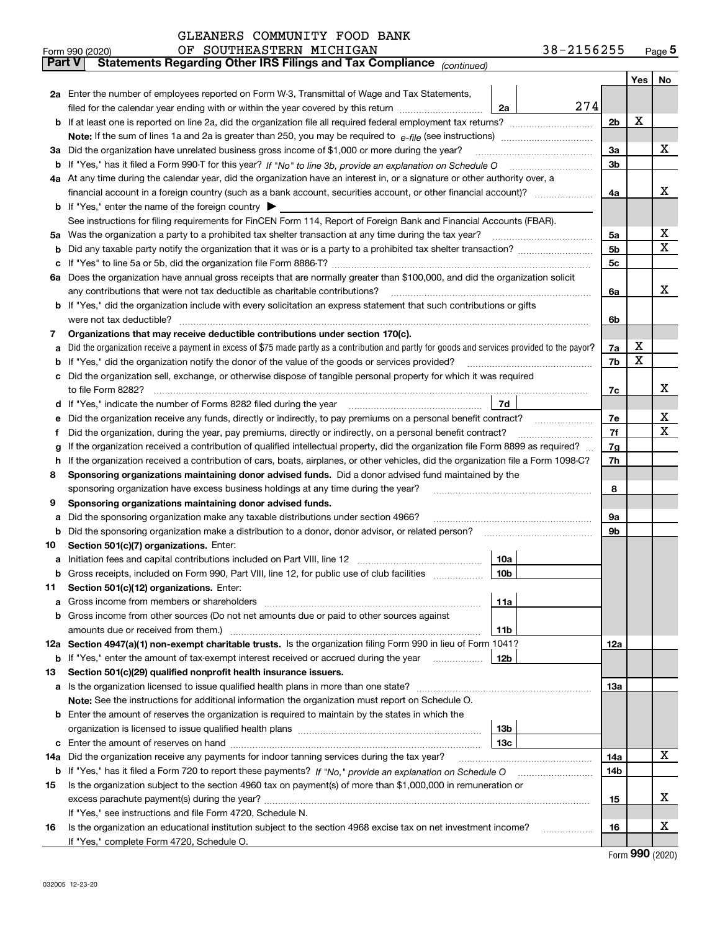| GLEANERS COMMUNITY FOOD BANK |  |
|------------------------------|--|
|                              |  |

|               | 38-2156255<br>OF SOUTHEASTERN MICHIGAN<br>Form 990 (2020)                                                                                                                                                                            |                |     | $Page$ <sup>5</sup> |
|---------------|--------------------------------------------------------------------------------------------------------------------------------------------------------------------------------------------------------------------------------------|----------------|-----|---------------------|
| <b>Part V</b> | Statements Regarding Other IRS Filings and Tax Compliance (continued)                                                                                                                                                                |                |     |                     |
|               |                                                                                                                                                                                                                                      |                | Yes | No                  |
|               | 2a Enter the number of employees reported on Form W-3, Transmittal of Wage and Tax Statements,                                                                                                                                       |                |     |                     |
|               | 274<br>filed for the calendar year ending with or within the year covered by this return <i>manumumumum</i><br>2a                                                                                                                    |                |     |                     |
|               |                                                                                                                                                                                                                                      | 2 <sub>b</sub> | х   |                     |
|               |                                                                                                                                                                                                                                      |                |     |                     |
|               | 3a Did the organization have unrelated business gross income of \$1,000 or more during the year?                                                                                                                                     | 3a             |     | х                   |
|               |                                                                                                                                                                                                                                      | 3b             |     |                     |
|               | 4a At any time during the calendar year, did the organization have an interest in, or a signature or other authority over, a                                                                                                         |                |     |                     |
|               |                                                                                                                                                                                                                                      | 4a             |     | x                   |
|               | <b>b</b> If "Yes," enter the name of the foreign country $\triangleright$                                                                                                                                                            |                |     |                     |
|               | See instructions for filing requirements for FinCEN Form 114, Report of Foreign Bank and Financial Accounts (FBAR).                                                                                                                  |                |     |                     |
| 5а            | Was the organization a party to a prohibited tax shelter transaction at any time during the tax year?                                                                                                                                | 5a             |     | х                   |
| b             |                                                                                                                                                                                                                                      | 5b             |     | Χ                   |
| c             |                                                                                                                                                                                                                                      | 5c             |     |                     |
|               | 6a Does the organization have annual gross receipts that are normally greater than \$100,000, and did the organization solicit                                                                                                       |                |     |                     |
|               | any contributions that were not tax deductible as charitable contributions?                                                                                                                                                          | 6a             |     | x                   |
|               | <b>b</b> If "Yes," did the organization include with every solicitation an express statement that such contributions or gifts                                                                                                        |                |     |                     |
|               | were not tax deductible?                                                                                                                                                                                                             | 6b             |     |                     |
| 7             | Organizations that may receive deductible contributions under section 170(c).                                                                                                                                                        |                |     |                     |
| а             | Did the organization receive a payment in excess of \$75 made partly as a contribution and partly for goods and services provided to the payor?                                                                                      | 7a             | х   |                     |
| b             | If "Yes," did the organization notify the donor of the value of the goods or services provided?                                                                                                                                      | 7b             | х   |                     |
| с             | Did the organization sell, exchange, or otherwise dispose of tangible personal property for which it was required                                                                                                                    |                |     |                     |
|               |                                                                                                                                                                                                                                      | 7c             |     | x                   |
|               | 7d<br>d If "Yes," indicate the number of Forms 8282 filed during the year [11] [11] No. 2010 [12] Henry Marian Marian Marian Marian Marian Marian Marian Marian Marian Marian Marian Marian Marian Marian Marian Marian Marian Maria |                |     |                     |
| е             |                                                                                                                                                                                                                                      | 7e             |     | х                   |
| f             | Did the organization, during the year, pay premiums, directly or indirectly, on a personal benefit contract?                                                                                                                         | 7f             |     | X                   |
| g             | If the organization received a contribution of qualified intellectual property, did the organization file Form 8899 as required?                                                                                                     | 7g             |     |                     |
| h.            | If the organization received a contribution of cars, boats, airplanes, or other vehicles, did the organization file a Form 1098-C?                                                                                                   | 7h             |     |                     |
| 8             | Sponsoring organizations maintaining donor advised funds. Did a donor advised fund maintained by the                                                                                                                                 |                |     |                     |
|               | sponsoring organization have excess business holdings at any time during the year?                                                                                                                                                   | 8              |     |                     |
| 9             | Sponsoring organizations maintaining donor advised funds.                                                                                                                                                                            |                |     |                     |
| а             | Did the sponsoring organization make any taxable distributions under section 4966?                                                                                                                                                   | 9а             |     |                     |
| b             | Did the sponsoring organization make a distribution to a donor, donor advisor, or related person?                                                                                                                                    | 9b             |     |                     |
| 10            | Section 501(c)(7) organizations. Enter:                                                                                                                                                                                              |                |     |                     |
|               | 10a                                                                                                                                                                                                                                  |                |     |                     |
|               | 10 <sub>b</sub><br>Gross receipts, included on Form 990, Part VIII, line 12, for public use of club facilities                                                                                                                       |                |     |                     |
| 11            | Section 501(c)(12) organizations. Enter:                                                                                                                                                                                             |                |     |                     |
| a             | 11a                                                                                                                                                                                                                                  |                |     |                     |
| b             | Gross income from other sources (Do not net amounts due or paid to other sources against                                                                                                                                             |                |     |                     |
|               | 11 <sub>b</sub>                                                                                                                                                                                                                      |                |     |                     |
|               | 12a Section 4947(a)(1) non-exempt charitable trusts. Is the organization filing Form 990 in lieu of Form 1041?                                                                                                                       | 12a            |     |                     |
|               | 12b<br><b>b</b> If "Yes," enter the amount of tax-exempt interest received or accrued during the year                                                                                                                                |                |     |                     |
| 13            | Section 501(c)(29) qualified nonprofit health insurance issuers.                                                                                                                                                                     |                |     |                     |
|               | a Is the organization licensed to issue qualified health plans in more than one state?                                                                                                                                               | 13а            |     |                     |
|               | Note: See the instructions for additional information the organization must report on Schedule O.                                                                                                                                    |                |     |                     |
| b             | Enter the amount of reserves the organization is required to maintain by the states in which the                                                                                                                                     |                |     |                     |
|               | 13b                                                                                                                                                                                                                                  |                |     |                     |
| c             | 13с                                                                                                                                                                                                                                  |                |     |                     |
| 14a           | Did the organization receive any payments for indoor tanning services during the tax year?                                                                                                                                           | 14a            |     | х                   |
|               | <b>b</b> If "Yes," has it filed a Form 720 to report these payments? If "No," provide an explanation on Schedule O                                                                                                                   | 14b            |     |                     |
| 15            | Is the organization subject to the section 4960 tax on payment(s) of more than \$1,000,000 in remuneration or                                                                                                                        |                |     |                     |
|               |                                                                                                                                                                                                                                      | 15             |     | X.                  |
|               | If "Yes," see instructions and file Form 4720, Schedule N.                                                                                                                                                                           |                |     |                     |
| 16            | Is the organization an educational institution subject to the section 4968 excise tax on net investment income?                                                                                                                      | 16             |     | X                   |
|               | If "Yes," complete Form 4720, Schedule O.                                                                                                                                                                                            |                |     |                     |

Form (2020) **990**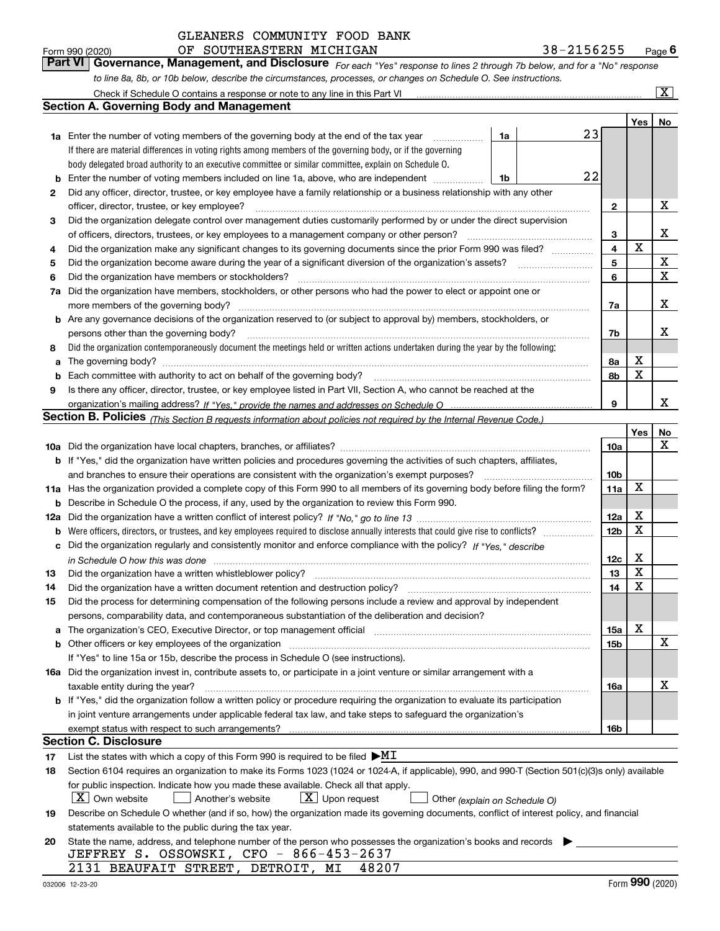|     | rail VI  <br><b>GOVETTRITICE, MariageTriefIt, and Disclosure</b> For each "Yes" response to lines 2 through 7b below, and for a "No" response                                                                                  |    |    |                              |             |                         |
|-----|--------------------------------------------------------------------------------------------------------------------------------------------------------------------------------------------------------------------------------|----|----|------------------------------|-------------|-------------------------|
|     | to line 8a, 8b, or 10b below, describe the circumstances, processes, or changes on Schedule O. See instructions.                                                                                                               |    |    |                              |             | $\boxed{\text{X}}$      |
|     | Check if Schedule O contains a response or note to any line in this Part VI<br><b>Section A. Governing Body and Management</b>                                                                                                 |    |    |                              |             |                         |
|     |                                                                                                                                                                                                                                |    |    |                              |             |                         |
|     |                                                                                                                                                                                                                                |    | 23 |                              | <b>Yes</b>  | No                      |
|     | 1a Enter the number of voting members of the governing body at the end of the tax year                                                                                                                                         | 1a |    |                              |             |                         |
|     | If there are material differences in voting rights among members of the governing body, or if the governing                                                                                                                    |    |    |                              |             |                         |
|     | body delegated broad authority to an executive committee or similar committee, explain on Schedule O.                                                                                                                          |    | 22 |                              |             |                         |
| b   | Enter the number of voting members included on line 1a, above, who are independent<br>Did any officer, director, trustee, or key employee have a family relationship or a business relationship with any other                 | 1b |    |                              |             |                         |
| 2   |                                                                                                                                                                                                                                |    |    |                              |             | X                       |
|     | officer, director, trustee, or key employee?                                                                                                                                                                                   |    |    | 2                            |             |                         |
| 3   | Did the organization delegate control over management duties customarily performed by or under the direct supervision                                                                                                          |    |    |                              |             | X                       |
|     | of officers, directors, trustees, or key employees to a management company or other person?                                                                                                                                    |    |    | 3<br>$\overline{\mathbf{4}}$ | $\mathbf X$ |                         |
| 4   | Did the organization make any significant changes to its governing documents since the prior Form 990 was filed?                                                                                                               |    |    |                              |             | X                       |
| 5   | Did the organization become aware during the year of a significant diversion of the organization's assets?                                                                                                                     |    |    | 5                            |             | $\overline{\mathbf{x}}$ |
| 6   | Did the organization have members or stockholders?                                                                                                                                                                             |    |    | 6                            |             |                         |
| 7a  | Did the organization have members, stockholders, or other persons who had the power to elect or appoint one or                                                                                                                 |    |    |                              |             | x                       |
|     | more members of the governing body?                                                                                                                                                                                            |    |    | 7a                           |             |                         |
|     | <b>b</b> Are any governance decisions of the organization reserved to (or subject to approval by) members, stockholders, or                                                                                                    |    |    |                              |             |                         |
|     | persons other than the governing body?                                                                                                                                                                                         |    |    | 7b                           |             | х                       |
| 8   | Did the organization contemporaneously document the meetings held or written actions undertaken during the year by the following:                                                                                              |    |    |                              |             |                         |
| a   | The governing body?                                                                                                                                                                                                            |    |    | 8a                           | х<br>X      |                         |
| b   | Each committee with authority to act on behalf of the governing body?                                                                                                                                                          |    |    | 8b                           |             |                         |
| 9   | Is there any officer, director, trustee, or key employee listed in Part VII, Section A, who cannot be reached at the                                                                                                           |    |    |                              |             | x                       |
|     |                                                                                                                                                                                                                                |    |    | 9                            |             |                         |
|     | Section B. Policies (This Section B requests information about policies not required by the Internal Revenue Code.)                                                                                                            |    |    |                              |             |                         |
|     |                                                                                                                                                                                                                                |    |    |                              | <b>Yes</b>  | No<br>X                 |
|     |                                                                                                                                                                                                                                |    |    | <b>10a</b>                   |             |                         |
|     | <b>b</b> If "Yes," did the organization have written policies and procedures governing the activities of such chapters, affiliates,                                                                                            |    |    |                              |             |                         |
|     | and branches to ensure their operations are consistent with the organization's exempt purposes?                                                                                                                                |    |    | 10 <sub>b</sub>              | X           |                         |
|     | 11a Has the organization provided a complete copy of this Form 990 to all members of its governing body before filing the form?                                                                                                |    |    | 11a                          |             |                         |
| b   | Describe in Schedule O the process, if any, used by the organization to review this Form 990.                                                                                                                                  |    |    |                              | x           |                         |
| 12a |                                                                                                                                                                                                                                |    |    | 12a                          | X           |                         |
|     |                                                                                                                                                                                                                                |    |    | 12 <sub>b</sub>              |             |                         |
| c   | Did the organization regularly and consistently monitor and enforce compliance with the policy? If "Yes," describe                                                                                                             |    |    |                              | х           |                         |
|     | in Schedule O how this was done measured and contain an account of the state of the state of the state of the                                                                                                                  |    |    | 12c                          | x           |                         |
| 13  | Did the organization have a written whistleblower policy?                                                                                                                                                                      |    |    | 13                           | x           |                         |
| 14  | Did the organization have a written document retention and destruction policy?                                                                                                                                                 |    |    | 14                           |             |                         |
| 15  | Did the process for determining compensation of the following persons include a review and approval by independent                                                                                                             |    |    |                              |             |                         |
|     | persons, comparability data, and contemporaneous substantiation of the deliberation and decision?                                                                                                                              |    |    |                              |             |                         |
|     | a The organization's CEO, Executive Director, or top management official manufactured content content of the organization's CEO, Executive Director, or top management official manufactured content of the state of the state |    |    | 15a                          | X           | X                       |
|     |                                                                                                                                                                                                                                |    |    | 15b                          |             |                         |
|     | If "Yes" to line 15a or 15b, describe the process in Schedule O (see instructions).                                                                                                                                            |    |    |                              |             |                         |
|     | 16a Did the organization invest in, contribute assets to, or participate in a joint venture or similar arrangement with a                                                                                                      |    |    |                              |             |                         |
|     | taxable entity during the year?                                                                                                                                                                                                |    |    | 16a                          |             | х                       |
|     | <b>b</b> If "Yes," did the organization follow a written policy or procedure requiring the organization to evaluate its participation                                                                                          |    |    |                              |             |                         |
|     | in joint venture arrangements under applicable federal tax law, and take steps to safeguard the organization's                                                                                                                 |    |    |                              |             |                         |
|     |                                                                                                                                                                                                                                |    |    | 16b                          |             |                         |
|     | <b>Section C. Disclosure</b>                                                                                                                                                                                                   |    |    |                              |             |                         |
| 17  | List the states with which a copy of this Form 990 is required to be filed $\blacktriangleright\!\!\underline{\mathsf{ML}}$                                                                                                    |    |    |                              |             |                         |
| 18  | Section 6104 requires an organization to make its Forms 1023 (1024 or 1024-A, if applicable), 990, and 990-T (Section 501(c)(3)s only) available                                                                               |    |    |                              |             |                         |
|     | for public inspection. Indicate how you made these available. Check all that apply.                                                                                                                                            |    |    |                              |             |                         |
|     | $X$ Own website<br>$X$ Upon request<br>Another's website<br>Other (explain on Schedule O)                                                                                                                                      |    |    |                              |             |                         |
| 19  | Describe on Schedule O whether (and if so, how) the organization made its governing documents, conflict of interest policy, and financial                                                                                      |    |    |                              |             |                         |
|     | statements available to the public during the tax year.                                                                                                                                                                        |    |    |                              |             |                         |
| 20  | State the name, address, and telephone number of the person who possesses the organization's books and records                                                                                                                 |    |    |                              |             |                         |

| OF SOUTHEASTERN MICHIGAN    |  | 38-2156255 |
|-----------------------------|--|------------|
| Management and Disclosure - |  |            |

Form 990 (2020) **CDE SOUTHEASTERN MICHIGAN** 38-2156255 Page 6<br>**Part VI Governance, Management, and Disclosure** For each "Yes" response to lines 2 through 7b below, and for a "No" response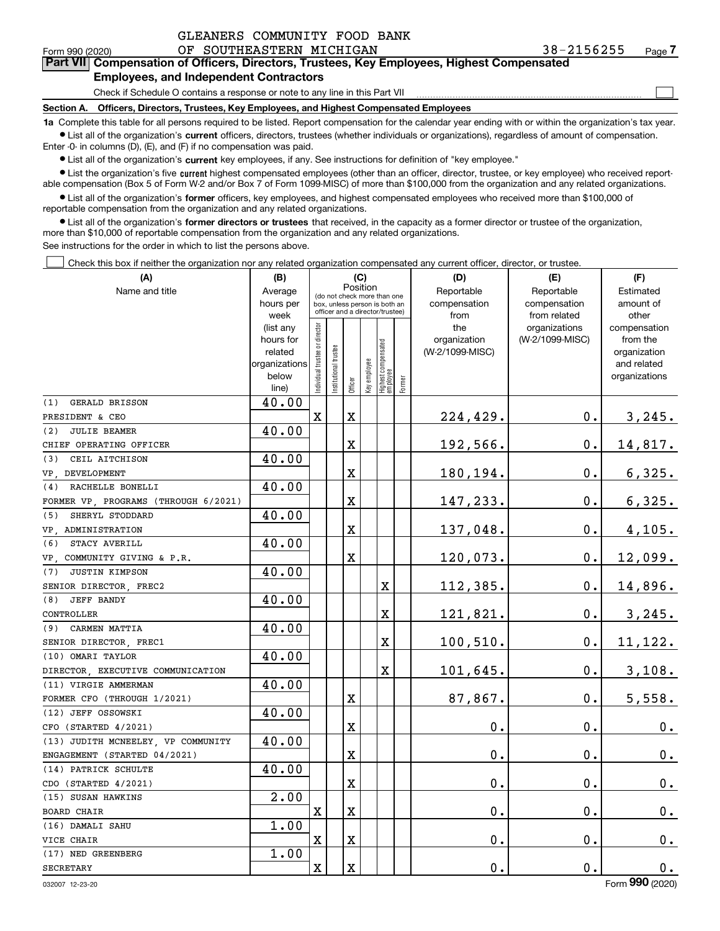$\mathcal{L}^{\text{max}}$ 

#### Form 990 (2020) OF SOUTHEASTERN MICHIGAN 38-2156255 <sub>Page</sub> **7Part VII Compensation of Officers, Directors, Trustees, Key Employees, Highest Compensated Employees, and Independent Contractors**

Check if Schedule O contains a response or note to any line in this Part VII

**Section A. Officers, Directors, Trustees, Key Employees, and Highest Compensated Employees**

**1a**  Complete this table for all persons required to be listed. Report compensation for the calendar year ending with or within the organization's tax year. **•** List all of the organization's current officers, directors, trustees (whether individuals or organizations), regardless of amount of compensation.

Enter -0- in columns (D), (E), and (F) if no compensation was paid.

 $\bullet$  List all of the organization's  $\,$ current key employees, if any. See instructions for definition of "key employee."

**•** List the organization's five current highest compensated employees (other than an officer, director, trustee, or key employee) who received reportable compensation (Box 5 of Form W-2 and/or Box 7 of Form 1099-MISC) of more than \$100,000 from the organization and any related organizations.

**•** List all of the organization's former officers, key employees, and highest compensated employees who received more than \$100,000 of reportable compensation from the organization and any related organizations.

**former directors or trustees**  ¥ List all of the organization's that received, in the capacity as a former director or trustee of the organization, more than \$10,000 of reportable compensation from the organization and any related organizations.

See instructions for the order in which to list the persons above.

Check this box if neither the organization nor any related organization compensated any current officer, director, or trustee.  $\mathcal{L}^{\text{max}}$ 

| (A)                                  | (C)<br>(B)             |                                |                       |                         |              |                                                                  |        | (D)                 | (E)                              | (F)                      |
|--------------------------------------|------------------------|--------------------------------|-----------------------|-------------------------|--------------|------------------------------------------------------------------|--------|---------------------|----------------------------------|--------------------------|
| Name and title                       | Average                | (do not check more than one    |                       |                         | Position     |                                                                  |        | Reportable          | Reportable                       | Estimated                |
|                                      | hours per              |                                |                       |                         |              | box, unless person is both an<br>officer and a director/trustee) |        | compensation        | compensation                     | amount of                |
|                                      | week                   |                                |                       |                         |              |                                                                  |        | from                | from related                     | other                    |
|                                      | (list any<br>hours for |                                |                       |                         |              |                                                                  |        | the<br>organization | organizations<br>(W-2/1099-MISC) | compensation<br>from the |
|                                      | related                |                                |                       |                         |              |                                                                  |        | (W-2/1099-MISC)     |                                  | organization             |
|                                      | organizations          |                                |                       |                         |              |                                                                  |        |                     |                                  | and related              |
|                                      | below                  | Individual trustee or director | Institutional trustee |                         | Key employee |                                                                  |        |                     |                                  | organizations            |
|                                      | line)                  |                                |                       | Officer                 |              | Highest compensated<br> employee                                 | Former |                     |                                  |                          |
| <b>GERALD BRISSON</b><br>(1)         | 40.00                  |                                |                       |                         |              |                                                                  |        |                     |                                  |                          |
| PRESIDENT & CEO                      |                        | $\mathbf x$                    |                       | $\mathbf X$             |              |                                                                  |        | 224,429.            | 0.                               | 3,245.                   |
| <b>JULIE BEAMER</b><br>(2)           | 40.00                  |                                |                       |                         |              |                                                                  |        |                     |                                  |                          |
| CHIEF OPERATING OFFICER              |                        |                                |                       | X                       |              |                                                                  |        | 192,566.            | $\mathbf 0$ .                    | 14,817.                  |
| CEIL AITCHISON<br>(3)                | 40.00                  |                                |                       |                         |              |                                                                  |        |                     |                                  |                          |
| VP , DEVELOPMENT                     |                        |                                |                       | $\mathbf X$             |              |                                                                  |        | 180,194.            | 0.                               | 6,325.                   |
| RACHELLE BONELLI<br>(4)              | 40.00                  |                                |                       |                         |              |                                                                  |        |                     |                                  |                          |
| FORMER VP, PROGRAMS (THROUGH 6/2021) |                        |                                |                       | $\overline{\textbf{X}}$ |              |                                                                  |        | 147,233.            | $\mathbf 0$ .                    | 6,325.                   |
| (5)<br>SHERYL STODDARD               | 40.00                  |                                |                       |                         |              |                                                                  |        |                     |                                  |                          |
| VP , ADMINISTRATION                  |                        |                                |                       | X                       |              |                                                                  |        | 137,048.            | 0.                               | 4,105.                   |
| STACY AVERILL<br>(6)                 | 40.00                  |                                |                       |                         |              |                                                                  |        |                     |                                  |                          |
| VP, COMMUNITY GIVING & P.R.          |                        |                                |                       | X                       |              |                                                                  |        | 120,073.            | $\mathbf 0$ .                    | 12,099.                  |
| <b>JUSTIN KIMPSON</b><br>(7)         | 40.00                  |                                |                       |                         |              |                                                                  |        |                     |                                  |                          |
| SENIOR DIRECTOR, FREC2               |                        |                                |                       |                         |              | X                                                                |        | 112,385.            | 0.                               | 14,896.                  |
| <b>JEFF BANDY</b><br>(8)             | 40.00                  |                                |                       |                         |              |                                                                  |        |                     |                                  |                          |
| CONTROLLER                           |                        |                                |                       |                         |              | $\mathbf X$                                                      |        | 121,821.            | $\mathbf 0$ .                    | 3,245.                   |
| (9) CARMEN MATTIA                    | 40.00                  |                                |                       |                         |              |                                                                  |        |                     |                                  |                          |
| SENIOR DIRECTOR FREC1                |                        |                                |                       |                         |              | X                                                                |        | 100, 510.           | $\mathbf 0$ .                    | 11,122.                  |
| (10) OMARI TAYLOR                    | 40.00                  |                                |                       |                         |              |                                                                  |        |                     |                                  |                          |
| DIRECTOR, EXECUTIVE COMMUNICATION    |                        |                                |                       |                         |              | $\mathbf X$                                                      |        | 101,645.            | $\mathbf 0$ .                    | 3,108.                   |
| (11) VIRGIE AMMERMAN                 | 40.00                  |                                |                       |                         |              |                                                                  |        |                     |                                  |                          |
| FORMER CFO (THROUGH 1/2021)          |                        |                                |                       | X                       |              |                                                                  |        | 87,867.             | о.                               | 5,558.                   |
| (12) JEFF OSSOWSKI                   | 40.00                  |                                |                       |                         |              |                                                                  |        |                     |                                  |                          |
| CFO (STARTED 4/2021)                 |                        |                                |                       | X                       |              |                                                                  |        | 0.                  | $\mathbf 0$ .                    | 0.                       |
| (13) JUDITH MCNEELEY, VP COMMUNITY   | 40.00                  |                                |                       |                         |              |                                                                  |        |                     |                                  |                          |
| ENGAGEMENT (STARTED 04/2021)         |                        |                                |                       | X                       |              |                                                                  |        | 0.                  | $\mathbf 0$ .                    | 0.                       |
| (14) PATRICK SCHULTE                 | 40.00                  |                                |                       |                         |              |                                                                  |        |                     |                                  |                          |
| CDO (STARTED 4/2021)                 |                        |                                |                       | X                       |              |                                                                  |        | 0.                  | $\mathbf 0$ .                    | 0.                       |
| (15) SUSAN HAWKINS                   | 2.00                   |                                |                       |                         |              |                                                                  |        |                     |                                  |                          |
| <b>BOARD CHAIR</b>                   |                        | X                              |                       | $\overline{\textbf{X}}$ |              |                                                                  |        | 0.                  | $\mathbf 0$ .                    | 0.                       |
| (16) DAMALI SAHU                     | 1.00                   |                                |                       |                         |              |                                                                  |        |                     |                                  |                          |
| VICE CHAIR                           |                        | $\mathbf X$                    |                       | X                       |              |                                                                  |        | $0$ .               | $\mathbf 0$ .                    | $\mathbf 0$ .            |
| (17) NED GREENBERG                   | 1.00                   |                                |                       |                         |              |                                                                  |        |                     |                                  |                          |
| SECRETARY                            |                        | X                              |                       | $\overline{\text{X}}$   |              |                                                                  |        | 0.                  | $\mathbf 0$ .                    | 0.                       |
|                                      |                        |                                |                       |                         |              |                                                                  |        |                     |                                  | $\overline{2}$           |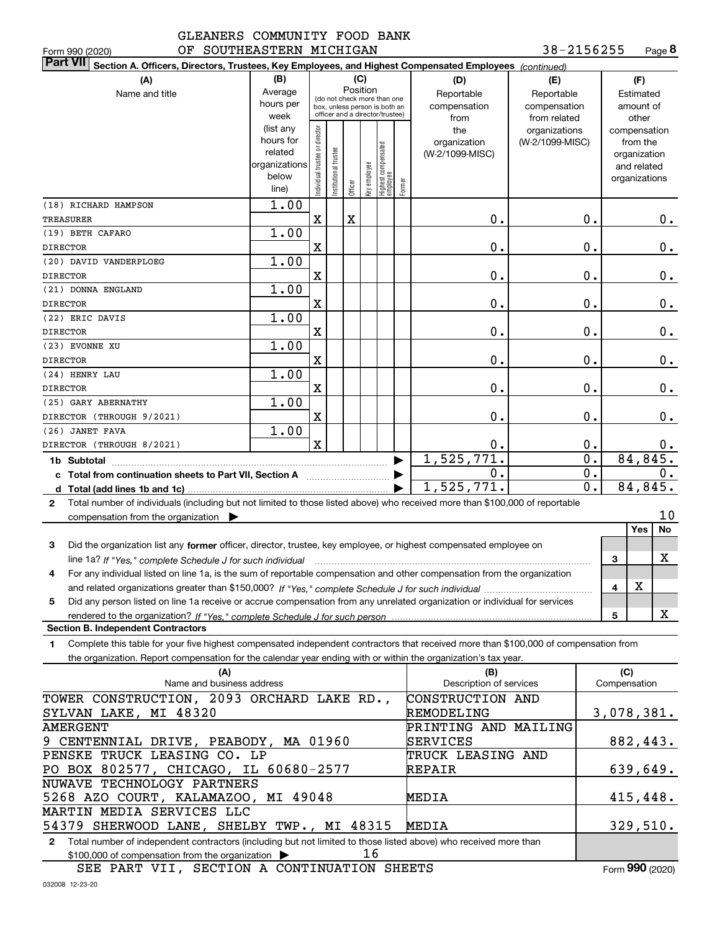| Page 8<br>38-2156255 |  |
|----------------------|--|
|----------------------|--|

| OF SOUTHEASTERN MICHIGAN<br>Form 990 (2020)                                                                                                     |               |                               |                      |          |               |                                                              |        |                         | 38-2156255      |                  |              | Page 8           |
|-------------------------------------------------------------------------------------------------------------------------------------------------|---------------|-------------------------------|----------------------|----------|---------------|--------------------------------------------------------------|--------|-------------------------|-----------------|------------------|--------------|------------------|
| <b>Part VII</b><br>Section A. Officers, Directors, Trustees, Key Employees, and Highest Compensated Employees (continued)                       |               |                               |                      |          |               |                                                              |        |                         |                 |                  |              |                  |
| (A)                                                                                                                                             | (B)           |                               |                      |          | (C)           |                                                              |        | (D)                     | (E)             |                  |              | (F)              |
| Name and title                                                                                                                                  | Average       |                               |                      | Position |               |                                                              |        | Reportable              | Reportable      |                  |              | Estimated        |
|                                                                                                                                                 | hours per     |                               |                      |          |               | (do not check more than one<br>box, unless person is both an |        | compensation            | compensation    |                  |              | amount of        |
|                                                                                                                                                 | week          |                               |                      |          |               | officer and a director/trustee)                              |        | from                    | from related    |                  |              | other            |
|                                                                                                                                                 | (list any     |                               |                      |          |               |                                                              |        | the                     | organizations   |                  |              | compensation     |
|                                                                                                                                                 | hours for     |                               |                      |          |               |                                                              |        | organization            | (W-2/1099-MISC) |                  |              | from the         |
|                                                                                                                                                 | related       |                               |                      |          |               |                                                              |        | (W-2/1099-MISC)         |                 |                  |              | organization     |
|                                                                                                                                                 | organizations |                               |                      |          |               |                                                              |        |                         |                 |                  |              | and related      |
|                                                                                                                                                 | below         |                               | nstitutional trustee |          |               |                                                              |        |                         |                 |                  |              | organizations    |
|                                                                                                                                                 | line)         | ndividual trustee or director |                      | Officer  | əə/opduuə /əy | Highest compensated<br>employee                              | Former |                         |                 |                  |              |                  |
| (18) RICHARD HAMPSON                                                                                                                            | 1.00          |                               |                      |          |               |                                                              |        |                         |                 |                  |              |                  |
| <b>TREASURER</b>                                                                                                                                |               | X                             |                      | X        |               |                                                              |        | 0.                      |                 | 0.               |              | 0.               |
| (19) BETH CAFARO                                                                                                                                | 1.00          |                               |                      |          |               |                                                              |        |                         |                 |                  |              |                  |
| <b>DIRECTOR</b>                                                                                                                                 |               | X                             |                      |          |               |                                                              |        | 0.                      |                 | 0.               |              | 0.               |
| (20) DAVID VANDERPLOEG                                                                                                                          | 1.00          |                               |                      |          |               |                                                              |        |                         |                 |                  |              |                  |
| <b>DIRECTOR</b>                                                                                                                                 |               | $\mathbf X$                   |                      |          |               |                                                              |        | 0.                      |                 | 0.               |              | 0.               |
| (21) DONNA ENGLAND                                                                                                                              | 1.00          |                               |                      |          |               |                                                              |        |                         |                 |                  |              |                  |
| <b>DIRECTOR</b>                                                                                                                                 |               | $\mathbf X$                   |                      |          |               |                                                              |        | 0.                      |                 | 0.               |              | 0.               |
| (22) ERIC DAVIS                                                                                                                                 | 1.00          |                               |                      |          |               |                                                              |        |                         |                 |                  |              |                  |
| <b>DIRECTOR</b>                                                                                                                                 |               | $\mathbf X$                   |                      |          |               |                                                              |        | 0.                      |                 | 0.               |              | 0.               |
| (23) EVONNE XU                                                                                                                                  | 1.00          |                               |                      |          |               |                                                              |        |                         |                 |                  |              |                  |
| <b>DIRECTOR</b>                                                                                                                                 |               | $\mathbf X$                   |                      |          |               |                                                              |        | 0.                      |                 | 0.               |              | 0.               |
| (24) HENRY LAU                                                                                                                                  | 1.00          |                               |                      |          |               |                                                              |        |                         |                 |                  |              |                  |
| <b>DIRECTOR</b>                                                                                                                                 |               | $\mathbf X$                   |                      |          |               |                                                              |        | 0.                      |                 | 0.               |              | 0.               |
| (25) GARY ABERNATHY                                                                                                                             | 1.00          |                               |                      |          |               |                                                              |        |                         |                 |                  |              |                  |
| DIRECTOR (THROUGH 9/2021)                                                                                                                       |               | X                             |                      |          |               |                                                              |        | 0.                      |                 | 0.               |              | 0.               |
| (26) JANET FAVA                                                                                                                                 | 1.00          |                               |                      |          |               |                                                              |        |                         |                 |                  |              |                  |
| DIRECTOR (THROUGH 8/2021)                                                                                                                       |               | $\mathbf x$                   |                      |          |               |                                                              |        | Ο.                      |                 | 0.               |              | $0$ .            |
|                                                                                                                                                 |               |                               |                      |          |               |                                                              | ▶      | 1,525,771.              |                 | $\overline{0}$ . |              | 84,845.          |
| c Total from continuation sheets to Part VII, Section A <b>Constant Contact Part</b>                                                            |               |                               |                      |          |               |                                                              |        | 0.                      |                 | 0.               |              | 0.               |
|                                                                                                                                                 |               |                               |                      |          |               |                                                              |        | 1,525,771.              |                 | $\overline{0}$ . |              | 84,845.          |
| Total number of individuals (including but not limited to those listed above) who received more than \$100,000 of reportable<br>$\mathbf{2}$    |               |                               |                      |          |               |                                                              |        |                         |                 |                  |              |                  |
| compensation from the organization $\blacktriangleright$                                                                                        |               |                               |                      |          |               |                                                              |        |                         |                 |                  |              | 10               |
|                                                                                                                                                 |               |                               |                      |          |               |                                                              |        |                         |                 |                  |              | <b>No</b><br>Yes |
| 3<br>Did the organization list any former officer, director, trustee, key employee, or highest compensated employee on                          |               |                               |                      |          |               |                                                              |        |                         |                 |                  |              |                  |
| line 1a? If "Yes," complete Schedule J for such individual manufactured contained and the 1a? If "Yes," complete Schedule J for such individual |               |                               |                      |          |               |                                                              |        |                         |                 |                  | 3            | x                |
| For any individual listed on line 1a, is the sum of reportable compensation and other compensation from the organization                        |               |                               |                      |          |               |                                                              |        |                         |                 |                  |              |                  |
|                                                                                                                                                 |               |                               |                      |          |               |                                                              |        |                         |                 |                  | 4            | х                |
| Did any person listed on line 1a receive or accrue compensation from any unrelated organization or individual for services<br>5                 |               |                               |                      |          |               |                                                              |        |                         |                 |                  |              |                  |
|                                                                                                                                                 |               |                               |                      |          |               |                                                              |        |                         |                 |                  | 5            | x                |
| <b>Section B. Independent Contractors</b>                                                                                                       |               |                               |                      |          |               |                                                              |        |                         |                 |                  |              |                  |
| Complete this table for your five highest compensated independent contractors that received more than \$100,000 of compensation from<br>1.      |               |                               |                      |          |               |                                                              |        |                         |                 |                  |              |                  |
| the organization. Report compensation for the calendar year ending with or within the organization's tax year.                                  |               |                               |                      |          |               |                                                              |        |                         |                 |                  |              |                  |
| (A)                                                                                                                                             |               |                               |                      |          |               |                                                              |        | (B)                     |                 |                  | (C)          |                  |
| Name and business address                                                                                                                       |               |                               |                      |          |               |                                                              |        | Description of services |                 |                  | Compensation |                  |
| TOWER CONSTRUCTION, 2093 ORCHARD LAKE RD.,                                                                                                      |               |                               |                      |          |               |                                                              |        | CONSTRUCTION AND        |                 |                  |              |                  |
| SYLVAN LAKE, MI 48320                                                                                                                           |               |                               |                      |          |               |                                                              |        | REMODELING              |                 |                  |              | 3,078,381.       |
| <b>AMERGENT</b>                                                                                                                                 |               |                               |                      |          |               |                                                              |        | PRINTING AND MAILING    |                 |                  |              |                  |
| 9 CENTENNIAL DRIVE, PEABODY, MA 01960                                                                                                           |               |                               |                      |          |               |                                                              |        | SERVICES                |                 |                  |              | 882,443.         |
| PENSKE TRUCK LEASING CO. LP<br>TRUCK LEASING AND                                                                                                |               |                               |                      |          |               |                                                              |        |                         |                 |                  |              |                  |
| PO BOX 802577, CHICAGO, IL 60680-2577                                                                                                           |               |                               |                      |          |               |                                                              |        | <b>REPAIR</b>           |                 |                  |              | <u>639,649.</u>  |
| NUWAVE TECHNOLOGY PARTNERS                                                                                                                      |               |                               |                      |          |               |                                                              |        |                         |                 |                  |              |                  |
| 5268 AZO COURT, KALAMAZOO, MI 49048                                                                                                             |               |                               |                      |          |               |                                                              |        | <b>MEDIA</b>            |                 |                  |              | 415,448.         |
| MARTIN MEDIA SERVICES LLC                                                                                                                       |               |                               |                      |          |               |                                                              |        |                         |                 |                  |              |                  |
| 54379 SHERWOOD LANE, SHELBY TWP., MI 48315                                                                                                      |               |                               |                      |          |               |                                                              |        | MEDIA                   |                 |                  |              | 329,510.         |
|                                                                                                                                                 |               |                               |                      |          |               |                                                              |        |                         |                 |                  |              |                  |

**2**Total number of independent contractors (including but not limited to those listed above) who received more than \$100,000 of compensation from the organization 16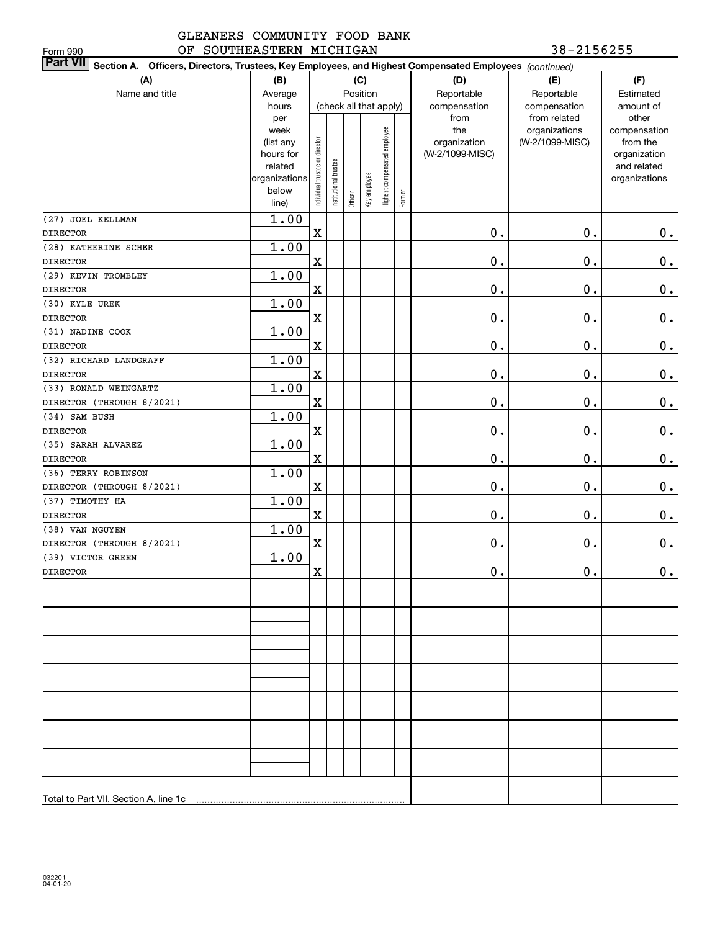OF SOUTHEASTERN MICHIGAN 38-2156255

#### **Section A. Officers, Directors, Trustees, Key Employees, and Highest Compensated Employees**  *(continued)* **Part VII (A) (B) (C) (D) (E) (F)** Name and title **Average** Position ReportableReportableEstimated compensation compensation amount of hours (check all that apply) from from related otherper compensationweektheorganizations Highest compensated employee Highest compensated employee organization (W-2/1099-MISC)(list any Individual trustee or director from the rustee or director hours for (W-2/1099-MISC)organization Institutional trustee Institutional trustee and related related organizations Key employee organizations Individual belowFormer Officer line)(27) JOEL KELLMAN 1.00 DIRECTORX 0. 0.  $0$  . 1.00 (28) KATHERINE SCHER 0. X 0. 0. DIRECTOR(29) KEVIN TROMBLEY 1.00 X  $\mathbf 0$ 0. 0. DIRECTOR (30) KYLE UREK 1.00 X 0. 0.  $0$  . DIRECTOR (31) NADINE COOK 1.00 X 0. 0. 0. DIRECTOR (32) RICHARD LANDGRAFF 1.00 X 0. 0. 0. DIRECTOR (33) RONALD WEINGARTZ 1.00 X 0. 0. 0. DIRECTOR (THROUGH 8/2021) (34) SAM BUSH 1.00  $0$  . X 0. 0. DIRECTOR 1.00 (35) SARAH ALVAREZ 0. X 0. 0. DIRECTOR 1.00 (36) TERRY ROBINSON DIRECTOR (THROUGH 8/2021) X 0. 0. 0. 1.00 (37) TIMOTHY HA 0. DIRECTORX 0. 0. (38) VAN NGUYEN 1.00 0.  $0_{.}$ DIRECTOR (THROUGH 8/2021) X 0. (39) VICTOR GREEN 1.00 X 0. 0. 0. DIRECTOR Total to Part VII, Section A, line 1c

Form 990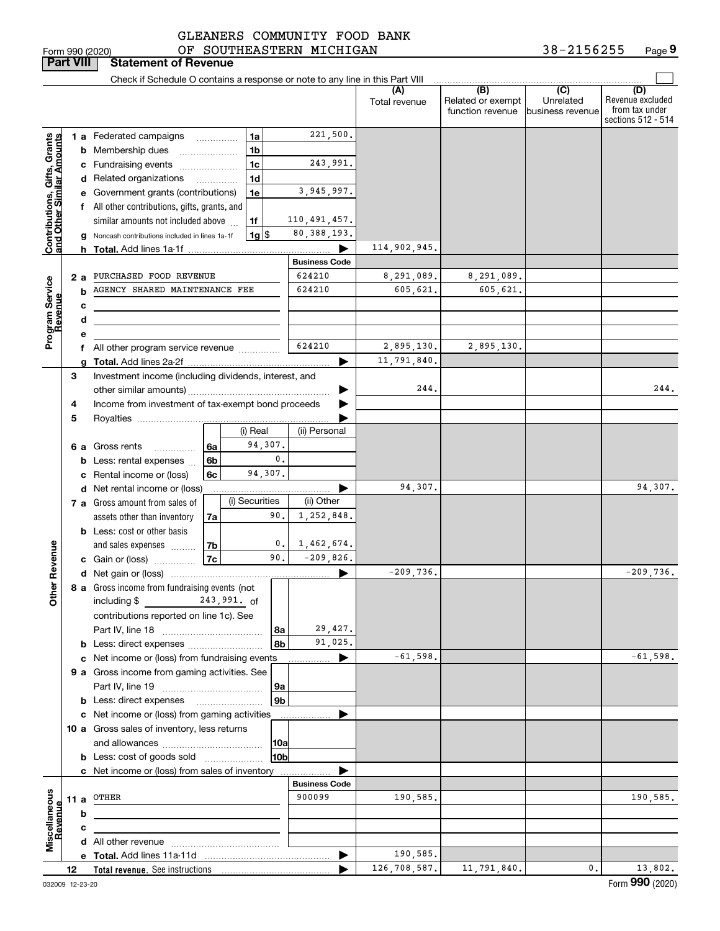|  | Form 990 (2020 |
|--|----------------|

**Part VIII Statement of Revenue**

#### OF SOUTHEASTERN MICHIGAN GLEANERS COMMUNITY FOOD BANK

|                                                           |      |              | Check if Schedule O contains a response or note to any line in this Part VIII |                |                      |                      |                                              |                                      |                                                                 |
|-----------------------------------------------------------|------|--------------|-------------------------------------------------------------------------------|----------------|----------------------|----------------------|----------------------------------------------|--------------------------------------|-----------------------------------------------------------------|
|                                                           |      |              |                                                                               |                |                      | (A)<br>Total revenue | (B)<br>Related or exempt<br>function revenue | (C)<br>Unrelated<br>business revenue | (D)<br>Revenue excluded<br>from tax under<br>sections 512 - 514 |
|                                                           |      |              | <b>1 a</b> Federated campaigns                                                | 1a             | 221,500.             |                      |                                              |                                      |                                                                 |
| Contributions, Gifts, Grants<br>and Other Similar Amounts |      |              | <b>b</b> Membership dues                                                      | 1 <sub>b</sub> |                      |                      |                                              |                                      |                                                                 |
|                                                           |      |              | c Fundraising events                                                          | 1 <sub>c</sub> | 243,991.             |                      |                                              |                                      |                                                                 |
|                                                           |      |              | d Related organizations                                                       | 1d             |                      |                      |                                              |                                      |                                                                 |
|                                                           |      |              | e Government grants (contributions)                                           | 1e             | 3,945,997.           |                      |                                              |                                      |                                                                 |
|                                                           |      |              |                                                                               |                |                      |                      |                                              |                                      |                                                                 |
|                                                           |      |              | f All other contributions, gifts, grants, and                                 |                |                      |                      |                                              |                                      |                                                                 |
|                                                           |      |              | similar amounts not included above                                            | 1f             | 110, 491, 457.       |                      |                                              |                                      |                                                                 |
|                                                           |      |              | g Noncash contributions included in lines 1a-1f                               | 1g             | 80, 388, 193.        |                      |                                              |                                      |                                                                 |
|                                                           |      |              |                                                                               |                |                      | 114,902,945.         |                                              |                                      |                                                                 |
|                                                           |      |              |                                                                               |                | <b>Business Code</b> |                      |                                              |                                      |                                                                 |
|                                                           |      | 2 a          | PURCHASED FOOD REVENUE                                                        |                | 624210               | 8,291,089.           | 8,291,089.                                   |                                      |                                                                 |
|                                                           |      | b            | AGENCY SHARED MAINTENANCE FEE                                                 |                | 624210               | 605,621.             | 605,621.                                     |                                      |                                                                 |
| Program Service<br>Revenue                                |      | с            |                                                                               |                |                      |                      |                                              |                                      |                                                                 |
|                                                           |      | d            |                                                                               |                |                      |                      |                                              |                                      |                                                                 |
|                                                           |      |              |                                                                               |                |                      |                      |                                              |                                      |                                                                 |
|                                                           |      |              | f All other program service revenue <i>mimimini</i>                           |                | 624210               | 2,895,130.           | 2,895,130.                                   |                                      |                                                                 |
|                                                           |      | $\mathbf{q}$ |                                                                               |                |                      | 11,791,840.          |                                              |                                      |                                                                 |
|                                                           | 3    |              | Investment income (including dividends, interest, and                         |                |                      |                      |                                              |                                      |                                                                 |
|                                                           |      |              |                                                                               |                |                      | 244.                 |                                              |                                      | 244.                                                            |
|                                                           | 4    |              | Income from investment of tax-exempt bond proceeds                            |                |                      |                      |                                              |                                      |                                                                 |
|                                                           | 5    |              |                                                                               |                |                      |                      |                                              |                                      |                                                                 |
|                                                           |      |              |                                                                               | (i) Real       | (ii) Personal        |                      |                                              |                                      |                                                                 |
|                                                           |      |              | 6 a Gross rents<br>6а                                                         | 94,307.        |                      |                      |                                              |                                      |                                                                 |
|                                                           |      |              | <b>b</b> Less: rental expenses<br>6b                                          | 0.             |                      |                      |                                              |                                      |                                                                 |
|                                                           |      |              | c Rental income or (loss)<br>6с                                               | 94,307.        |                      |                      |                                              |                                      |                                                                 |
|                                                           |      |              | d Net rental income or (loss)                                                 |                |                      | 94,307.              |                                              |                                      | 94,307.                                                         |
|                                                           |      |              | 7 a Gross amount from sales of                                                | (i) Securities | (ii) Other           |                      |                                              |                                      |                                                                 |
|                                                           |      |              | assets other than inventory<br>7a                                             | 90.            | 1,252,848.           |                      |                                              |                                      |                                                                 |
|                                                           |      |              | <b>b</b> Less: cost or other basis                                            |                |                      |                      |                                              |                                      |                                                                 |
|                                                           |      |              | 7b<br>and sales expenses                                                      | 0.             | 1,462,674.           |                      |                                              |                                      |                                                                 |
| Revenue                                                   |      |              | 7c <br>c Gain or (loss)                                                       | 90.            | $-209,826.$          |                      |                                              |                                      |                                                                 |
|                                                           |      |              |                                                                               |                |                      | $-209,736.$          |                                              |                                      | $-209,736.$                                                     |
| İner                                                      |      |              | 8 a Gross income from fundraising events (not                                 |                |                      |                      |                                              |                                      |                                                                 |
| ŏ                                                         |      |              | including \$<br>243,991. of                                                   |                |                      |                      |                                              |                                      |                                                                 |
|                                                           |      |              | contributions reported on line 1c). See                                       |                |                      |                      |                                              |                                      |                                                                 |
|                                                           |      |              |                                                                               | 8a             | 29,427.              |                      |                                              |                                      |                                                                 |
|                                                           |      |              |                                                                               | 8b             | 91,025.              |                      |                                              |                                      |                                                                 |
|                                                           |      |              | c Net income or (loss) from fundraising events                                |                |                      | $-61,598.$           |                                              |                                      | $-61,598.$                                                      |
|                                                           |      |              | 9 a Gross income from gaming activities. See                                  |                |                      |                      |                                              |                                      |                                                                 |
|                                                           |      |              |                                                                               | <b>9a</b>      |                      |                      |                                              |                                      |                                                                 |
|                                                           |      |              | <b>b</b> Less: direct expenses <b>manually</b>                                | 9 <sub>b</sub> |                      |                      |                                              |                                      |                                                                 |
|                                                           |      |              | c Net income or (loss) from gaming activities                                 |                |                      |                      |                                              |                                      |                                                                 |
|                                                           |      |              | 10 a Gross sales of inventory, less returns                                   |                |                      |                      |                                              |                                      |                                                                 |
|                                                           |      |              |                                                                               | 10a            |                      |                      |                                              |                                      |                                                                 |
|                                                           |      |              | <b>b</b> Less: cost of goods sold                                             | 10b            |                      |                      |                                              |                                      |                                                                 |
|                                                           |      |              | c Net income or (loss) from sales of inventory                                |                |                      |                      |                                              |                                      |                                                                 |
|                                                           |      |              |                                                                               |                | <b>Business Code</b> |                      |                                              |                                      |                                                                 |
|                                                           | 11 a |              | ${\tt OTHEN}$                                                                 |                | 900099               | 190,585.             |                                              |                                      | 190,585.                                                        |
|                                                           |      | b            |                                                                               |                |                      |                      |                                              |                                      |                                                                 |
|                                                           |      | с            |                                                                               |                |                      |                      |                                              |                                      |                                                                 |
| Miscellaneous<br>Revenue                                  |      |              |                                                                               |                |                      |                      |                                              |                                      |                                                                 |
|                                                           |      |              |                                                                               |                |                      | 190,585.             |                                              |                                      |                                                                 |
|                                                           | 12   |              | <b>Total revenue.</b> See instructions                                        |                |                      | 126,708,587.         | 11,791,840.                                  | 0.                                   | 13,802.                                                         |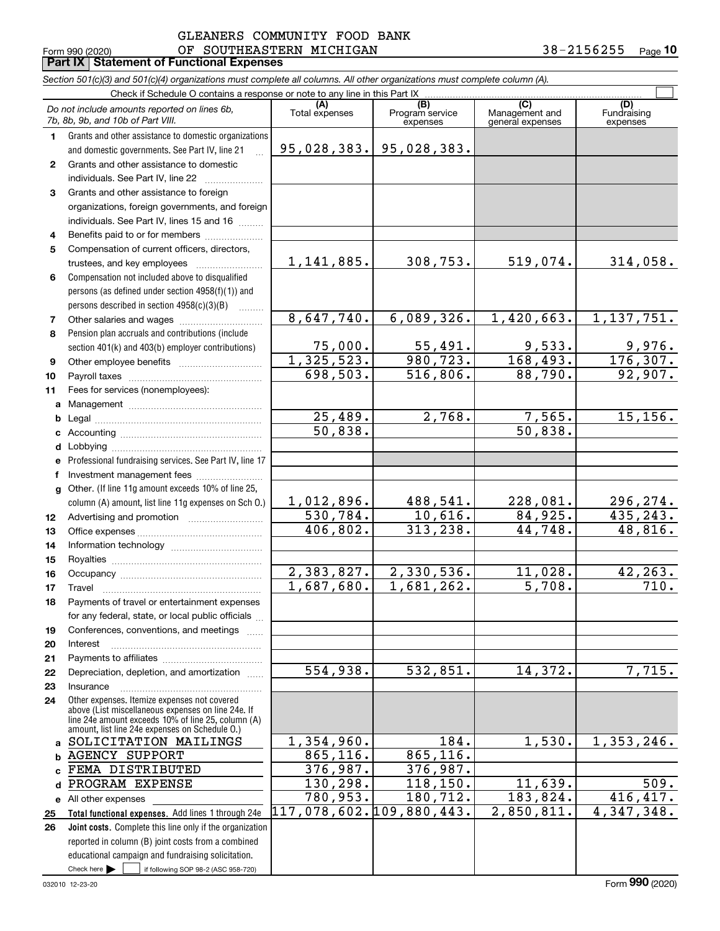#### Form 990 (2020) Page **Part IX Statement of Functional Expenses** OF SOUTHEASTERN MICHIGAN 38-2156255 GLEANERS COMMUNITY FOOD BANK

|    | Section 501(c)(3) and 501(c)(4) organizations must complete all columns. All other organizations must complete column (A).                                                                                 |                            |                                    |                                           |                                |  |  |  |  |  |  |  |  |
|----|------------------------------------------------------------------------------------------------------------------------------------------------------------------------------------------------------------|----------------------------|------------------------------------|-------------------------------------------|--------------------------------|--|--|--|--|--|--|--|--|
|    | Check if Schedule O contains a response or note to any line in this Part IX                                                                                                                                |                            |                                    |                                           |                                |  |  |  |  |  |  |  |  |
|    | Do not include amounts reported on lines 6b,<br>7b, 8b, 9b, and 10b of Part VIII.                                                                                                                          | (A)<br>Total expenses      | (B)<br>Program service<br>expenses | (C)<br>Management and<br>general expenses | (D)<br>Fundraising<br>expenses |  |  |  |  |  |  |  |  |
| 1. | Grants and other assistance to domestic organizations                                                                                                                                                      |                            |                                    |                                           |                                |  |  |  |  |  |  |  |  |
|    | and domestic governments. See Part IV, line 21                                                                                                                                                             | 95,028,383.                | 95,028,383.                        |                                           |                                |  |  |  |  |  |  |  |  |
| 2  | Grants and other assistance to domestic                                                                                                                                                                    |                            |                                    |                                           |                                |  |  |  |  |  |  |  |  |
|    | individuals. See Part IV, line 22                                                                                                                                                                          |                            |                                    |                                           |                                |  |  |  |  |  |  |  |  |
| 3  | Grants and other assistance to foreign                                                                                                                                                                     |                            |                                    |                                           |                                |  |  |  |  |  |  |  |  |
|    | organizations, foreign governments, and foreign                                                                                                                                                            |                            |                                    |                                           |                                |  |  |  |  |  |  |  |  |
|    | individuals. See Part IV, lines 15 and 16                                                                                                                                                                  |                            |                                    |                                           |                                |  |  |  |  |  |  |  |  |
| 4  | Benefits paid to or for members                                                                                                                                                                            |                            |                                    |                                           |                                |  |  |  |  |  |  |  |  |
| 5  | Compensation of current officers, directors,                                                                                                                                                               |                            |                                    |                                           |                                |  |  |  |  |  |  |  |  |
|    | trustees, and key employees                                                                                                                                                                                | 1,141,885.                 | 308, 753.                          | 519,074.                                  | 314,058.                       |  |  |  |  |  |  |  |  |
| 6  | Compensation not included above to disqualified                                                                                                                                                            |                            |                                    |                                           |                                |  |  |  |  |  |  |  |  |
|    | persons (as defined under section 4958(f)(1)) and                                                                                                                                                          |                            |                                    |                                           |                                |  |  |  |  |  |  |  |  |
|    | persons described in section 4958(c)(3)(B)                                                                                                                                                                 |                            |                                    |                                           |                                |  |  |  |  |  |  |  |  |
| 7  | Other salaries and wages                                                                                                                                                                                   | 8,647,740.                 | 6,089,326.                         | 1,420,663.                                | 1, 137, 751.                   |  |  |  |  |  |  |  |  |
| 8  | Pension plan accruals and contributions (include                                                                                                                                                           |                            |                                    |                                           |                                |  |  |  |  |  |  |  |  |
|    | section 401(k) and 403(b) employer contributions)                                                                                                                                                          | $\frac{75,000}{1,325,523}$ | $\frac{55,491}{980,723}$           | $\frac{9,533}{168,493}$ .                 | $\frac{9,976}{176,307}$        |  |  |  |  |  |  |  |  |
| 9  |                                                                                                                                                                                                            |                            |                                    |                                           |                                |  |  |  |  |  |  |  |  |
| 10 |                                                                                                                                                                                                            | 698,503.                   | 516,806.                           | 88,790.                                   | 92,907.                        |  |  |  |  |  |  |  |  |
| 11 | Fees for services (nonemployees):                                                                                                                                                                          |                            |                                    |                                           |                                |  |  |  |  |  |  |  |  |
| a  |                                                                                                                                                                                                            |                            |                                    |                                           |                                |  |  |  |  |  |  |  |  |
| b  |                                                                                                                                                                                                            | 25,489.                    | 2,768.                             | 7,565.                                    | 15, 156.                       |  |  |  |  |  |  |  |  |
|    |                                                                                                                                                                                                            | 50,838.                    |                                    | 50,838.                                   |                                |  |  |  |  |  |  |  |  |
|    |                                                                                                                                                                                                            |                            |                                    |                                           |                                |  |  |  |  |  |  |  |  |
|    | Professional fundraising services. See Part IV, line 17                                                                                                                                                    |                            |                                    |                                           |                                |  |  |  |  |  |  |  |  |
| f  | Investment management fees                                                                                                                                                                                 |                            |                                    |                                           |                                |  |  |  |  |  |  |  |  |
| g  | Other. (If line 11g amount exceeds 10% of line 25,                                                                                                                                                         |                            |                                    |                                           |                                |  |  |  |  |  |  |  |  |
|    | column (A) amount, list line 11g expenses on Sch 0.)                                                                                                                                                       | 1,012,896.<br>530,784.     | 488,541.                           | <u>228,081.</u>                           | 296,274.                       |  |  |  |  |  |  |  |  |
| 12 |                                                                                                                                                                                                            | 406,802.                   | 10,616.<br>313,238.                | 84,925.<br>44,748.                        | 435, 243.<br>48,816.           |  |  |  |  |  |  |  |  |
| 13 |                                                                                                                                                                                                            |                            |                                    |                                           |                                |  |  |  |  |  |  |  |  |
| 14 |                                                                                                                                                                                                            |                            |                                    |                                           |                                |  |  |  |  |  |  |  |  |
| 15 |                                                                                                                                                                                                            | 2,383,827.                 | 2,330,536.                         | 11,028.                                   | 42,263.                        |  |  |  |  |  |  |  |  |
| 16 |                                                                                                                                                                                                            | 1,687,680.                 | 1,681,262.                         | $\overline{5,708}$ .                      | $\overline{710}$ .             |  |  |  |  |  |  |  |  |
| 17 | Payments of travel or entertainment expenses                                                                                                                                                               |                            |                                    |                                           |                                |  |  |  |  |  |  |  |  |
| 18 | for any federal, state, or local public officials                                                                                                                                                          |                            |                                    |                                           |                                |  |  |  |  |  |  |  |  |
| 19 | Conferences, conventions, and meetings                                                                                                                                                                     |                            |                                    |                                           |                                |  |  |  |  |  |  |  |  |
| 20 | Interest                                                                                                                                                                                                   |                            |                                    |                                           |                                |  |  |  |  |  |  |  |  |
| 21 |                                                                                                                                                                                                            |                            |                                    |                                           |                                |  |  |  |  |  |  |  |  |
| 22 | Depreciation, depletion, and amortization                                                                                                                                                                  | $\overline{554,938}$ .     | 532,851.                           | 14,372.                                   | 7,715.                         |  |  |  |  |  |  |  |  |
| 23 | Insurance                                                                                                                                                                                                  |                            |                                    |                                           |                                |  |  |  |  |  |  |  |  |
| 24 | Other expenses. Itemize expenses not covered<br>above (List miscellaneous expenses on line 24e. If<br>line 24e amount exceeds 10% of line 25, column (A)<br>amount, list line 24e expenses on Schedule O.) |                            |                                    |                                           |                                |  |  |  |  |  |  |  |  |
| a  | SOLICITATION MAILINGS                                                                                                                                                                                      | 1,354,960.                 | 184.                               | 1,530.                                    | 1,353,246.                     |  |  |  |  |  |  |  |  |
| b  | <b>AGENCY SUPPORT</b>                                                                                                                                                                                      | 865, 116.                  | 865, 116.                          |                                           |                                |  |  |  |  |  |  |  |  |
|    | FEMA DISTRIBUTED                                                                                                                                                                                           | 376,987.                   | 376,987.                           |                                           |                                |  |  |  |  |  |  |  |  |
| d  | PROGRAM EXPENSE                                                                                                                                                                                            | 130,298.                   | 118, 150.                          | 11,639.                                   | 509.                           |  |  |  |  |  |  |  |  |
|    | e All other expenses                                                                                                                                                                                       | 780,953.                   | 180,712.                           | 183,824.                                  | 416, 417.                      |  |  |  |  |  |  |  |  |
| 25 | Total functional expenses. Add lines 1 through 24e                                                                                                                                                         | 117,078,602.109,880,443.   |                                    | 2,850,811.                                | 4,347,348.                     |  |  |  |  |  |  |  |  |
| 26 | <b>Joint costs.</b> Complete this line only if the organization                                                                                                                                            |                            |                                    |                                           |                                |  |  |  |  |  |  |  |  |
|    | reported in column (B) joint costs from a combined                                                                                                                                                         |                            |                                    |                                           |                                |  |  |  |  |  |  |  |  |
|    | educational campaign and fundraising solicitation.                                                                                                                                                         |                            |                                    |                                           |                                |  |  |  |  |  |  |  |  |
|    | Check here $\blacktriangleright$<br>if following SOP 98-2 (ASC 958-720)                                                                                                                                    |                            |                                    |                                           |                                |  |  |  |  |  |  |  |  |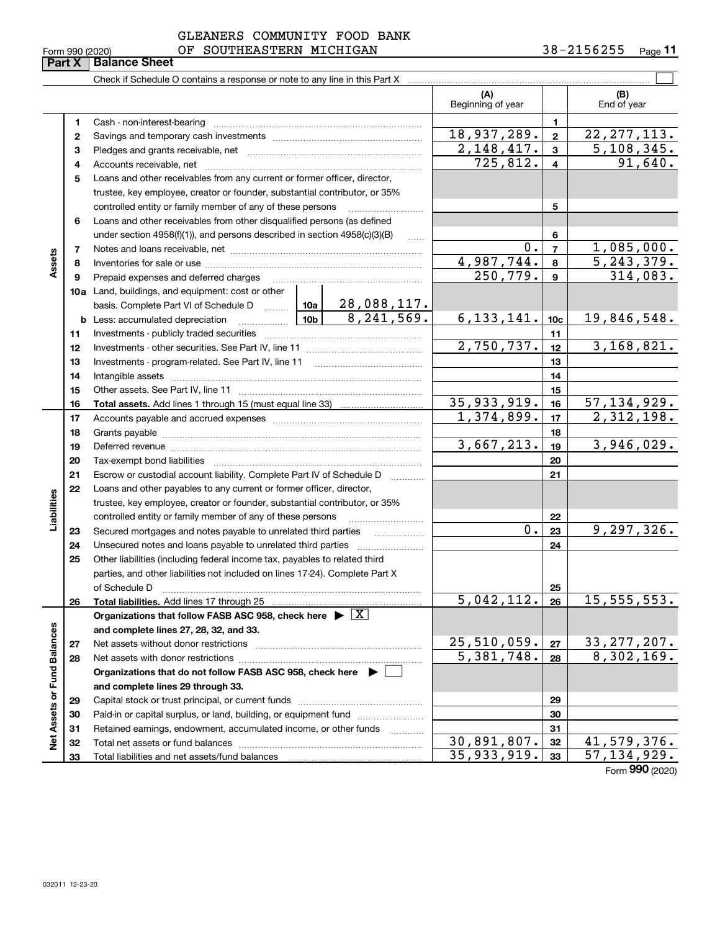|                 | GLEANERS COMMUNITY FOOD BANK |            |         |
|-----------------|------------------------------|------------|---------|
| Form 990 (2020) | ' SOUTHEASTERN MICHIGAN      | 38-2156255 | Page 1. |

|                             |    |                                                                                                                |            |              | (A)<br>Beginning of year  |                 | (B)<br>End of year |
|-----------------------------|----|----------------------------------------------------------------------------------------------------------------|------------|--------------|---------------------------|-----------------|--------------------|
|                             | 1  |                                                                                                                |            |              |                           | 1               |                    |
|                             | 2  |                                                                                                                |            |              | 18,937,289.               | $\mathbf{2}$    | 22, 277, 113.      |
|                             | 3  |                                                                                                                |            |              | 2,148,417.                | $\mathbf{3}$    | 5,108,345.         |
|                             | 4  |                                                                                                                |            |              | 725,812.                  | $\overline{4}$  | 91,640.            |
|                             | 5  | Loans and other receivables from any current or former officer, director,                                      |            |              |                           |                 |                    |
|                             |    | trustee, key employee, creator or founder, substantial contributor, or 35%                                     |            |              |                           |                 |                    |
|                             |    | controlled entity or family member of any of these persons                                                     |            |              |                           | 5               |                    |
|                             | 6  | Loans and other receivables from other disqualified persons (as defined                                        |            |              |                           |                 |                    |
|                             |    | under section $4958(f)(1)$ , and persons described in section $4958(c)(3)(B)$                                  |            | $\ldots$     |                           | 6               |                    |
|                             | 7  |                                                                                                                |            |              | 0.                        | $\overline{7}$  | 1,085,000.         |
| Assets                      | 8  |                                                                                                                | 4,987,744. | 8            | 5, 243, 379.              |                 |                    |
|                             | 9  | Prepaid expenses and deferred charges                                                                          | 250,779.   | 9            | 314,083.                  |                 |                    |
|                             |    | <b>10a</b> Land, buildings, and equipment: cost or other                                                       |            |              |                           |                 |                    |
|                             |    | basis. Complete Part VI of Schedule D    10a   28, 088, 117.                                                   |            |              |                           |                 |                    |
|                             |    | <u>  1</u> 0b  <br><b>b</b> Less: accumulated depreciation                                                     |            | 8, 241, 569. | 6, 133, 141.              | 10 <sub>c</sub> | 19,846,548.        |
|                             | 11 |                                                                                                                |            |              | 11                        |                 |                    |
|                             | 12 |                                                                                                                |            | 2,750,737.   | 12                        | 3,168,821.      |                    |
|                             | 13 |                                                                                                                |            | 13           |                           |                 |                    |
|                             | 14 | Intangible assets with an according to the set of the set of the set of the set of the set of the set of the s |            |              | 14                        |                 |                    |
|                             | 15 |                                                                                                                |            | 15           |                           |                 |                    |
|                             | 16 |                                                                                                                |            |              | 35,933,919.               | 16              | 57, 134, 929.      |
|                             | 17 |                                                                                                                |            |              | 1,374,899.                | 17              | 2,312,198.         |
|                             | 18 |                                                                                                                |            | 18           |                           |                 |                    |
|                             | 19 |                                                                                                                | 3,667,213. | 19           | 3,946,029.                |                 |                    |
|                             | 20 |                                                                                                                |            | 20           |                           |                 |                    |
|                             | 21 | Escrow or custodial account liability. Complete Part IV of Schedule D                                          |            |              |                           | 21              |                    |
|                             | 22 | Loans and other payables to any current or former officer, director,                                           |            |              |                           |                 |                    |
| Liabilities                 |    | trustee, key employee, creator or founder, substantial contributor, or 35%                                     |            |              |                           |                 |                    |
|                             |    | controlled entity or family member of any of these persons                                                     |            |              |                           | 22              |                    |
|                             | 23 | Secured mortgages and notes payable to unrelated third parties                                                 |            |              | 0.                        | 23              | 9,297,326.         |
|                             | 24 | Unsecured notes and loans payable to unrelated third parties                                                   |            |              |                           | 24              |                    |
|                             | 25 | Other liabilities (including federal income tax, payables to related third                                     |            |              |                           |                 |                    |
|                             |    | parties, and other liabilities not included on lines 17-24). Complete Part X                                   |            |              |                           |                 |                    |
|                             |    | of Schedule D                                                                                                  |            |              |                           | 25              |                    |
|                             | 26 | Total liabilities. Add lines 17 through 25 [11, 12, 13, 13, 13, 14, 14, 15, 15, 15, 15, 16, 16, 17, 17, 17, 1  |            |              | 5,042,112.                | 26              | 15, 555, 553.      |
|                             |    | Organizations that follow FASB ASC 958, check here $\blacktriangleright \lfloor X \rfloor$                     |            |              |                           |                 |                    |
|                             |    | and complete lines 27, 28, 32, and 33.                                                                         |            |              |                           |                 |                    |
|                             | 27 |                                                                                                                |            |              | 25,510,059.               | 27              | 33, 277, 207.      |
|                             | 28 |                                                                                                                |            |              | 5,381,748.                | 28              | 8,302,169.         |
|                             |    | Organizations that do not follow FASB ASC 958, check here ▶ □                                                  |            |              |                           |                 |                    |
| Net Assets or Fund Balances |    | and complete lines 29 through 33.                                                                              |            |              |                           |                 |                    |
|                             | 29 |                                                                                                                |            |              |                           | 29              |                    |
|                             | 30 | Paid-in or capital surplus, or land, building, or equipment fund                                               |            |              |                           | 30              |                    |
|                             | 31 | Retained earnings, endowment, accumulated income, or other funds                                               |            |              |                           | 31              |                    |
|                             | 32 |                                                                                                                |            |              | $\overline{30,891,807}$ . | 32              | 41,579,376.        |
|                             | 33 |                                                                                                                |            |              | 35, 933, 919.             | 33              | 57, 134, 929.      |

Form (2020) **990**

**Part X Balance Sheet**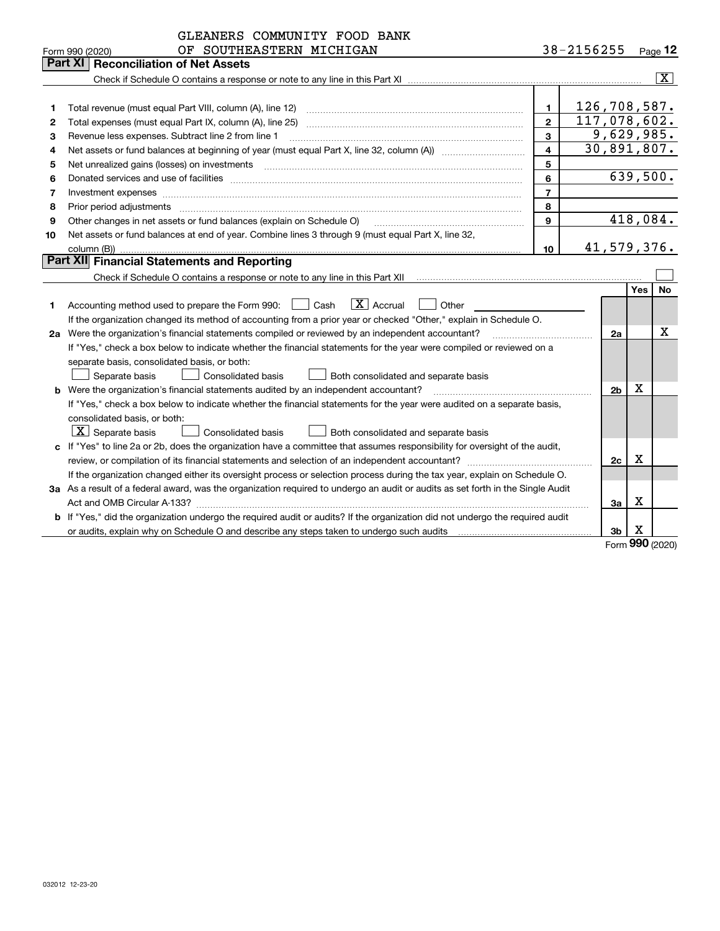|    | OF SOUTHEASTERN MICHIGAN<br>Form 990 (2020)                                                                                                                                                                                    |                | 38-2156255   |                |            | Page $12$               |
|----|--------------------------------------------------------------------------------------------------------------------------------------------------------------------------------------------------------------------------------|----------------|--------------|----------------|------------|-------------------------|
|    | Part XI<br><b>Reconciliation of Net Assets</b>                                                                                                                                                                                 |                |              |                |            |                         |
|    |                                                                                                                                                                                                                                |                |              |                |            | $\overline{\mathbf{X}}$ |
|    |                                                                                                                                                                                                                                |                |              |                |            |                         |
| 1  | Total revenue (must equal Part VIII, column (A), line 12)                                                                                                                                                                      | $\mathbf{1}$   | 126,708,587. |                |            |                         |
| 2  |                                                                                                                                                                                                                                | $\overline{2}$ | 117,078,602. |                |            |                         |
| з  | Revenue less expenses. Subtract line 2 from line 1                                                                                                                                                                             | 3              |              | 9,629,985.     |            |                         |
| 4  |                                                                                                                                                                                                                                | $\overline{4}$ |              | 30,891,807.    |            |                         |
| 5  | Net unrealized gains (losses) on investments                                                                                                                                                                                   | 5              |              |                |            |                         |
| 6  | Donated services and use of facilities [111] Donated and the service of facilities [11] Donated services and use of facilities [11] Donated and the service of the service of the service of the service of the service of the | 6              |              |                |            | 639,500.                |
| 7  | Investment expenses www.communication.com/www.communication.com/www.communication.com/www.com                                                                                                                                  | $\overline{7}$ |              |                |            |                         |
| 8  | Prior period adjustments                                                                                                                                                                                                       | 8              |              |                |            |                         |
| 9  | Other changes in net assets or fund balances (explain on Schedule O)                                                                                                                                                           | $\mathbf{Q}$   |              |                |            | 418,084.                |
| 10 | Net assets or fund balances at end of year. Combine lines 3 through 9 (must equal Part X, line 32,                                                                                                                             |                |              |                |            |                         |
|    | column (B))                                                                                                                                                                                                                    | 10             |              | 41,579,376.    |            |                         |
|    | Part XII Financial Statements and Reporting                                                                                                                                                                                    |                |              |                |            |                         |
|    |                                                                                                                                                                                                                                |                |              |                |            |                         |
|    |                                                                                                                                                                                                                                |                |              |                | <b>Yes</b> | <b>No</b>               |
| 1  | $ X $ Accrual<br>Accounting method used to prepare the Form 990: <u>I</u> Cash<br>Other                                                                                                                                        |                |              |                |            |                         |
|    | If the organization changed its method of accounting from a prior year or checked "Other," explain in Schedule O.                                                                                                              |                |              |                |            |                         |
|    | 2a Were the organization's financial statements compiled or reviewed by an independent accountant?                                                                                                                             |                |              | 2a             |            | x                       |
|    | If "Yes," check a box below to indicate whether the financial statements for the year were compiled or reviewed on a                                                                                                           |                |              |                |            |                         |
|    | separate basis, consolidated basis, or both:                                                                                                                                                                                   |                |              |                |            |                         |
|    | Separate basis<br>Consolidated basis<br>Both consolidated and separate basis                                                                                                                                                   |                |              |                |            |                         |
|    | <b>b</b> Were the organization's financial statements audited by an independent accountant?                                                                                                                                    |                |              | 2 <sub>b</sub> | X          |                         |
|    | If "Yes," check a box below to indicate whether the financial statements for the year were audited on a separate basis,                                                                                                        |                |              |                |            |                         |
|    | consolidated basis, or both:                                                                                                                                                                                                   |                |              |                |            |                         |
|    | $\lfloor x \rfloor$ Separate basis<br><b>Consolidated basis</b><br>Both consolidated and separate basis                                                                                                                        |                |              |                |            |                         |
|    | c If "Yes" to line 2a or 2b, does the organization have a committee that assumes responsibility for oversight of the audit,                                                                                                    |                |              |                |            |                         |
|    |                                                                                                                                                                                                                                |                |              | 2c             | Χ          |                         |
|    | If the organization changed either its oversight process or selection process during the tax year, explain on Schedule O.                                                                                                      |                |              |                |            |                         |
|    | 3a As a result of a federal award, was the organization required to undergo an audit or audits as set forth in the Single Audit                                                                                                |                |              |                |            |                         |
|    |                                                                                                                                                                                                                                |                |              | За             | Χ          |                         |
|    | b If "Yes," did the organization undergo the required audit or audits? If the organization did not undergo the required audit                                                                                                  |                |              |                |            |                         |
|    |                                                                                                                                                                                                                                |                |              | 3b             | X<br>nnn   |                         |

Form (2020) **990**

## GLEANERS COMMUNITY FOOD BANK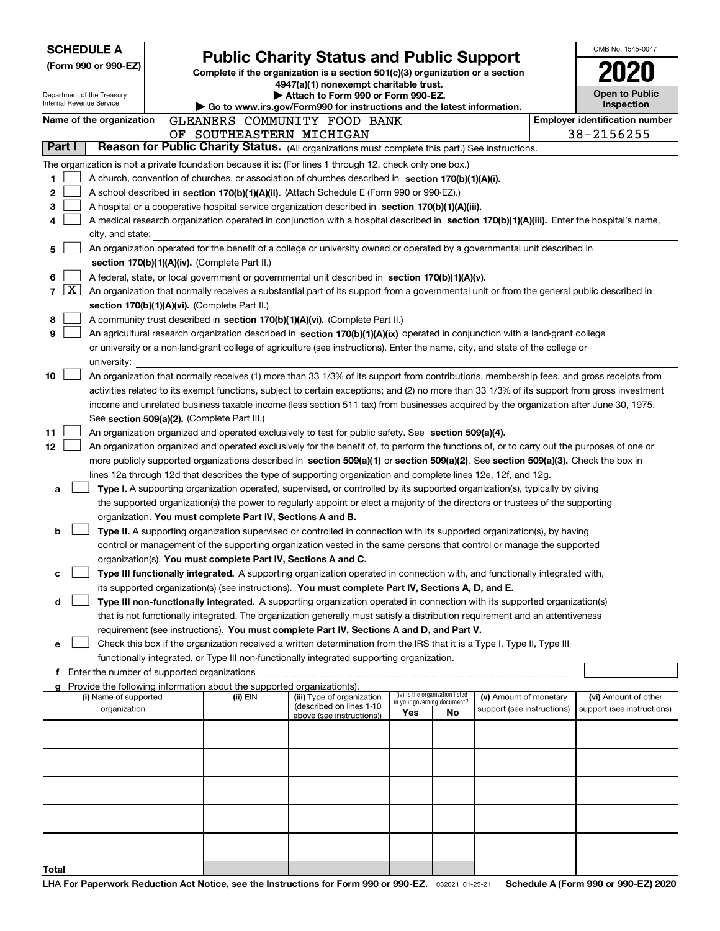| <b>SCHEDULE A</b><br>(Form 990 or 990-EZ)<br>Department of the Treasury<br>Internal Revenue Service |                                               |                                               |  | <b>Public Charity Status and Public Support</b><br>Complete if the organization is a section 501(c)(3) organization or a section<br>4947(a)(1) nonexempt charitable trust.<br>Attach to Form 990 or Form 990-EZ.<br>Go to www.irs.gov/Form990 for instructions and the latest information. |                                                                                                                                                                                                                                                                 | OMB No. 1545-0047<br><b>Open to Public</b><br>Inspection |                                 |                            |  |                                       |  |  |
|-----------------------------------------------------------------------------------------------------|-----------------------------------------------|-----------------------------------------------|--|--------------------------------------------------------------------------------------------------------------------------------------------------------------------------------------------------------------------------------------------------------------------------------------------|-----------------------------------------------------------------------------------------------------------------------------------------------------------------------------------------------------------------------------------------------------------------|----------------------------------------------------------|---------------------------------|----------------------------|--|---------------------------------------|--|--|
|                                                                                                     |                                               | Name of the organization                      |  |                                                                                                                                                                                                                                                                                            | GLEANERS COMMUNITY FOOD BANK                                                                                                                                                                                                                                    |                                                          |                                 |                            |  | <b>Employer identification number</b> |  |  |
|                                                                                                     |                                               |                                               |  | OF SOUTHEASTERN MICHIGAN                                                                                                                                                                                                                                                                   |                                                                                                                                                                                                                                                                 |                                                          |                                 |                            |  | 38-2156255                            |  |  |
|                                                                                                     | Part I                                        |                                               |  |                                                                                                                                                                                                                                                                                            | Reason for Public Charity Status. (All organizations must complete this part.) See instructions.                                                                                                                                                                |                                                          |                                 |                            |  |                                       |  |  |
|                                                                                                     |                                               |                                               |  |                                                                                                                                                                                                                                                                                            | The organization is not a private foundation because it is: (For lines 1 through 12, check only one box.)                                                                                                                                                       |                                                          |                                 |                            |  |                                       |  |  |
| 1                                                                                                   |                                               |                                               |  |                                                                                                                                                                                                                                                                                            | A church, convention of churches, or association of churches described in section 170(b)(1)(A)(i).                                                                                                                                                              |                                                          |                                 |                            |  |                                       |  |  |
| 2                                                                                                   |                                               |                                               |  |                                                                                                                                                                                                                                                                                            | A school described in section 170(b)(1)(A)(ii). (Attach Schedule E (Form 990 or 990-EZ).)                                                                                                                                                                       |                                                          |                                 |                            |  |                                       |  |  |
| 3                                                                                                   |                                               |                                               |  |                                                                                                                                                                                                                                                                                            | A hospital or a cooperative hospital service organization described in section 170(b)(1)(A)(iii).                                                                                                                                                               |                                                          |                                 |                            |  |                                       |  |  |
| 4                                                                                                   |                                               |                                               |  |                                                                                                                                                                                                                                                                                            | A medical research organization operated in conjunction with a hospital described in section 170(b)(1)(A)(iii). Enter the hospital's name,                                                                                                                      |                                                          |                                 |                            |  |                                       |  |  |
|                                                                                                     |                                               | city, and state:                              |  |                                                                                                                                                                                                                                                                                            |                                                                                                                                                                                                                                                                 |                                                          |                                 |                            |  |                                       |  |  |
| 5                                                                                                   |                                               |                                               |  |                                                                                                                                                                                                                                                                                            | An organization operated for the benefit of a college or university owned or operated by a governmental unit described in                                                                                                                                       |                                                          |                                 |                            |  |                                       |  |  |
|                                                                                                     | section 170(b)(1)(A)(iv). (Complete Part II.) |                                               |  |                                                                                                                                                                                                                                                                                            |                                                                                                                                                                                                                                                                 |                                                          |                                 |                            |  |                                       |  |  |
| 6                                                                                                   |                                               |                                               |  |                                                                                                                                                                                                                                                                                            | A federal, state, or local government or governmental unit described in section 170(b)(1)(A)(v).                                                                                                                                                                |                                                          |                                 |                            |  |                                       |  |  |
| 7                                                                                                   | $\boxed{\text{X}}$                            |                                               |  |                                                                                                                                                                                                                                                                                            | An organization that normally receives a substantial part of its support from a governmental unit or from the general public described in                                                                                                                       |                                                          |                                 |                            |  |                                       |  |  |
|                                                                                                     |                                               |                                               |  | section 170(b)(1)(A)(vi). (Complete Part II.)                                                                                                                                                                                                                                              |                                                                                                                                                                                                                                                                 |                                                          |                                 |                            |  |                                       |  |  |
| 8<br>9                                                                                              |                                               |                                               |  |                                                                                                                                                                                                                                                                                            | A community trust described in section 170(b)(1)(A)(vi). (Complete Part II.)                                                                                                                                                                                    |                                                          |                                 |                            |  |                                       |  |  |
|                                                                                                     |                                               |                                               |  |                                                                                                                                                                                                                                                                                            | An agricultural research organization described in section 170(b)(1)(A)(ix) operated in conjunction with a land-grant college<br>or university or a non-land-grant college of agriculture (see instructions). Enter the name, city, and state of the college or |                                                          |                                 |                            |  |                                       |  |  |
|                                                                                                     |                                               | university:                                   |  |                                                                                                                                                                                                                                                                                            |                                                                                                                                                                                                                                                                 |                                                          |                                 |                            |  |                                       |  |  |
| 10                                                                                                  |                                               |                                               |  |                                                                                                                                                                                                                                                                                            | An organization that normally receives (1) more than 33 1/3% of its support from contributions, membership fees, and gross receipts from                                                                                                                        |                                                          |                                 |                            |  |                                       |  |  |
|                                                                                                     |                                               |                                               |  |                                                                                                                                                                                                                                                                                            | activities related to its exempt functions, subject to certain exceptions; and (2) no more than 33 1/3% of its support from gross investment                                                                                                                    |                                                          |                                 |                            |  |                                       |  |  |
|                                                                                                     |                                               |                                               |  |                                                                                                                                                                                                                                                                                            | income and unrelated business taxable income (less section 511 tax) from businesses acquired by the organization after June 30, 1975.                                                                                                                           |                                                          |                                 |                            |  |                                       |  |  |
|                                                                                                     |                                               |                                               |  | See section 509(a)(2). (Complete Part III.)                                                                                                                                                                                                                                                |                                                                                                                                                                                                                                                                 |                                                          |                                 |                            |  |                                       |  |  |
| 11                                                                                                  |                                               |                                               |  |                                                                                                                                                                                                                                                                                            | An organization organized and operated exclusively to test for public safety. See section 509(a)(4).                                                                                                                                                            |                                                          |                                 |                            |  |                                       |  |  |
| 12                                                                                                  |                                               |                                               |  |                                                                                                                                                                                                                                                                                            | An organization organized and operated exclusively for the benefit of, to perform the functions of, or to carry out the purposes of one or                                                                                                                      |                                                          |                                 |                            |  |                                       |  |  |
|                                                                                                     |                                               |                                               |  |                                                                                                                                                                                                                                                                                            | more publicly supported organizations described in section 509(a)(1) or section 509(a)(2). See section 509(a)(3). Check the box in                                                                                                                              |                                                          |                                 |                            |  |                                       |  |  |
|                                                                                                     |                                               |                                               |  |                                                                                                                                                                                                                                                                                            | lines 12a through 12d that describes the type of supporting organization and complete lines 12e, 12f, and 12g.                                                                                                                                                  |                                                          |                                 |                            |  |                                       |  |  |
| a                                                                                                   |                                               |                                               |  |                                                                                                                                                                                                                                                                                            | Type I. A supporting organization operated, supervised, or controlled by its supported organization(s), typically by giving                                                                                                                                     |                                                          |                                 |                            |  |                                       |  |  |
|                                                                                                     |                                               |                                               |  |                                                                                                                                                                                                                                                                                            | the supported organization(s) the power to regularly appoint or elect a majority of the directors or trustees of the supporting                                                                                                                                 |                                                          |                                 |                            |  |                                       |  |  |
|                                                                                                     |                                               |                                               |  | organization. You must complete Part IV, Sections A and B.                                                                                                                                                                                                                                 |                                                                                                                                                                                                                                                                 |                                                          |                                 |                            |  |                                       |  |  |
| b                                                                                                   |                                               |                                               |  |                                                                                                                                                                                                                                                                                            | Type II. A supporting organization supervised or controlled in connection with its supported organization(s), by having                                                                                                                                         |                                                          |                                 |                            |  |                                       |  |  |
|                                                                                                     |                                               |                                               |  |                                                                                                                                                                                                                                                                                            | control or management of the supporting organization vested in the same persons that control or manage the supported                                                                                                                                            |                                                          |                                 |                            |  |                                       |  |  |
|                                                                                                     |                                               |                                               |  | organization(s). You must complete Part IV, Sections A and C.                                                                                                                                                                                                                              |                                                                                                                                                                                                                                                                 |                                                          |                                 |                            |  |                                       |  |  |
| c                                                                                                   |                                               |                                               |  |                                                                                                                                                                                                                                                                                            | Type III functionally integrated. A supporting organization operated in connection with, and functionally integrated with,                                                                                                                                      |                                                          |                                 |                            |  |                                       |  |  |
|                                                                                                     |                                               |                                               |  |                                                                                                                                                                                                                                                                                            | its supported organization(s) (see instructions). You must complete Part IV, Sections A, D, and E.                                                                                                                                                              |                                                          |                                 |                            |  |                                       |  |  |
| d                                                                                                   |                                               |                                               |  |                                                                                                                                                                                                                                                                                            | Type III non-functionally integrated. A supporting organization operated in connection with its supported organization(s)                                                                                                                                       |                                                          |                                 |                            |  |                                       |  |  |
|                                                                                                     |                                               |                                               |  |                                                                                                                                                                                                                                                                                            | that is not functionally integrated. The organization generally must satisfy a distribution requirement and an attentiveness                                                                                                                                    |                                                          |                                 |                            |  |                                       |  |  |
|                                                                                                     |                                               |                                               |  |                                                                                                                                                                                                                                                                                            | requirement (see instructions). You must complete Part IV, Sections A and D, and Part V.<br>Check this box if the organization received a written determination from the IRS that it is a Type I, Type II, Type III                                             |                                                          |                                 |                            |  |                                       |  |  |
| е                                                                                                   |                                               |                                               |  |                                                                                                                                                                                                                                                                                            | functionally integrated, or Type III non-functionally integrated supporting organization.                                                                                                                                                                       |                                                          |                                 |                            |  |                                       |  |  |
|                                                                                                     |                                               | f Enter the number of supported organizations |  |                                                                                                                                                                                                                                                                                            |                                                                                                                                                                                                                                                                 |                                                          |                                 |                            |  |                                       |  |  |
|                                                                                                     |                                               |                                               |  | g Provide the following information about the supported organization(s).                                                                                                                                                                                                                   |                                                                                                                                                                                                                                                                 |                                                          |                                 |                            |  |                                       |  |  |
|                                                                                                     |                                               | (i) Name of supported                         |  | (ii) EIN                                                                                                                                                                                                                                                                                   | (iii) Type of organization                                                                                                                                                                                                                                      | in your governing document?                              | (iv) Is the organization listed | (v) Amount of monetary     |  | (vi) Amount of other                  |  |  |
|                                                                                                     |                                               | organization                                  |  |                                                                                                                                                                                                                                                                                            | (described on lines 1-10<br>above (see instructions))                                                                                                                                                                                                           | Yes                                                      | No                              | support (see instructions) |  | support (see instructions)            |  |  |
|                                                                                                     |                                               |                                               |  |                                                                                                                                                                                                                                                                                            |                                                                                                                                                                                                                                                                 |                                                          |                                 |                            |  |                                       |  |  |
|                                                                                                     |                                               |                                               |  |                                                                                                                                                                                                                                                                                            |                                                                                                                                                                                                                                                                 |                                                          |                                 |                            |  |                                       |  |  |
|                                                                                                     |                                               |                                               |  |                                                                                                                                                                                                                                                                                            |                                                                                                                                                                                                                                                                 |                                                          |                                 |                            |  |                                       |  |  |
|                                                                                                     |                                               |                                               |  |                                                                                                                                                                                                                                                                                            |                                                                                                                                                                                                                                                                 |                                                          |                                 |                            |  |                                       |  |  |
|                                                                                                     |                                               |                                               |  |                                                                                                                                                                                                                                                                                            |                                                                                                                                                                                                                                                                 |                                                          |                                 |                            |  |                                       |  |  |
|                                                                                                     |                                               |                                               |  |                                                                                                                                                                                                                                                                                            |                                                                                                                                                                                                                                                                 |                                                          |                                 |                            |  |                                       |  |  |
|                                                                                                     |                                               |                                               |  |                                                                                                                                                                                                                                                                                            |                                                                                                                                                                                                                                                                 |                                                          |                                 |                            |  |                                       |  |  |
|                                                                                                     |                                               |                                               |  |                                                                                                                                                                                                                                                                                            |                                                                                                                                                                                                                                                                 |                                                          |                                 |                            |  |                                       |  |  |
|                                                                                                     |                                               |                                               |  |                                                                                                                                                                                                                                                                                            |                                                                                                                                                                                                                                                                 |                                                          |                                 |                            |  |                                       |  |  |
|                                                                                                     |                                               |                                               |  |                                                                                                                                                                                                                                                                                            |                                                                                                                                                                                                                                                                 |                                                          |                                 |                            |  |                                       |  |  |
| Total                                                                                               |                                               |                                               |  |                                                                                                                                                                                                                                                                                            |                                                                                                                                                                                                                                                                 |                                                          |                                 |                            |  |                                       |  |  |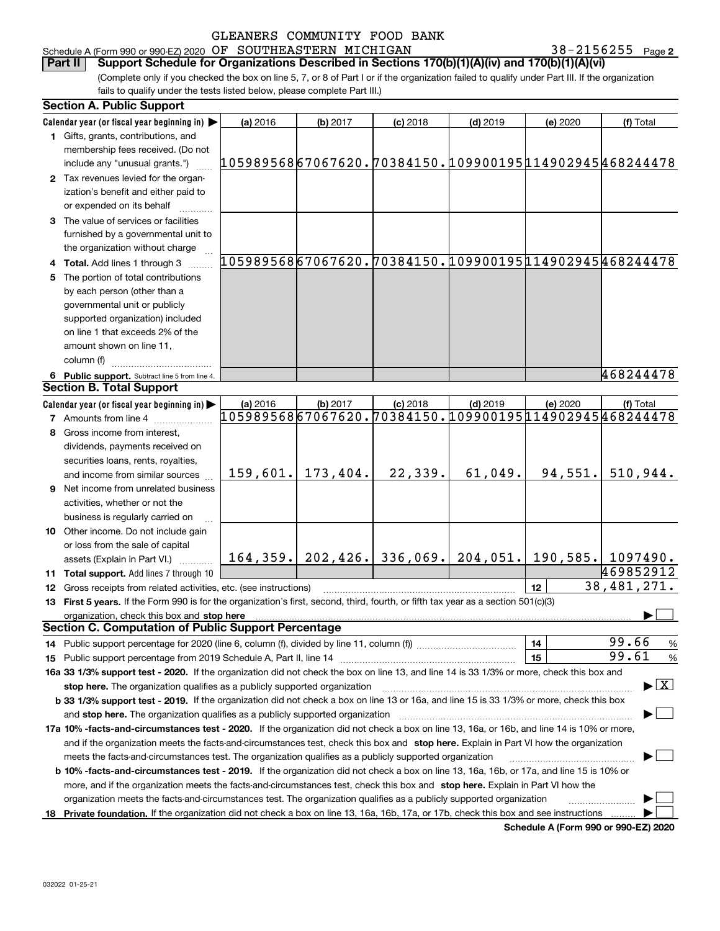#### Schedule A (Form 990 or 990-EZ) 2020 Page OF SOUTHEASTERN MICHIGAN 38-2156255

**2**

(Complete only if you checked the box on line 5, 7, or 8 of Part I or if the organization failed to qualify under Part III. If the organization fails to qualify under the tests listed below, please complete Part III.) **Part II Support Schedule for Organizations Described in Sections 170(b)(1)(A)(iv) and 170(b)(1)(A)(vi)**

|     | <b>Section A. Public Support</b>                                                                                                               |                                                             |                       |            |                                       |          |                                          |
|-----|------------------------------------------------------------------------------------------------------------------------------------------------|-------------------------------------------------------------|-----------------------|------------|---------------------------------------|----------|------------------------------------------|
|     | Calendar year (or fiscal year beginning in)                                                                                                    | (a) 2016                                                    | (b) 2017              | $(c)$ 2018 | $(d)$ 2019                            | (e) 2020 | (f) Total                                |
|     | 1 Gifts, grants, contributions, and                                                                                                            |                                                             |                       |            |                                       |          |                                          |
|     | membership fees received. (Do not                                                                                                              |                                                             |                       |            |                                       |          |                                          |
|     | include any "unusual grants.")                                                                                                                 | 105989568 67067620. 70384150. 109900195 114902945 468244478 |                       |            |                                       |          |                                          |
|     | 2 Tax revenues levied for the organ-                                                                                                           |                                                             |                       |            |                                       |          |                                          |
|     | ization's benefit and either paid to                                                                                                           |                                                             |                       |            |                                       |          |                                          |
|     | or expended on its behalf                                                                                                                      |                                                             |                       |            |                                       |          |                                          |
|     | 3 The value of services or facilities                                                                                                          |                                                             |                       |            |                                       |          |                                          |
|     | furnished by a governmental unit to                                                                                                            |                                                             |                       |            |                                       |          |                                          |
|     | the organization without charge                                                                                                                |                                                             |                       |            |                                       |          |                                          |
|     | 4 Total. Add lines 1 through 3                                                                                                                 | 10598956867067620.70384150.109900195114902945 468244478     |                       |            |                                       |          |                                          |
|     | 5 The portion of total contributions                                                                                                           |                                                             |                       |            |                                       |          |                                          |
|     | by each person (other than a                                                                                                                   |                                                             |                       |            |                                       |          |                                          |
|     | governmental unit or publicly                                                                                                                  |                                                             |                       |            |                                       |          |                                          |
|     | supported organization) included                                                                                                               |                                                             |                       |            |                                       |          |                                          |
|     | on line 1 that exceeds 2% of the                                                                                                               |                                                             |                       |            |                                       |          |                                          |
|     | amount shown on line 11,                                                                                                                       |                                                             |                       |            |                                       |          |                                          |
|     | column (f)                                                                                                                                     |                                                             |                       |            |                                       |          |                                          |
|     | 6 Public support. Subtract line 5 from line 4.                                                                                                 |                                                             |                       |            |                                       |          | 468244478                                |
|     | <b>Section B. Total Support</b>                                                                                                                |                                                             |                       |            |                                       |          |                                          |
|     | Calendar year (or fiscal year beginning in)                                                                                                    | (a) 2016                                                    | (b) 2017              | $(c)$ 2018 | $(d)$ 2019                            | (e) 2020 | (f) Total                                |
|     | <b>7</b> Amounts from line 4                                                                                                                   | 10598956867067620.70384150.109900195114902945468244478      |                       |            |                                       |          |                                          |
|     | 8 Gross income from interest,                                                                                                                  |                                                             |                       |            |                                       |          |                                          |
|     | dividends, payments received on                                                                                                                |                                                             |                       |            |                                       |          |                                          |
|     | securities loans, rents, royalties,                                                                                                            |                                                             |                       |            |                                       |          |                                          |
|     | and income from similar sources                                                                                                                | 159,601.                                                    | 173,404.              | 22,339.    | 61,049.                               | 94,551.  | 510,944.                                 |
|     | 9 Net income from unrelated business                                                                                                           |                                                             |                       |            |                                       |          |                                          |
|     | activities, whether or not the                                                                                                                 |                                                             |                       |            |                                       |          |                                          |
|     | business is regularly carried on                                                                                                               |                                                             |                       |            |                                       |          |                                          |
|     | 10 Other income. Do not include gain                                                                                                           |                                                             |                       |            |                                       |          |                                          |
|     | or loss from the sale of capital                                                                                                               |                                                             |                       |            |                                       |          |                                          |
|     | assets (Explain in Part VI.)                                                                                                                   |                                                             | $164, 359.$ 202, 426. |            | $336,069.$ 204,051. 190,585. 1097490. |          |                                          |
|     | 11 Total support. Add lines 7 through 10                                                                                                       |                                                             |                       |            |                                       |          | 469852912                                |
|     | <b>12</b> Gross receipts from related activities, etc. (see instructions)                                                                      |                                                             |                       |            |                                       | 12       | 38,481,271.                              |
|     | 13 First 5 years. If the Form 990 is for the organization's first, second, third, fourth, or fifth tax year as a section 501(c)(3)             |                                                             |                       |            |                                       |          |                                          |
|     | organization, check this box and stop here                                                                                                     |                                                             |                       |            |                                       |          |                                          |
|     | <b>Section C. Computation of Public Support Percentage</b>                                                                                     |                                                             |                       |            |                                       |          |                                          |
|     |                                                                                                                                                |                                                             |                       |            |                                       | 14       | 99.66<br>%                               |
|     |                                                                                                                                                |                                                             |                       |            |                                       | 15       | 99.61<br>$\%$                            |
|     | 16a 33 1/3% support test - 2020. If the organization did not check the box on line 13, and line 14 is 33 1/3% or more, check this box and      |                                                             |                       |            |                                       |          |                                          |
|     | stop here. The organization qualifies as a publicly supported organization                                                                     |                                                             |                       |            |                                       |          | $\blacktriangleright$ $\boxed{\text{X}}$ |
|     | b 33 1/3% support test - 2019. If the organization did not check a box on line 13 or 16a, and line 15 is 33 1/3% or more, check this box       |                                                             |                       |            |                                       |          |                                          |
|     | and stop here. The organization qualifies as a publicly supported organization                                                                 |                                                             |                       |            |                                       |          |                                          |
|     | 17a 10% -facts-and-circumstances test - 2020. If the organization did not check a box on line 13, 16a, or 16b, and line 14 is 10% or more,     |                                                             |                       |            |                                       |          |                                          |
|     | and if the organization meets the facts-and-circumstances test, check this box and stop here. Explain in Part VI how the organization          |                                                             |                       |            |                                       |          |                                          |
|     | meets the facts-and-circumstances test. The organization qualifies as a publicly supported organization                                        |                                                             |                       |            |                                       |          |                                          |
|     | <b>b 10% -facts-and-circumstances test - 2019.</b> If the organization did not check a box on line 13, 16a, 16b, or 17a, and line 15 is 10% or |                                                             |                       |            |                                       |          |                                          |
|     | more, and if the organization meets the facts-and-circumstances test, check this box and stop here. Explain in Part VI how the                 |                                                             |                       |            |                                       |          |                                          |
|     | organization meets the facts-and-circumstances test. The organization qualifies as a publicly supported organization                           |                                                             |                       |            |                                       |          |                                          |
| 18. | Private foundation. If the organization did not check a box on line 13, 16a, 16b, 17a, or 17b, check this box and see instructions             |                                                             |                       |            |                                       |          |                                          |

**Schedule A (Form 990 or 990-EZ) 2020**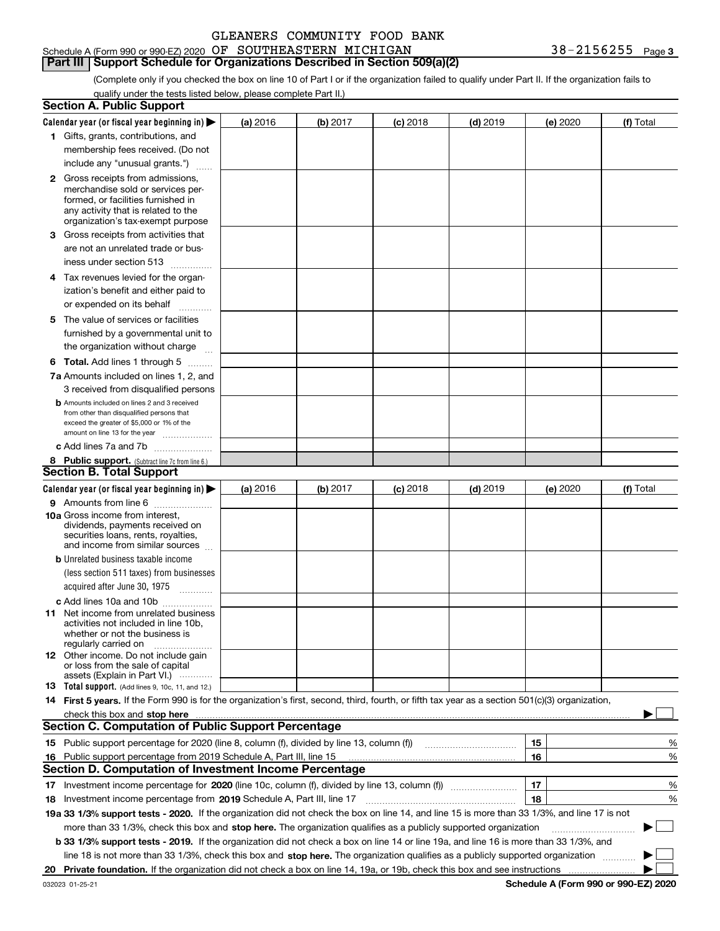| GLEANERS COMMUNITY FOOD BANK |  |  |
|------------------------------|--|--|
|------------------------------|--|--|

## **Part III Support Schedule for Organizations Described in Section 509(a)(2)**

(Complete only if you checked the box on line 10 of Part I or if the organization failed to qualify under Part II. If the organization fails to qualify under the tests listed below, please complete Part II.)

|    | <b>Section A. Public Support</b>                                                                                                                                                                                               |          |          |            |            |          |             |
|----|--------------------------------------------------------------------------------------------------------------------------------------------------------------------------------------------------------------------------------|----------|----------|------------|------------|----------|-------------|
|    | Calendar year (or fiscal year beginning in) $\blacktriangleright$                                                                                                                                                              | (a) 2016 | (b) 2017 | $(c)$ 2018 | $(d)$ 2019 | (e) 2020 | (f) Total   |
|    | 1 Gifts, grants, contributions, and                                                                                                                                                                                            |          |          |            |            |          |             |
|    | membership fees received. (Do not                                                                                                                                                                                              |          |          |            |            |          |             |
|    | include any "unusual grants.")                                                                                                                                                                                                 |          |          |            |            |          |             |
|    | <b>2</b> Gross receipts from admissions,                                                                                                                                                                                       |          |          |            |            |          |             |
|    | merchandise sold or services per-                                                                                                                                                                                              |          |          |            |            |          |             |
|    | formed, or facilities furnished in                                                                                                                                                                                             |          |          |            |            |          |             |
|    | any activity that is related to the<br>organization's tax-exempt purpose                                                                                                                                                       |          |          |            |            |          |             |
|    | 3 Gross receipts from activities that                                                                                                                                                                                          |          |          |            |            |          |             |
|    | are not an unrelated trade or bus-                                                                                                                                                                                             |          |          |            |            |          |             |
|    | iness under section 513                                                                                                                                                                                                        |          |          |            |            |          |             |
|    | 4 Tax revenues levied for the organ-                                                                                                                                                                                           |          |          |            |            |          |             |
|    | ization's benefit and either paid to                                                                                                                                                                                           |          |          |            |            |          |             |
|    | or expended on its behalf                                                                                                                                                                                                      |          |          |            |            |          |             |
|    | .                                                                                                                                                                                                                              |          |          |            |            |          |             |
|    | 5 The value of services or facilities                                                                                                                                                                                          |          |          |            |            |          |             |
|    | furnished by a governmental unit to                                                                                                                                                                                            |          |          |            |            |          |             |
|    | the organization without charge                                                                                                                                                                                                |          |          |            |            |          |             |
|    | <b>6 Total.</b> Add lines 1 through 5                                                                                                                                                                                          |          |          |            |            |          |             |
|    | 7a Amounts included on lines 1, 2, and                                                                                                                                                                                         |          |          |            |            |          |             |
|    | 3 received from disqualified persons                                                                                                                                                                                           |          |          |            |            |          |             |
|    | <b>b</b> Amounts included on lines 2 and 3 received<br>from other than disqualified persons that                                                                                                                               |          |          |            |            |          |             |
|    | exceed the greater of \$5,000 or 1% of the                                                                                                                                                                                     |          |          |            |            |          |             |
|    | amount on line 13 for the year                                                                                                                                                                                                 |          |          |            |            |          |             |
|    | c Add lines 7a and 7b                                                                                                                                                                                                          |          |          |            |            |          |             |
|    | 8 Public support. (Subtract line 7c from line 6.)                                                                                                                                                                              |          |          |            |            |          |             |
|    | <b>Section B. Total Support</b>                                                                                                                                                                                                |          |          |            |            |          |             |
|    | Calendar year (or fiscal year beginning in)                                                                                                                                                                                    | (a) 2016 | (b) 2017 | $(c)$ 2018 | $(d)$ 2019 | (e) 2020 | (f) Total   |
|    | 9 Amounts from line 6                                                                                                                                                                                                          |          |          |            |            |          |             |
|    | <b>10a</b> Gross income from interest,<br>dividends, payments received on                                                                                                                                                      |          |          |            |            |          |             |
|    | securities loans, rents, royalties,                                                                                                                                                                                            |          |          |            |            |          |             |
|    | and income from similar sources                                                                                                                                                                                                |          |          |            |            |          |             |
|    | <b>b</b> Unrelated business taxable income                                                                                                                                                                                     |          |          |            |            |          |             |
|    | (less section 511 taxes) from businesses                                                                                                                                                                                       |          |          |            |            |          |             |
|    | acquired after June 30, 1975 [10001]                                                                                                                                                                                           |          |          |            |            |          |             |
|    | c Add lines 10a and 10b                                                                                                                                                                                                        |          |          |            |            |          |             |
|    | 11 Net income from unrelated business                                                                                                                                                                                          |          |          |            |            |          |             |
|    | activities not included in line 10b,<br>whether or not the business is                                                                                                                                                         |          |          |            |            |          |             |
|    | regularly carried on                                                                                                                                                                                                           |          |          |            |            |          |             |
|    | <b>12</b> Other income. Do not include gain                                                                                                                                                                                    |          |          |            |            |          |             |
|    | or loss from the sale of capital                                                                                                                                                                                               |          |          |            |            |          |             |
|    | assets (Explain in Part VI.)<br><b>13</b> Total support. (Add lines 9, 10c, 11, and 12.)                                                                                                                                       |          |          |            |            |          |             |
|    | 14 First 5 years. If the Form 990 is for the organization's first, second, third, fourth, or fifth tax year as a section 501(c)(3) organization,                                                                               |          |          |            |            |          |             |
|    | check this box and stop here measured and contained a state of the state of the state of the state of the state of the state of the state of the state of the state of the state of the state of the state of the state of the |          |          |            |            |          |             |
|    | <b>Section C. Computation of Public Support Percentage</b>                                                                                                                                                                     |          |          |            |            |          |             |
|    | 15 Public support percentage for 2020 (line 8, column (f), divided by line 13, column (f))                                                                                                                                     |          |          |            |            | 15       | %           |
|    | 16 Public support percentage from 2019 Schedule A, Part III, line 15                                                                                                                                                           |          |          |            |            | 16       | %           |
|    | Section D. Computation of Investment Income Percentage                                                                                                                                                                         |          |          |            |            |          |             |
|    | 17 Investment income percentage for 2020 (line 10c, column (f), divided by line 13, column (f))                                                                                                                                |          |          |            |            | 17       | %           |
|    | <b>18</b> Investment income percentage from <b>2019</b> Schedule A, Part III, line 17                                                                                                                                          |          |          |            |            | 18       | %           |
|    | 19a 33 1/3% support tests - 2020. If the organization did not check the box on line 14, and line 15 is more than 33 1/3%, and line 17 is not                                                                                   |          |          |            |            |          |             |
|    | more than 33 1/3%, check this box and stop here. The organization qualifies as a publicly supported organization                                                                                                               |          |          |            |            |          | $\sim$<br>▶ |
|    | b 33 1/3% support tests - 2019. If the organization did not check a box on line 14 or line 19a, and line 16 is more than 33 1/3%, and                                                                                          |          |          |            |            |          |             |
|    | line 18 is not more than 33 1/3%, check this box and stop here. The organization qualifies as a publicly supported organization                                                                                                |          |          |            |            |          |             |
| 20 |                                                                                                                                                                                                                                |          |          |            |            |          |             |
|    |                                                                                                                                                                                                                                |          |          |            |            |          |             |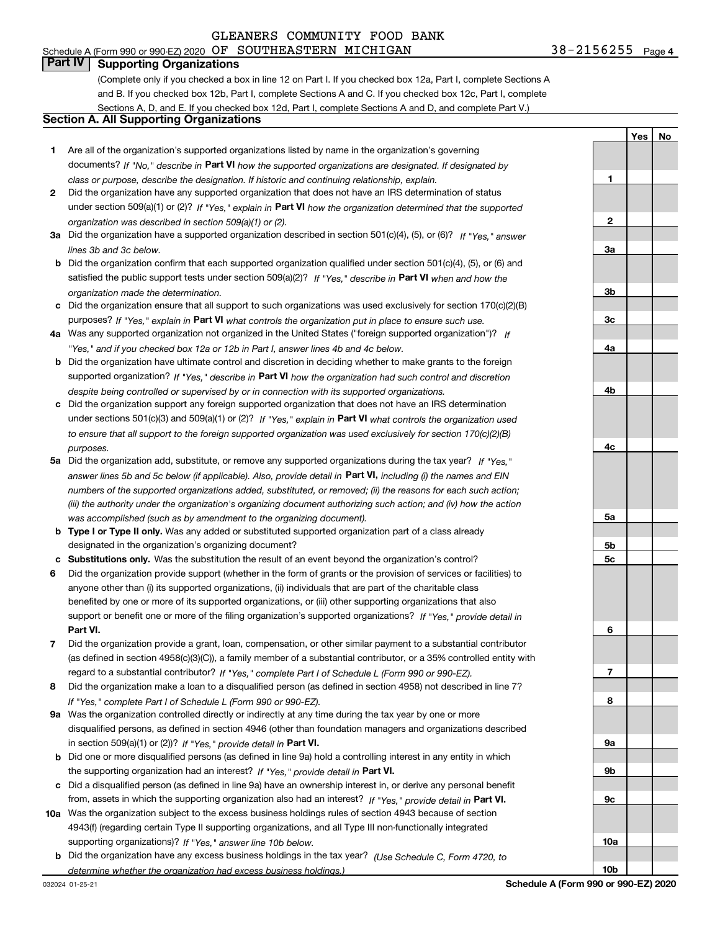#### Schedule A (Form 990 or 990-EZ) 2020 Page OF SOUTHEASTERN MICHIGAN 38-2156255

**1**

**Yes**

**No**

#### **Part IV Supporting Organizations**

(Complete only if you checked a box in line 12 on Part I. If you checked box 12a, Part I, complete Sections A and B. If you checked box 12b, Part I, complete Sections A and C. If you checked box 12c, Part I, complete Sections A, D, and E. If you checked box 12d, Part I, complete Sections A and D, and complete Part V.)

#### **Section A. All Supporting Organizations**

- **1** Are all of the organization's supported organizations listed by name in the organization's governing documents? If "No," describe in **Part VI** how the supported organizations are designated. If designated by *class or purpose, describe the designation. If historic and continuing relationship, explain.*
- **2** Did the organization have any supported organization that does not have an IRS determination of status under section 509(a)(1) or (2)? If "Yes," explain in Part VI how the organization determined that the supported *organization was described in section 509(a)(1) or (2).*
- **3a** Did the organization have a supported organization described in section 501(c)(4), (5), or (6)? If "Yes," answer *lines 3b and 3c below.*
- **b** Did the organization confirm that each supported organization qualified under section 501(c)(4), (5), or (6) and satisfied the public support tests under section 509(a)(2)? If "Yes," describe in **Part VI** when and how the *organization made the determination.*
- **c**Did the organization ensure that all support to such organizations was used exclusively for section 170(c)(2)(B) purposes? If "Yes," explain in **Part VI** what controls the organization put in place to ensure such use.
- **4a***If* Was any supported organization not organized in the United States ("foreign supported organization")? *"Yes," and if you checked box 12a or 12b in Part I, answer lines 4b and 4c below.*
- **b** Did the organization have ultimate control and discretion in deciding whether to make grants to the foreign supported organization? If "Yes," describe in **Part VI** how the organization had such control and discretion *despite being controlled or supervised by or in connection with its supported organizations.*
- **c** Did the organization support any foreign supported organization that does not have an IRS determination under sections 501(c)(3) and 509(a)(1) or (2)? If "Yes," explain in **Part VI** what controls the organization used *to ensure that all support to the foreign supported organization was used exclusively for section 170(c)(2)(B) purposes.*
- **5a***If "Yes,"* Did the organization add, substitute, or remove any supported organizations during the tax year? answer lines 5b and 5c below (if applicable). Also, provide detail in **Part VI,** including (i) the names and EIN *numbers of the supported organizations added, substituted, or removed; (ii) the reasons for each such action; (iii) the authority under the organization's organizing document authorizing such action; and (iv) how the action was accomplished (such as by amendment to the organizing document).*
- **b** Type I or Type II only. Was any added or substituted supported organization part of a class already designated in the organization's organizing document?
- **cSubstitutions only.**  Was the substitution the result of an event beyond the organization's control?
- **6** Did the organization provide support (whether in the form of grants or the provision of services or facilities) to **Part VI.** *If "Yes," provide detail in* support or benefit one or more of the filing organization's supported organizations? anyone other than (i) its supported organizations, (ii) individuals that are part of the charitable class benefited by one or more of its supported organizations, or (iii) other supporting organizations that also
- **7**Did the organization provide a grant, loan, compensation, or other similar payment to a substantial contributor *If "Yes," complete Part I of Schedule L (Form 990 or 990-EZ).* regard to a substantial contributor? (as defined in section 4958(c)(3)(C)), a family member of a substantial contributor, or a 35% controlled entity with
- **8** Did the organization make a loan to a disqualified person (as defined in section 4958) not described in line 7? *If "Yes," complete Part I of Schedule L (Form 990 or 990-EZ).*
- **9a** Was the organization controlled directly or indirectly at any time during the tax year by one or more in section 509(a)(1) or (2))? If "Yes," *provide detail in* <code>Part VI.</code> disqualified persons, as defined in section 4946 (other than foundation managers and organizations described
- **b** Did one or more disqualified persons (as defined in line 9a) hold a controlling interest in any entity in which the supporting organization had an interest? If "Yes," provide detail in P**art VI**.
- **c**Did a disqualified person (as defined in line 9a) have an ownership interest in, or derive any personal benefit from, assets in which the supporting organization also had an interest? If "Yes," provide detail in P**art VI.**
- **10a** Was the organization subject to the excess business holdings rules of section 4943 because of section supporting organizations)? If "Yes," answer line 10b below. 4943(f) (regarding certain Type II supporting organizations, and all Type III non-functionally integrated
- **b** Did the organization have any excess business holdings in the tax year? (Use Schedule C, Form 4720, to *determine whether the organization had excess business holdings.)*

**23a3b3c4a4b4c5a5b5c6789a 9b9c10a**

**10b**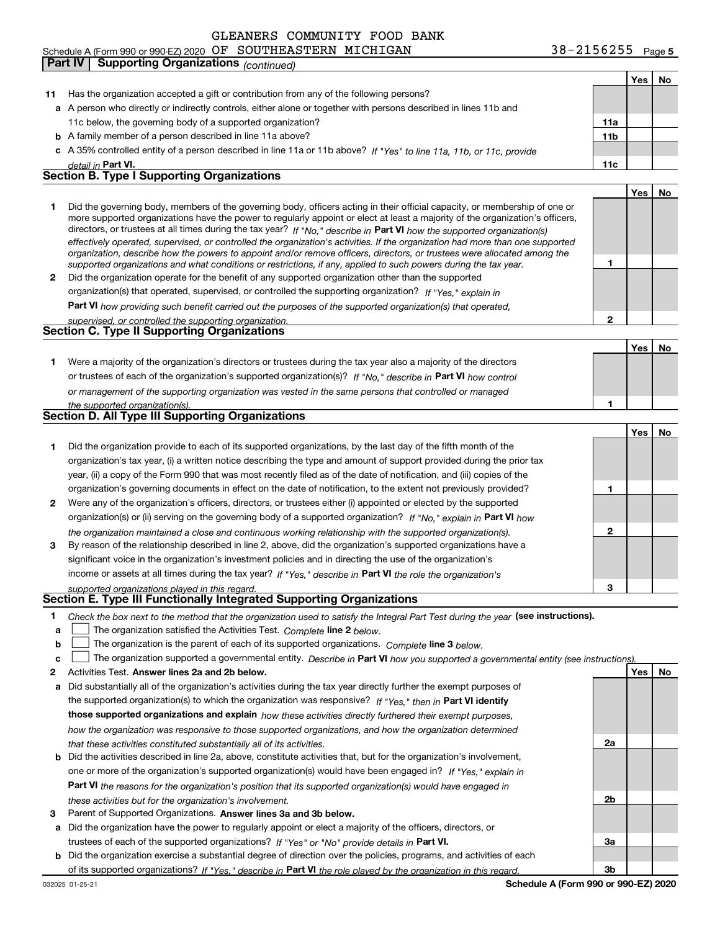#### Schedule A (Form 990 or 990-EZ) 2020 Page OF SOUTHEASTERN MICHIGAN 38-2156255 **Part IV Supporting Organizations** *(continued)*

**Yes**

**No**

| 11           | Has the organization accepted a gift or contribution from any of the following persons?                                                                                                                                                                                                                                                                                                |                 |     |    |
|--------------|----------------------------------------------------------------------------------------------------------------------------------------------------------------------------------------------------------------------------------------------------------------------------------------------------------------------------------------------------------------------------------------|-----------------|-----|----|
|              | a A person who directly or indirectly controls, either alone or together with persons described in lines 11b and                                                                                                                                                                                                                                                                       |                 |     |    |
|              | 11c below, the governing body of a supported organization?                                                                                                                                                                                                                                                                                                                             | 11a             |     |    |
|              | <b>b</b> A family member of a person described in line 11a above?                                                                                                                                                                                                                                                                                                                      | 11 <sub>b</sub> |     |    |
|              | c A 35% controlled entity of a person described in line 11a or 11b above? If "Yes" to line 11a, 11b, or 11c, provide                                                                                                                                                                                                                                                                   |                 |     |    |
|              | detail in Part VI.                                                                                                                                                                                                                                                                                                                                                                     | 11c             |     |    |
|              | <b>Section B. Type I Supporting Organizations</b>                                                                                                                                                                                                                                                                                                                                      |                 |     |    |
|              |                                                                                                                                                                                                                                                                                                                                                                                        |                 | Yes | No |
| 1            | Did the governing body, members of the governing body, officers acting in their official capacity, or membership of one or<br>more supported organizations have the power to regularly appoint or elect at least a majority of the organization's officers,<br>directors, or trustees at all times during the tax year? If "No," describe in Part VI how the supported organization(s) |                 |     |    |
|              | effectively operated, supervised, or controlled the organization's activities. If the organization had more than one supported<br>organization, describe how the powers to appoint and/or remove officers, directors, or trustees were allocated among the<br>supported organizations and what conditions or restrictions, if any, applied to such powers during the tax year.         | 1               |     |    |
| 2            | Did the organization operate for the benefit of any supported organization other than the supported                                                                                                                                                                                                                                                                                    |                 |     |    |
|              | organization(s) that operated, supervised, or controlled the supporting organization? If "Yes," explain in                                                                                                                                                                                                                                                                             |                 |     |    |
|              | Part VI how providing such benefit carried out the purposes of the supported organization(s) that operated,                                                                                                                                                                                                                                                                            |                 |     |    |
|              | supervised, or controlled the supporting organization.<br><b>Section C. Type II Supporting Organizations</b>                                                                                                                                                                                                                                                                           | $\mathbf{2}$    |     |    |
|              |                                                                                                                                                                                                                                                                                                                                                                                        |                 |     |    |
|              |                                                                                                                                                                                                                                                                                                                                                                                        |                 | Yes | No |
| 1.           | Were a majority of the organization's directors or trustees during the tax year also a majority of the directors                                                                                                                                                                                                                                                                       |                 |     |    |
|              | or trustees of each of the organization's supported organization(s)? If "No," describe in Part VI how control                                                                                                                                                                                                                                                                          |                 |     |    |
|              | or management of the supporting organization was vested in the same persons that controlled or managed                                                                                                                                                                                                                                                                                 |                 |     |    |
|              | the supported organization(s).                                                                                                                                                                                                                                                                                                                                                         | 1               |     |    |
|              | Section D. All Type III Supporting Organizations                                                                                                                                                                                                                                                                                                                                       |                 |     |    |
|              |                                                                                                                                                                                                                                                                                                                                                                                        |                 | Yes | No |
| 1            | Did the organization provide to each of its supported organizations, by the last day of the fifth month of the                                                                                                                                                                                                                                                                         |                 |     |    |
|              | organization's tax year, (i) a written notice describing the type and amount of support provided during the prior tax                                                                                                                                                                                                                                                                  |                 |     |    |
|              | year, (ii) a copy of the Form 990 that was most recently filed as of the date of notification, and (iii) copies of the                                                                                                                                                                                                                                                                 |                 |     |    |
|              | organization's governing documents in effect on the date of notification, to the extent not previously provided?                                                                                                                                                                                                                                                                       | 1               |     |    |
| 2            | Were any of the organization's officers, directors, or trustees either (i) appointed or elected by the supported                                                                                                                                                                                                                                                                       |                 |     |    |
|              | organization(s) or (ii) serving on the governing body of a supported organization? If "No," explain in Part VI how                                                                                                                                                                                                                                                                     |                 |     |    |
|              | the organization maintained a close and continuous working relationship with the supported organization(s).                                                                                                                                                                                                                                                                            | 2               |     |    |
| 3            | By reason of the relationship described in line 2, above, did the organization's supported organizations have a                                                                                                                                                                                                                                                                        |                 |     |    |
|              | significant voice in the organization's investment policies and in directing the use of the organization's                                                                                                                                                                                                                                                                             |                 |     |    |
|              | income or assets at all times during the tax year? If "Yes," describe in Part VI the role the organization's                                                                                                                                                                                                                                                                           |                 |     |    |
|              | supported organizations played in this regard.                                                                                                                                                                                                                                                                                                                                         | 3               |     |    |
|              | Section E. Type III Functionally Integrated Supporting Organizations                                                                                                                                                                                                                                                                                                                   |                 |     |    |
| 1.<br>а<br>b | Check the box next to the method that the organization used to satisfy the Integral Part Test during the year (see instructions).<br>The organization satisfied the Activities Test. Complete line 2 below.<br>The organization is the parent of each of its supported organizations. Complete line 3 below.                                                                           |                 |     |    |
| c            | The organization supported a governmental entity. Describe in Part VI how you supported a governmental entity (see instructions).                                                                                                                                                                                                                                                      |                 |     |    |
| 2            | Activities Test. Answer lines 2a and 2b below.                                                                                                                                                                                                                                                                                                                                         |                 | Yes | No |
| а            | Did substantially all of the organization's activities during the tax year directly further the exempt purposes of                                                                                                                                                                                                                                                                     |                 |     |    |
|              | the supported organization(s) to which the organization was responsive? If "Yes," then in Part VI identify                                                                                                                                                                                                                                                                             |                 |     |    |
|              | those supported organizations and explain how these activities directly furthered their exempt purposes,                                                                                                                                                                                                                                                                               |                 |     |    |
|              | how the organization was responsive to those supported organizations, and how the organization determined                                                                                                                                                                                                                                                                              |                 |     |    |
|              | that these activities constituted substantially all of its activities.                                                                                                                                                                                                                                                                                                                 | 2a              |     |    |
| b            | Did the activities described in line 2a, above, constitute activities that, but for the organization's involvement,                                                                                                                                                                                                                                                                    |                 |     |    |
|              | one or more of the organization's supported organization(s) would have been engaged in? If "Yes," explain in                                                                                                                                                                                                                                                                           |                 |     |    |
|              | Part VI the reasons for the organization's position that its supported organization(s) would have engaged in                                                                                                                                                                                                                                                                           |                 |     |    |
|              |                                                                                                                                                                                                                                                                                                                                                                                        | 2b              |     |    |
|              | these activities but for the organization's involvement.                                                                                                                                                                                                                                                                                                                               |                 |     |    |
| 3            | Parent of Supported Organizations. Answer lines 3a and 3b below.                                                                                                                                                                                                                                                                                                                       |                 |     |    |
| а            | Did the organization have the power to regularly appoint or elect a majority of the officers, directors, or                                                                                                                                                                                                                                                                            |                 |     |    |
|              | trustees of each of the supported organizations? If "Yes" or "No" provide details in Part VI.                                                                                                                                                                                                                                                                                          | За              |     |    |
|              | <b>b</b> Did the organization exercise a substantial degree of direction over the policies, programs, and activities of each                                                                                                                                                                                                                                                           |                 |     |    |
|              | of its supported organizations? If "Yes." describe in Part VI the role played by the organization in this regard.                                                                                                                                                                                                                                                                      | 3b              |     |    |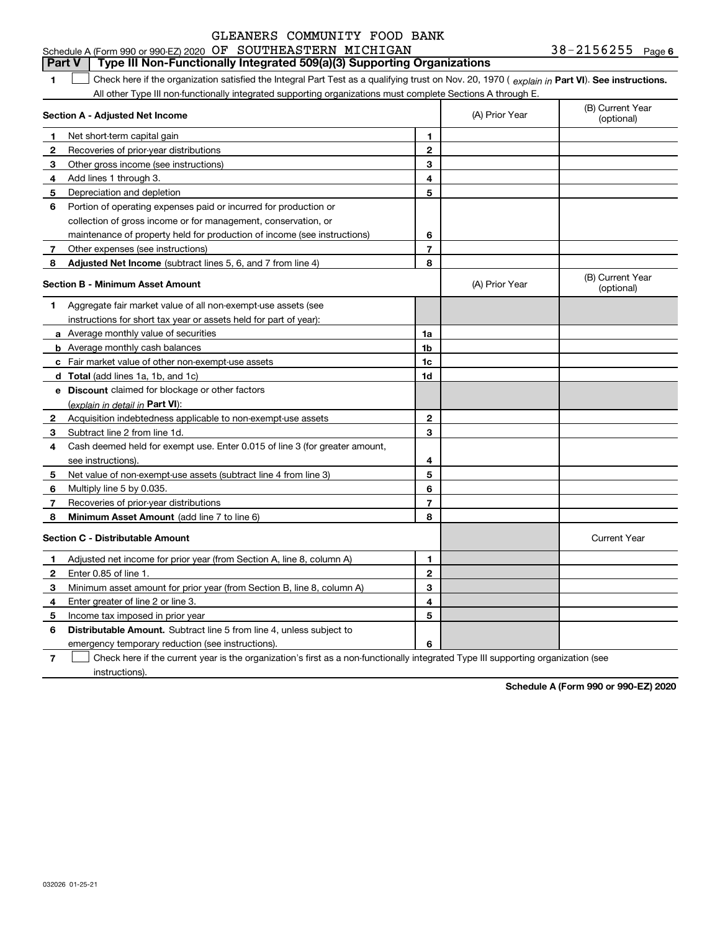#### 38-2156255 Page 6 **1Part VI** Check here if the organization satisfied the Integral Part Test as a qualifying trust on Nov. 20, 1970 ( explain in Part **VI**). See instructions. **Section A - Adjusted Net Income 12** Recoveries of prior-year distributions **3** Other gross income (see instructions) **4**Add lines 1 through 3. **56** Portion of operating expenses paid or incurred for production or **78** Adjusted Net Income (subtract lines 5, 6, and 7 from line 4) **8 8 1234567Section B - Minimum Asset Amount 1**Aggregate fair market value of all non-exempt-use assets (see **2345678a** Average monthly value of securities **b** Average monthly cash balances **c**Fair market value of other non-exempt-use assets **dTotal**  (add lines 1a, 1b, and 1c) **eDiscount** claimed for blockage or other factors **1a1b1c 1d2345678Part VI Minimum Asset Amount Section C - Distributable Amount** *explain in detail in* Schedule A (Form 990 or 990-EZ) 2020 Page OF SOUTHEASTERN MICHIGAN 38-2156255 All other Type III non-functionally integrated supporting organizations must complete Sections A through E. (B) Current Year (optional)(A) Prior Year Net short-term capital gain Depreciation and depletion collection of gross income or for management, conservation, or maintenance of property held for production of income (see instructions) Other expenses (see instructions) (B) Current Year (optional)(A) Prior Year instructions for short tax year or assets held for part of year): (explain in detail in Part VI): Acquisition indebtedness applicable to non-exempt-use assets Subtract line 2 from line 1d. Cash deemed held for exempt use. Enter 0.015 of line 3 (for greater amount, see instructions). Net value of non-exempt-use assets (subtract line 4 from line 3) Multiply line 5 by 0.035. Recoveries of prior-year distributions (add line 7 to line 6) Current Year **Part V Type III Non-Functionally Integrated 509(a)(3) Supporting Organizations**   $\mathcal{L}^{\text{max}}$

|    | lexplain in detail in Part VI):                                                                                                   |   |                     |
|----|-----------------------------------------------------------------------------------------------------------------------------------|---|---------------------|
|    | Acquisition indebtedness applicable to non-exempt-use assets                                                                      | 2 |                     |
| з  | Subtract line 2 from line 1d.                                                                                                     | з |                     |
| 4  | Cash deemed held for exempt use. Enter 0.015 of line 3 (for greater amount,                                                       |   |                     |
|    | see instructions).                                                                                                                | 4 |                     |
| -5 | Net value of non-exempt-use assets (subtract line 4 from line 3)                                                                  | 5 |                     |
| -6 | Multiply line 5 by 0.035.                                                                                                         | 6 |                     |
|    | Recoveries of prior-year distributions                                                                                            |   |                     |
| 8  | Minimum Asset Amount (add line 7 to line 6)                                                                                       | 8 |                     |
|    | <b>Section C - Distributable Amount</b>                                                                                           |   | <b>Current Year</b> |
|    | Adjusted net income for prior year (from Section A, line 8, column A)                                                             |   |                     |
|    | Enter 0.85 of line 1.                                                                                                             | 2 |                     |
| З  | Minimum asset amount for prior year (from Section B, line 8, column A)                                                            |   |                     |
|    |                                                                                                                                   | 3 |                     |
|    | Enter greater of line 2 or line 3.                                                                                                | 4 |                     |
| 5  | Income tax imposed in prior year                                                                                                  | 5 |                     |
| 6  | <b>Distributable Amount.</b> Subtract line 5 from line 4, unless subject to                                                       |   |                     |
|    | emergency temporary reduction (see instructions).                                                                                 | 6 |                     |
|    | Check here if the current year is the organization's first as a non-functionally integrated Type III supporting organization (see |   |                     |

**Schedule A (Form 990 or 990-EZ) 2020**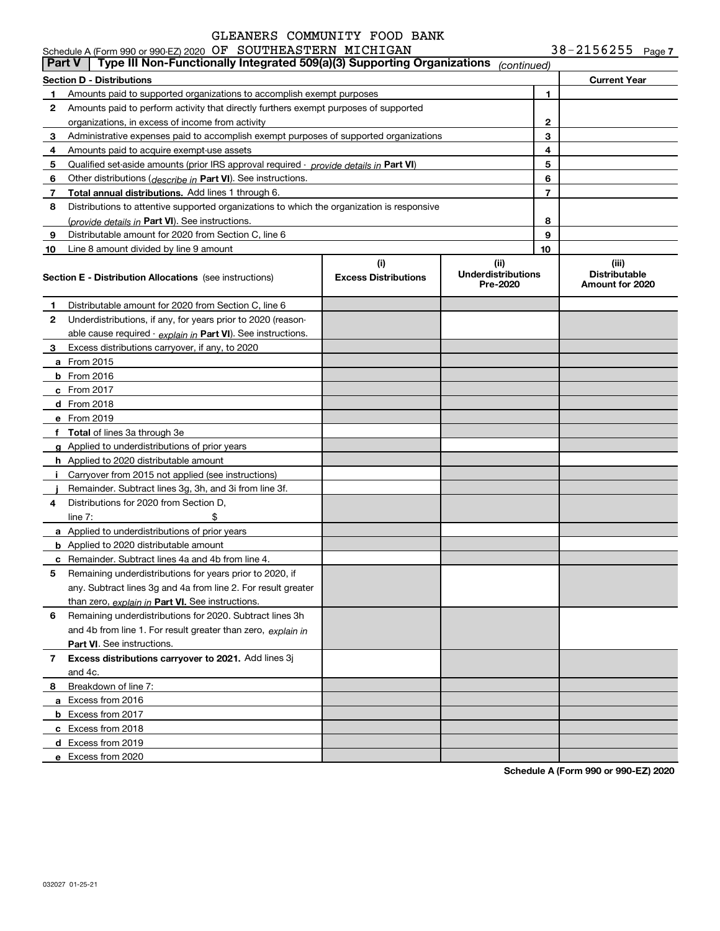| Schedule A (Form 990 or 990-EZ) 2020 OF SOUTHEASTERN MICHIGAN |  |  | $38 - 2156255$ Page 7 |  |
|---------------------------------------------------------------|--|--|-----------------------|--|
|---------------------------------------------------------------|--|--|-----------------------|--|

| Part V | Type III Non-Functionally Integrated 509(a)(3) Supporting Organizations                                      |                                    | (continued)                                   |                                                  |
|--------|--------------------------------------------------------------------------------------------------------------|------------------------------------|-----------------------------------------------|--------------------------------------------------|
|        | <b>Section D - Distributions</b>                                                                             |                                    |                                               | <b>Current Year</b>                              |
| 1.     | Amounts paid to supported organizations to accomplish exempt purposes                                        |                                    | 1                                             |                                                  |
| 2      | Amounts paid to perform activity that directly furthers exempt purposes of supported                         |                                    |                                               |                                                  |
|        | organizations, in excess of income from activity                                                             |                                    | 2                                             |                                                  |
| 3      | Administrative expenses paid to accomplish exempt purposes of supported organizations                        |                                    | З                                             |                                                  |
| 4      | Amounts paid to acquire exempt-use assets                                                                    |                                    | 4                                             |                                                  |
| 5      | Qualified set-aside amounts (prior IRS approval required - provide details in Part VI)                       |                                    | 5                                             |                                                  |
| 6      | Other distributions (describe in Part VI). See instructions.                                                 |                                    | 6                                             |                                                  |
| 7      | Total annual distributions. Add lines 1 through 6.                                                           |                                    | $\overline{7}$                                |                                                  |
| 8      | Distributions to attentive supported organizations to which the organization is responsive                   |                                    |                                               |                                                  |
|        | (provide details in Part VI). See instructions.                                                              |                                    | 8                                             |                                                  |
| 9      | Distributable amount for 2020 from Section C, line 6                                                         |                                    | 9                                             |                                                  |
| 10     | Line 8 amount divided by line 9 amount                                                                       |                                    | 10                                            |                                                  |
|        | <b>Section E - Distribution Allocations</b> (see instructions)                                               | (i)<br><b>Excess Distributions</b> | (ii)<br><b>Underdistributions</b><br>Pre-2020 | (iii)<br><b>Distributable</b><br>Amount for 2020 |
| 1.     | Distributable amount for 2020 from Section C, line 6                                                         |                                    |                                               |                                                  |
| 2      | Underdistributions, if any, for years prior to 2020 (reason-                                                 |                                    |                                               |                                                  |
|        | able cause required - explain in Part VI). See instructions.                                                 |                                    |                                               |                                                  |
| 3      | Excess distributions carryover, if any, to 2020                                                              |                                    |                                               |                                                  |
|        | <b>a</b> From 2015                                                                                           |                                    |                                               |                                                  |
|        | <b>b</b> From $2016$                                                                                         |                                    |                                               |                                                  |
|        | $c$ From 2017                                                                                                |                                    |                                               |                                                  |
|        | <b>d</b> From 2018                                                                                           |                                    |                                               |                                                  |
|        | e From 2019                                                                                                  |                                    |                                               |                                                  |
|        | f Total of lines 3a through 3e                                                                               |                                    |                                               |                                                  |
|        | <b>g</b> Applied to underdistributions of prior years                                                        |                                    |                                               |                                                  |
|        | <b>h</b> Applied to 2020 distributable amount                                                                |                                    |                                               |                                                  |
| Ť.     | Carryover from 2015 not applied (see instructions)                                                           |                                    |                                               |                                                  |
|        | Remainder. Subtract lines 3g, 3h, and 3i from line 3f.                                                       |                                    |                                               |                                                  |
| 4      | Distributions for 2020 from Section D,                                                                       |                                    |                                               |                                                  |
|        | \$<br>line $7:$                                                                                              |                                    |                                               |                                                  |
|        | <b>a</b> Applied to underdistributions of prior years                                                        |                                    |                                               |                                                  |
|        | <b>b</b> Applied to 2020 distributable amount                                                                |                                    |                                               |                                                  |
|        | <b>c</b> Remainder. Subtract lines 4a and 4b from line 4.                                                    |                                    |                                               |                                                  |
| 5      | Remaining underdistributions for years prior to 2020, if                                                     |                                    |                                               |                                                  |
|        | any. Subtract lines 3g and 4a from line 2. For result greater                                                |                                    |                                               |                                                  |
| 6      | than zero, explain in Part VI. See instructions.<br>Remaining underdistributions for 2020. Subtract lines 3h |                                    |                                               |                                                  |
|        | and 4b from line 1. For result greater than zero, explain in                                                 |                                    |                                               |                                                  |
|        | Part VI. See instructions.                                                                                   |                                    |                                               |                                                  |
| 7      | Excess distributions carryover to 2021. Add lines 3j                                                         |                                    |                                               |                                                  |
|        | and 4c.                                                                                                      |                                    |                                               |                                                  |
| 8      | Breakdown of line 7:                                                                                         |                                    |                                               |                                                  |
|        | a Excess from 2016                                                                                           |                                    |                                               |                                                  |
|        | <b>b</b> Excess from 2017                                                                                    |                                    |                                               |                                                  |
|        | c Excess from 2018                                                                                           |                                    |                                               |                                                  |
|        | d Excess from 2019                                                                                           |                                    |                                               |                                                  |
|        | e Excess from 2020                                                                                           |                                    |                                               |                                                  |
|        |                                                                                                              |                                    |                                               |                                                  |

**Schedule A (Form 990 or 990-EZ) 2020**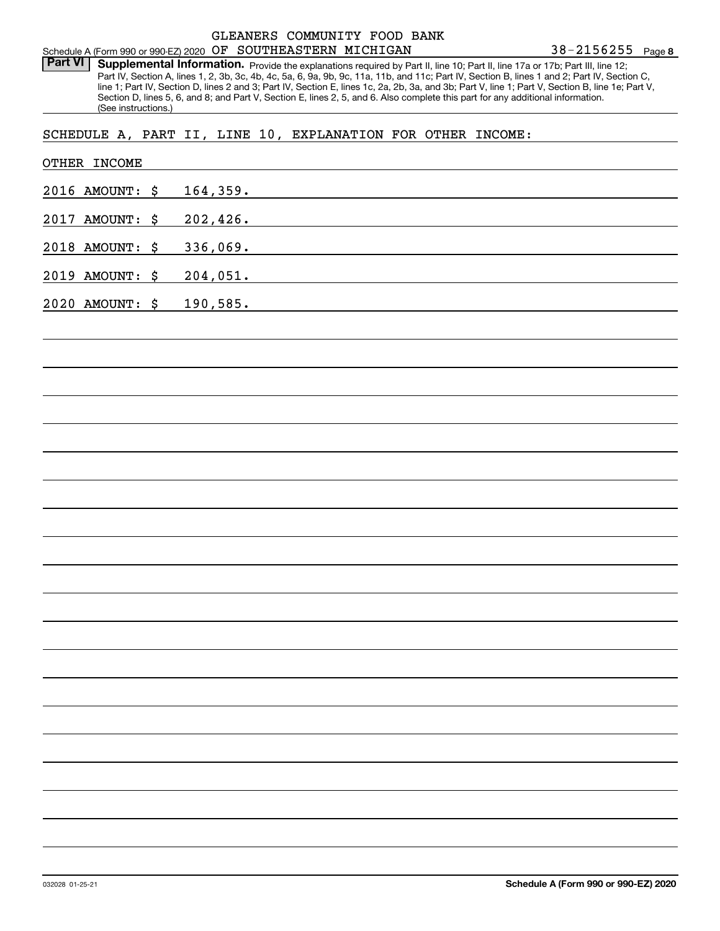#### Schedule A (Form 990 or 990-EZ) 2020 Page OF SOUTHEASTERN MICHIGAN GLEANERS COMMUNITY FOOD BANK

Part VI | Supplemental Information. Provide the explanations required by Part II, line 10; Part II, line 17a or 17b; Part III, line 12; Part IV, Section A, lines 1, 2, 3b, 3c, 4b, 4c, 5a, 6, 9a, 9b, 9c, 11a, 11b, and 11c; Part IV, Section B, lines 1 and 2; Part IV, Section C, line 1; Part IV, Section D, lines 2 and 3; Part IV, Section E, lines 1c, 2a, 2b, 3a, and 3b; Part V, line 1; Part V, Section B, line 1e; Part V, Section D, lines 5, 6, and 8; and Part V, Section E, lines 2, 5, and 6. Also complete this part for any additional information. (See instructions.)

SCHEDULE A, PART II, LINE 10, EXPLANATION FOR OTHER INCOME:

| OTHER INCOME    |  |           |
|-----------------|--|-----------|
| 2016 AMOUNT: \$ |  | 164, 359. |
| 2017 AMOUNT: \$ |  | 202, 426. |
| 2018 AMOUNT: \$ |  | 336,069.  |
| 2019 AMOUNT: \$ |  | 204,051.  |
| 2020 AMOUNT: \$ |  | 190,585.  |
|                 |  |           |
|                 |  |           |
|                 |  |           |
|                 |  |           |
|                 |  |           |
|                 |  |           |
|                 |  |           |
|                 |  |           |
|                 |  |           |
|                 |  |           |
|                 |  |           |
|                 |  |           |
|                 |  |           |
|                 |  |           |
|                 |  |           |
|                 |  |           |
|                 |  |           |
|                 |  |           |
|                 |  |           |
|                 |  |           |
|                 |  |           |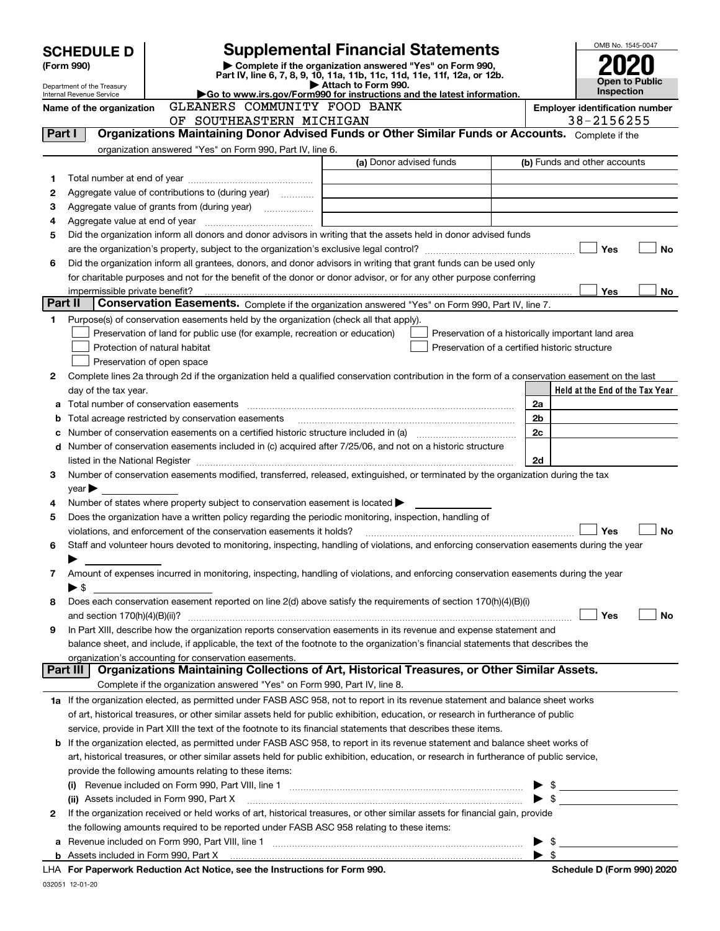|         | <b>SCHEDULE D</b>                                    |                                                                                                        | <b>Supplemental Financial Statements</b>                                                                                                       |                          | OMB No. 1545-0047                          |
|---------|------------------------------------------------------|--------------------------------------------------------------------------------------------------------|------------------------------------------------------------------------------------------------------------------------------------------------|--------------------------|--------------------------------------------|
|         | (Form 990)                                           |                                                                                                        | Complete if the organization answered "Yes" on Form 990,<br>Part IV, line 6, 7, 8, 9, 10, 11a, 11b, 11c, 11d, 11e, 11f, 12a, or 12b.           |                          |                                            |
|         | Department of the Treasury                           |                                                                                                        | Attach to Form 990.<br>Go to www.irs.gov/Form990 for instructions and the latest information.                                                  |                          | <b>Open to Public</b><br><b>Inspection</b> |
|         | Internal Revenue Service<br>Name of the organization | GLEANERS COMMUNITY FOOD BANK                                                                           |                                                                                                                                                |                          | <b>Employer identification number</b>      |
|         |                                                      | OF SOUTHEASTERN MICHIGAN                                                                               |                                                                                                                                                |                          | 38-2156255                                 |
| Part I  |                                                      |                                                                                                        | Organizations Maintaining Donor Advised Funds or Other Similar Funds or Accounts. Complete if the                                              |                          |                                            |
|         |                                                      | organization answered "Yes" on Form 990, Part IV, line 6.                                              |                                                                                                                                                |                          |                                            |
|         |                                                      |                                                                                                        | (a) Donor advised funds                                                                                                                        |                          | (b) Funds and other accounts               |
| 1       |                                                      |                                                                                                        |                                                                                                                                                |                          |                                            |
| 2       |                                                      | Aggregate value of contributions to (during year)                                                      |                                                                                                                                                |                          |                                            |
| з       |                                                      |                                                                                                        |                                                                                                                                                |                          |                                            |
| 4       |                                                      |                                                                                                        |                                                                                                                                                |                          |                                            |
| 5       |                                                      |                                                                                                        | Did the organization inform all donors and donor advisors in writing that the assets held in donor advised funds                               |                          |                                            |
|         |                                                      |                                                                                                        |                                                                                                                                                |                          | Yes<br><b>No</b>                           |
| 6       |                                                      |                                                                                                        | Did the organization inform all grantees, donors, and donor advisors in writing that grant funds can be used only                              |                          |                                            |
|         |                                                      |                                                                                                        | for charitable purposes and not for the benefit of the donor or donor advisor, or for any other purpose conferring                             |                          |                                            |
|         |                                                      |                                                                                                        |                                                                                                                                                |                          | Yes<br>No                                  |
| Part II |                                                      |                                                                                                        | Conservation Easements. Complete if the organization answered "Yes" on Form 990, Part IV, line 7.                                              |                          |                                            |
| 1       |                                                      | Purpose(s) of conservation easements held by the organization (check all that apply).                  |                                                                                                                                                |                          |                                            |
|         |                                                      | Preservation of land for public use (for example, recreation or education)                             | Preservation of a historically important land area                                                                                             |                          |                                            |
|         |                                                      | Protection of natural habitat                                                                          | Preservation of a certified historic structure                                                                                                 |                          |                                            |
|         |                                                      | Preservation of open space                                                                             |                                                                                                                                                |                          |                                            |
| 2       |                                                      |                                                                                                        | Complete lines 2a through 2d if the organization held a qualified conservation contribution in the form of a conservation easement on the last |                          |                                            |
|         | day of the tax year.                                 |                                                                                                        |                                                                                                                                                |                          | Held at the End of the Tax Year            |
|         |                                                      |                                                                                                        |                                                                                                                                                | 2a                       |                                            |
| b       |                                                      |                                                                                                        |                                                                                                                                                | 2b                       |                                            |
| с       |                                                      |                                                                                                        |                                                                                                                                                | 2c                       |                                            |
|         |                                                      |                                                                                                        | d Number of conservation easements included in (c) acquired after 7/25/06, and not on a historic structure                                     |                          |                                            |
|         |                                                      |                                                                                                        |                                                                                                                                                | 2d                       |                                            |
| З       |                                                      |                                                                                                        | Number of conservation easements modified, transferred, released, extinguished, or terminated by the organization during the tax               |                          |                                            |
|         | $\vee$ ear $\blacktriangleright$                     |                                                                                                        |                                                                                                                                                |                          |                                            |
| 4       |                                                      | Number of states where property subject to conservation easement is located $\blacktriangleright$      |                                                                                                                                                |                          |                                            |
| 5       |                                                      | Does the organization have a written policy regarding the periodic monitoring, inspection, handling of |                                                                                                                                                |                          |                                            |
|         |                                                      | violations, and enforcement of the conservation easements it holds?                                    |                                                                                                                                                |                          | Yes<br><b>No</b>                           |
| 6       |                                                      |                                                                                                        | Staff and volunteer hours devoted to monitoring, inspecting, handling of violations, and enforcing conservation easements during the year      |                          |                                            |
|         | ▶                                                    |                                                                                                        |                                                                                                                                                |                          |                                            |
| 7       |                                                      |                                                                                                        | Amount of expenses incurred in monitoring, inspecting, handling of violations, and enforcing conservation easements during the year            |                          |                                            |
|         | ▶ \$                                                 |                                                                                                        |                                                                                                                                                |                          |                                            |
| 8       |                                                      |                                                                                                        | Does each conservation easement reported on line 2(d) above satisfy the requirements of section 170(h)(4)(B)(i)                                |                          |                                            |
|         |                                                      |                                                                                                        |                                                                                                                                                |                          | Yes<br>No                                  |
| 9       |                                                      |                                                                                                        | In Part XIII, describe how the organization reports conservation easements in its revenue and expense statement and                            |                          |                                            |
|         |                                                      |                                                                                                        | balance sheet, and include, if applicable, the text of the footnote to the organization's financial statements that describes the              |                          |                                            |
|         |                                                      | organization's accounting for conservation easements.                                                  |                                                                                                                                                |                          |                                            |
|         | <b>Part III</b>                                      |                                                                                                        | Organizations Maintaining Collections of Art, Historical Treasures, or Other Similar Assets.                                                   |                          |                                            |
|         |                                                      | Complete if the organization answered "Yes" on Form 990, Part IV, line 8.                              |                                                                                                                                                |                          |                                            |
|         |                                                      |                                                                                                        | 1a If the organization elected, as permitted under FASB ASC 958, not to report in its revenue statement and balance sheet works                |                          |                                            |
|         |                                                      |                                                                                                        | of art, historical treasures, or other similar assets held for public exhibition, education, or research in furtherance of public              |                          |                                            |
|         |                                                      |                                                                                                        | service, provide in Part XIII the text of the footnote to its financial statements that describes these items.                                 |                          |                                            |
|         |                                                      |                                                                                                        | <b>b</b> If the organization elected, as permitted under FASB ASC 958, to report in its revenue statement and balance sheet works of           |                          |                                            |
|         |                                                      |                                                                                                        | art, historical treasures, or other similar assets held for public exhibition, education, or research in furtherance of public service,        |                          |                                            |
|         |                                                      | provide the following amounts relating to these items:                                                 |                                                                                                                                                |                          |                                            |
|         |                                                      |                                                                                                        |                                                                                                                                                |                          | $\triangleright$ \$                        |
|         |                                                      | (ii) Assets included in Form 990, Part X                                                               |                                                                                                                                                |                          | $\bullet$ \$                               |
| 2       |                                                      |                                                                                                        | If the organization received or held works of art, historical treasures, or other similar assets for financial gain, provide                   |                          |                                            |
|         |                                                      | the following amounts required to be reported under FASB ASC 958 relating to these items:              |                                                                                                                                                |                          |                                            |
|         |                                                      |                                                                                                        | a Revenue included on Form 990, Part VIII, line 1 [2000] [2000] [2000] [2000] [2000] [2000] [2000] [2000] [2000                                | $\blacktriangleright$ s  |                                            |
|         |                                                      |                                                                                                        |                                                                                                                                                | $\blacktriangleright$ \$ |                                            |
|         |                                                      | $H = H_0$ . For Paperwork Reduction Act Notice, see the Instructions for Form 000                      |                                                                                                                                                |                          | Schodule D (Form 990) 2020                 |

**For Paperwork Reduction Act Notice, see the Instructions for Form 990. Schedule D (Form 990) 2020** LHA

032051 12-01-20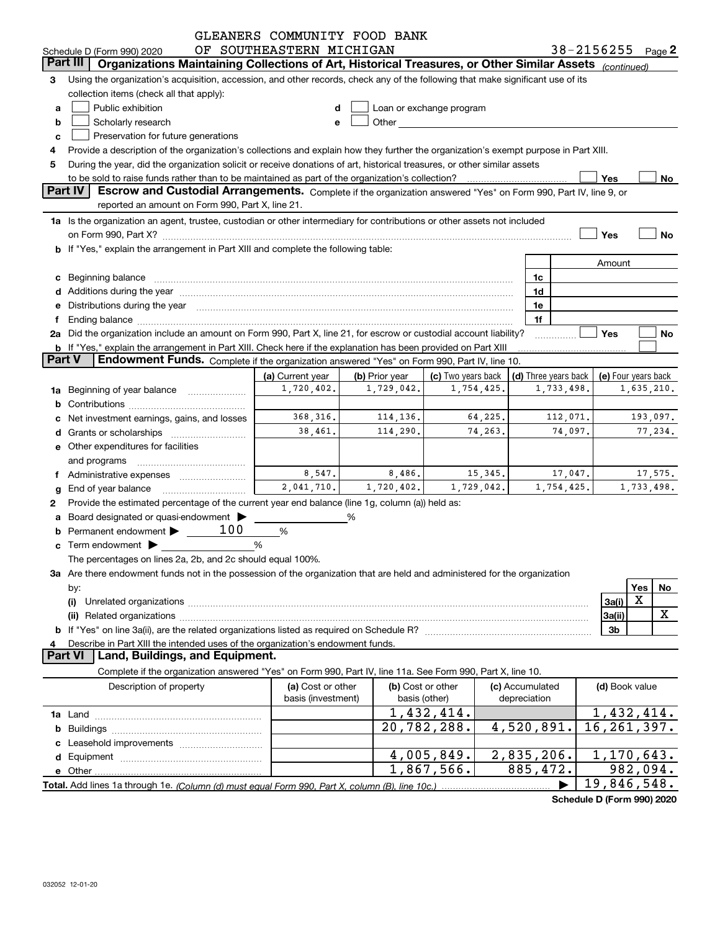|               |                                                                                                                                                                                                                                | GLEANERS COMMUNITY FOOD BANK            |                                    |                                                                                                                                                                                                                                 |         |                                 |            |                                            |            |
|---------------|--------------------------------------------------------------------------------------------------------------------------------------------------------------------------------------------------------------------------------|-----------------------------------------|------------------------------------|---------------------------------------------------------------------------------------------------------------------------------------------------------------------------------------------------------------------------------|---------|---------------------------------|------------|--------------------------------------------|------------|
|               | Schedule D (Form 990) 2020                                                                                                                                                                                                     | OF SOUTHEASTERN MICHIGAN                |                                    |                                                                                                                                                                                                                                 |         |                                 |            | 38-2156255 $_{Page}$ 2                     |            |
|               | Part III<br>Organizations Maintaining Collections of Art, Historical Treasures, or Other Similar Assets (continued)                                                                                                            |                                         |                                    |                                                                                                                                                                                                                                 |         |                                 |            |                                            |            |
| 3             | Using the organization's acquisition, accession, and other records, check any of the following that make significant use of its                                                                                                |                                         |                                    |                                                                                                                                                                                                                                 |         |                                 |            |                                            |            |
|               | collection items (check all that apply):                                                                                                                                                                                       |                                         |                                    |                                                                                                                                                                                                                                 |         |                                 |            |                                            |            |
| a             | Public exhibition                                                                                                                                                                                                              |                                         |                                    | Loan or exchange program                                                                                                                                                                                                        |         |                                 |            |                                            |            |
| b             | Scholarly research                                                                                                                                                                                                             | е                                       |                                    | Other and the contract of the contract of the contract of the contract of the contract of the contract of the contract of the contract of the contract of the contract of the contract of the contract of the contract of the c |         |                                 |            |                                            |            |
| c             | Preservation for future generations                                                                                                                                                                                            |                                         |                                    |                                                                                                                                                                                                                                 |         |                                 |            |                                            |            |
|               | Provide a description of the organization's collections and explain how they further the organization's exempt purpose in Part XIII.                                                                                           |                                         |                                    |                                                                                                                                                                                                                                 |         |                                 |            |                                            |            |
| 5             | During the year, did the organization solicit or receive donations of art, historical treasures, or other similar assets                                                                                                       |                                         |                                    |                                                                                                                                                                                                                                 |         |                                 |            |                                            |            |
|               | to be sold to raise funds rather than to be maintained as part of the organization's collection?                                                                                                                               |                                         |                                    |                                                                                                                                                                                                                                 |         |                                 |            | Yes                                        | No         |
|               | <b>Part IV</b><br>Escrow and Custodial Arrangements. Complete if the organization answered "Yes" on Form 990, Part IV, line 9, or                                                                                              |                                         |                                    |                                                                                                                                                                                                                                 |         |                                 |            |                                            |            |
|               | reported an amount on Form 990, Part X, line 21.                                                                                                                                                                               |                                         |                                    |                                                                                                                                                                                                                                 |         |                                 |            |                                            |            |
|               | 1a Is the organization an agent, trustee, custodian or other intermediary for contributions or other assets not included                                                                                                       |                                         |                                    |                                                                                                                                                                                                                                 |         |                                 |            |                                            |            |
|               | on Form 990, Part X? [11] matter contracts and contracts and contracts are contracted as a form 990, Part X?                                                                                                                   |                                         |                                    |                                                                                                                                                                                                                                 |         |                                 |            | Yes                                        | <b>No</b>  |
|               | b If "Yes," explain the arrangement in Part XIII and complete the following table:                                                                                                                                             |                                         |                                    |                                                                                                                                                                                                                                 |         |                                 |            |                                            |            |
|               |                                                                                                                                                                                                                                |                                         |                                    |                                                                                                                                                                                                                                 |         |                                 |            | Amount                                     |            |
|               | c Beginning balance measurements and the contract of the contract of the contract of the contract of the contract of the contract of the contract of the contract of the contract of the contract of the contract of the contr |                                         |                                    |                                                                                                                                                                                                                                 |         | 1c                              |            |                                            |            |
|               |                                                                                                                                                                                                                                |                                         |                                    |                                                                                                                                                                                                                                 |         | 1d                              |            |                                            |            |
|               | e Distributions during the year manufactured and continuum and contact the year manufactured and contact the year manufactured and contact the year manufactured and contact the year manufactured and contact the year manufa |                                         |                                    |                                                                                                                                                                                                                                 |         | 1e                              |            |                                            |            |
| f             | Ending balance manufactured and contract the contract of the contract of the contract of the contract of the contract of the contract of the contract of the contract of the contract of the contract of the contract of the c |                                         |                                    |                                                                                                                                                                                                                                 |         | 1f                              |            |                                            |            |
|               | 2a Did the organization include an amount on Form 990, Part X, line 21, for escrow or custodial account liability?                                                                                                             |                                         |                                    |                                                                                                                                                                                                                                 |         | .                               |            | Yes                                        | No         |
|               | <b>b</b> If "Yes," explain the arrangement in Part XIII. Check here if the explanation has been provided on Part XIII                                                                                                          |                                         |                                    |                                                                                                                                                                                                                                 |         |                                 |            |                                            |            |
| <b>Part V</b> | Endowment Funds. Complete if the organization answered "Yes" on Form 990, Part IV, line 10.                                                                                                                                    |                                         |                                    |                                                                                                                                                                                                                                 |         |                                 |            |                                            |            |
|               |                                                                                                                                                                                                                                | (a) Current year                        | (b) Prior year                     | (c) Two years back                                                                                                                                                                                                              |         |                                 |            | (d) Three years back   (e) Four years back |            |
|               | <b>1a</b> Beginning of year balance <i>manumum</i>                                                                                                                                                                             | 1,720,402.                              | 1,729,042.                         | 1,754,425.                                                                                                                                                                                                                      |         |                                 | 1,733,498. |                                            | 1,635,210. |
| b             |                                                                                                                                                                                                                                |                                         |                                    |                                                                                                                                                                                                                                 |         |                                 |            |                                            |            |
|               | Net investment earnings, gains, and losses                                                                                                                                                                                     | 368, 316.                               | 114, 136.                          |                                                                                                                                                                                                                                 | 64,225. |                                 | 112,071.   |                                            | 193,097.   |
|               |                                                                                                                                                                                                                                | 38,461.                                 | 114,290.                           |                                                                                                                                                                                                                                 | 74,263. |                                 | 74,097.    |                                            | 77,234.    |
|               | e Other expenditures for facilities                                                                                                                                                                                            |                                         |                                    |                                                                                                                                                                                                                                 |         |                                 |            |                                            |            |
|               | and programs                                                                                                                                                                                                                   |                                         |                                    |                                                                                                                                                                                                                                 |         |                                 |            |                                            |            |
|               | f Administrative expenses <i>manually communicative</i>                                                                                                                                                                        | 8,547.                                  | 8,486.                             |                                                                                                                                                                                                                                 | 15,345. |                                 | 17,047.    |                                            | 17,575.    |
| g             | End of year balance                                                                                                                                                                                                            | 2,041,710.                              | 1,720,402.                         | 1,729,042.                                                                                                                                                                                                                      |         |                                 | 1,754,425. |                                            | 1,733,498. |
| 2             | Provide the estimated percentage of the current year end balance (line 1g, column (a)) held as:                                                                                                                                |                                         |                                    |                                                                                                                                                                                                                                 |         |                                 |            |                                            |            |
|               | a Board designated or quasi-endowment >                                                                                                                                                                                        |                                         | %                                  |                                                                                                                                                                                                                                 |         |                                 |            |                                            |            |
|               | Permanent endowment $\blacktriangleright$ __ 100                                                                                                                                                                               | %                                       |                                    |                                                                                                                                                                                                                                 |         |                                 |            |                                            |            |
|               | $\mathbf c$ Term endowment $\blacktriangleright$                                                                                                                                                                               | %                                       |                                    |                                                                                                                                                                                                                                 |         |                                 |            |                                            |            |
|               | The percentages on lines 2a, 2b, and 2c should equal 100%.                                                                                                                                                                     |                                         |                                    |                                                                                                                                                                                                                                 |         |                                 |            |                                            |            |
|               | 3a Are there endowment funds not in the possession of the organization that are held and administered for the organization                                                                                                     |                                         |                                    |                                                                                                                                                                                                                                 |         |                                 |            |                                            |            |
|               | by:                                                                                                                                                                                                                            |                                         |                                    |                                                                                                                                                                                                                                 |         |                                 |            |                                            | Yes<br>No  |
|               | (i)                                                                                                                                                                                                                            |                                         |                                    |                                                                                                                                                                                                                                 |         |                                 |            | 3a(i)                                      | X          |
|               |                                                                                                                                                                                                                                |                                         |                                    |                                                                                                                                                                                                                                 |         |                                 |            | 3a(ii)                                     | x          |
|               |                                                                                                                                                                                                                                |                                         |                                    |                                                                                                                                                                                                                                 |         |                                 |            | 3b                                         |            |
| 4             | Describe in Part XIII the intended uses of the organization's endowment funds.<br>Land, Buildings, and Equipment.<br><b>Part VI</b>                                                                                            |                                         |                                    |                                                                                                                                                                                                                                 |         |                                 |            |                                            |            |
|               |                                                                                                                                                                                                                                |                                         |                                    |                                                                                                                                                                                                                                 |         |                                 |            |                                            |            |
|               | Complete if the organization answered "Yes" on Form 990, Part IV, line 11a. See Form 990, Part X, line 10.                                                                                                                     |                                         |                                    |                                                                                                                                                                                                                                 |         |                                 |            |                                            |            |
|               | Description of property                                                                                                                                                                                                        | (a) Cost or other<br>basis (investment) | (b) Cost or other<br>basis (other) |                                                                                                                                                                                                                                 |         | (c) Accumulated<br>depreciation |            | (d) Book value                             |            |
|               |                                                                                                                                                                                                                                |                                         |                                    | 1,432,414.                                                                                                                                                                                                                      |         |                                 |            | 1,432,414.                                 |            |
|               |                                                                                                                                                                                                                                |                                         |                                    | 20,782,288.                                                                                                                                                                                                                     |         | 4,520,891.                      |            | 16, 261, 397.                              |            |
|               |                                                                                                                                                                                                                                |                                         |                                    |                                                                                                                                                                                                                                 |         |                                 |            |                                            |            |
|               |                                                                                                                                                                                                                                |                                         |                                    | 4,005,849.                                                                                                                                                                                                                      |         | 2,835,206.                      |            | 1,170,643.                                 |            |
|               |                                                                                                                                                                                                                                |                                         |                                    | 1,867,566.                                                                                                                                                                                                                      |         | 885,472.                        |            |                                            | 982,094.   |
|               |                                                                                                                                                                                                                                |                                         |                                    |                                                                                                                                                                                                                                 |         |                                 |            | $\overline{19}$ , 846, 548.                |            |
|               |                                                                                                                                                                                                                                |                                         |                                    |                                                                                                                                                                                                                                 |         |                                 |            |                                            |            |

**Schedule D (Form 990) 2020**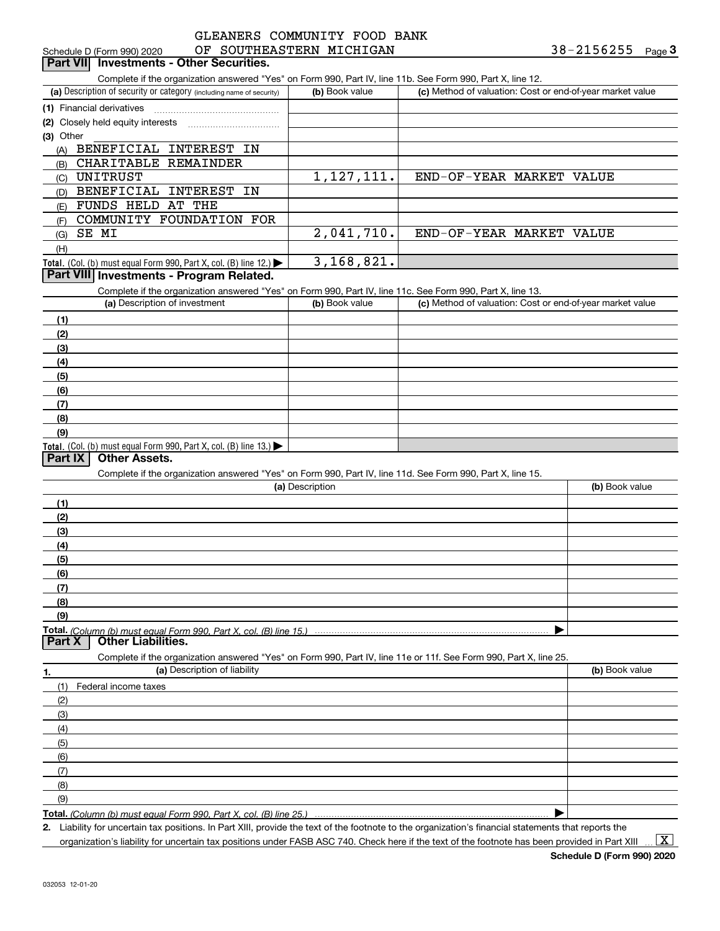|  | GLEANERS COMMUNITY FOOD BANK |  |
|--|------------------------------|--|
|  | OF COUTHERCHEDN MICUICAN     |  |

| Schedule D (Form 990) 2020                                                                                                                        | OF SOUTHEASTERN MICHIGAN |                                                           | 38-2156255<br>Page $3$ |
|---------------------------------------------------------------------------------------------------------------------------------------------------|--------------------------|-----------------------------------------------------------|------------------------|
| Part VII Investments - Other Securities.                                                                                                          |                          |                                                           |                        |
| Complete if the organization answered "Yes" on Form 990, Part IV, line 11b. See Form 990, Part X, line 12.                                        |                          |                                                           |                        |
| (a) Description of security or category (including name of security)                                                                              | (b) Book value           | (c) Method of valuation: Cost or end-of-year market value |                        |
| (1) Financial derivatives                                                                                                                         |                          |                                                           |                        |
| (2) Closely held equity interests                                                                                                                 |                          |                                                           |                        |
| (3) Other                                                                                                                                         |                          |                                                           |                        |
| BENEFICIAL INTEREST IN<br>(A)                                                                                                                     |                          |                                                           |                        |
| CHARITABLE REMAINDER<br>(B)                                                                                                                       |                          |                                                           |                        |
| UNITRUST<br>(C)                                                                                                                                   | 1, 127, 111.             | END-OF-YEAR MARKET VALUE                                  |                        |
| BENEFICIAL INTEREST<br>ΙN<br>(D)                                                                                                                  |                          |                                                           |                        |
| FUNDS HELD AT THE<br>(E)                                                                                                                          |                          |                                                           |                        |
| COMMUNITY FOUNDATION FOR<br>(F)                                                                                                                   |                          |                                                           |                        |
| SE MI<br>(G)                                                                                                                                      | 2,041,710.               | END-OF-YEAR MARKET VALUE                                  |                        |
| (H)                                                                                                                                               |                          |                                                           |                        |
| Total. (Col. (b) must equal Form 990, Part X, col. (B) line 12.)                                                                                  | 3, 168, 821.             |                                                           |                        |
| Part VIII Investments - Program Related.                                                                                                          |                          |                                                           |                        |
| Complete if the organization answered "Yes" on Form 990, Part IV, line 11c. See Form 990, Part X, line 13.                                        |                          |                                                           |                        |
| (a) Description of investment                                                                                                                     | (b) Book value           | (c) Method of valuation: Cost or end-of-year market value |                        |
| (1)                                                                                                                                               |                          |                                                           |                        |
| (2)                                                                                                                                               |                          |                                                           |                        |
| (3)                                                                                                                                               |                          |                                                           |                        |
| (4)                                                                                                                                               |                          |                                                           |                        |
| (5)                                                                                                                                               |                          |                                                           |                        |
| (6)                                                                                                                                               |                          |                                                           |                        |
| (7)                                                                                                                                               |                          |                                                           |                        |
| (8)                                                                                                                                               |                          |                                                           |                        |
| (9)                                                                                                                                               |                          |                                                           |                        |
| Total. (Col. (b) must equal Form 990, Part X, col. (B) line 13.)                                                                                  |                          |                                                           |                        |
| <b>Other Assets.</b><br>Part IX                                                                                                                   |                          |                                                           |                        |
| Complete if the organization answered "Yes" on Form 990, Part IV, line 11d. See Form 990, Part X, line 15.                                        |                          |                                                           |                        |
|                                                                                                                                                   | (a) Description          |                                                           | (b) Book value         |
|                                                                                                                                                   |                          |                                                           |                        |
| (1)<br>(2)                                                                                                                                        |                          |                                                           |                        |
|                                                                                                                                                   |                          |                                                           |                        |
| (3)                                                                                                                                               |                          |                                                           |                        |
| (4)                                                                                                                                               |                          |                                                           |                        |
| (5)                                                                                                                                               |                          |                                                           |                        |
| (6)                                                                                                                                               |                          |                                                           |                        |
| (7)                                                                                                                                               |                          |                                                           |                        |
| (8)                                                                                                                                               |                          |                                                           |                        |
| (9)                                                                                                                                               |                          |                                                           |                        |
| Total. (Column (b) must equal Form 990. Part X, col. (B) line 15.)<br><b>Other Liabilities.</b><br>Part X                                         |                          |                                                           |                        |
|                                                                                                                                                   |                          |                                                           |                        |
| Complete if the organization answered "Yes" on Form 990, Part IV, line 11e or 11f. See Form 990, Part X, line 25.<br>(a) Description of liability |                          |                                                           |                        |
| 1.                                                                                                                                                |                          |                                                           | (b) Book value         |
| (1)<br>Federal income taxes                                                                                                                       |                          |                                                           |                        |
| (2)                                                                                                                                               |                          |                                                           |                        |
| (3)                                                                                                                                               |                          |                                                           |                        |
| (4)                                                                                                                                               |                          |                                                           |                        |
| (5)                                                                                                                                               |                          |                                                           |                        |
| (6)                                                                                                                                               |                          |                                                           |                        |
| (7)                                                                                                                                               |                          |                                                           |                        |
| (8)                                                                                                                                               |                          |                                                           |                        |
| (9)                                                                                                                                               |                          |                                                           |                        |
| Total. (Column (b) must equal Form 990, Part X, col. (B) line 25.)                                                                                |                          |                                                           |                        |
|                                                                                                                                                   |                          |                                                           |                        |

**2.** Liability for uncertain tax positions. In Part XIII, provide the text of the footnote to the organization's financial statements that reports the organization's liability for uncertain tax positions under FASB ASC 740. Check here if the text of the footnote has been provided in Part XIII

**Schedule D (Form 990) 2020**  $\vert$  X  $\vert$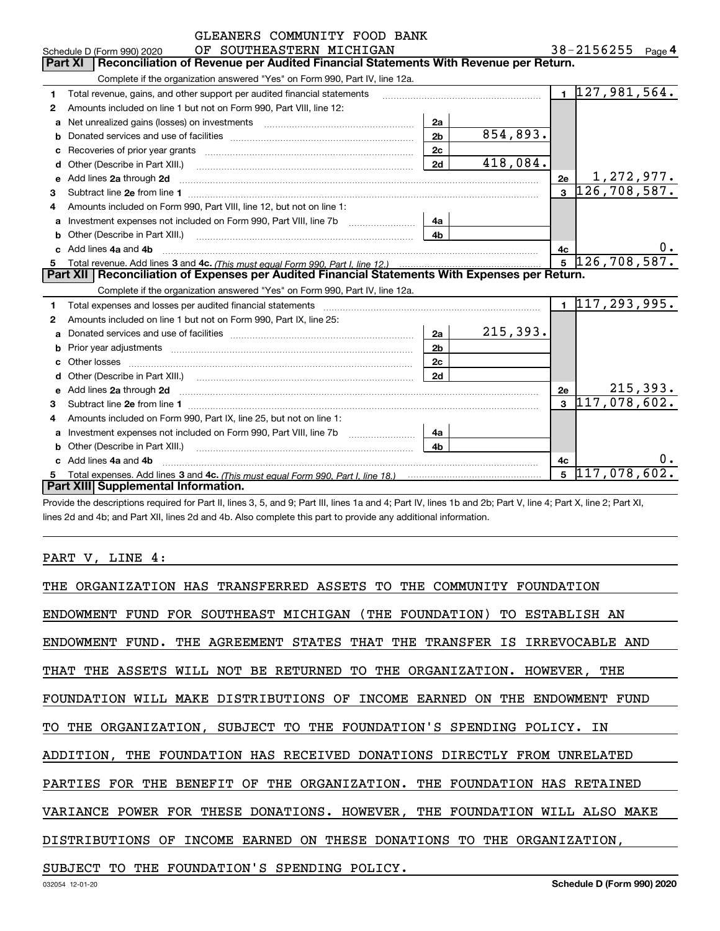|              | GLEANERS COMMUNITY FOOD BANK                                                                                                                                                                                                         |                |           |                |                              |           |
|--------------|--------------------------------------------------------------------------------------------------------------------------------------------------------------------------------------------------------------------------------------|----------------|-----------|----------------|------------------------------|-----------|
|              | OF SOUTHEASTERN MICHIGAN<br>Schedule D (Form 990) 2020                                                                                                                                                                               |                |           |                | $38 - 2156255$ Page 4        |           |
|              | Reconciliation of Revenue per Audited Financial Statements With Revenue per Return.<br><b>Part XI</b>                                                                                                                                |                |           |                |                              |           |
|              | Complete if the organization answered "Yes" on Form 990, Part IV, line 12a.                                                                                                                                                          |                |           |                |                              |           |
| 1            | Total revenue, gains, and other support per audited financial statements                                                                                                                                                             |                |           |                | $1\overline{127,981,564.}$   |           |
| $\mathbf{2}$ | Amounts included on line 1 but not on Form 990, Part VIII, line 12:                                                                                                                                                                  |                |           |                |                              |           |
| a            | Net unrealized gains (losses) on investments [11] [11] Net unrealized gains (losses) on investments                                                                                                                                  | 2a             |           |                |                              |           |
| b            |                                                                                                                                                                                                                                      | 2 <sub>b</sub> | 854,893.  |                |                              |           |
|              |                                                                                                                                                                                                                                      | 2c             |           |                |                              |           |
|              |                                                                                                                                                                                                                                      | 2d             | 418,084.  |                |                              |           |
| e            | Add lines 2a through 2d                                                                                                                                                                                                              |                |           | 2е             | 1,272,977.                   |           |
| 3            |                                                                                                                                                                                                                                      |                |           | $\overline{3}$ | $\overline{126, 708, 587}$ . |           |
| 4            | Amounts included on Form 990, Part VIII, line 12, but not on line 1:                                                                                                                                                                 |                |           |                |                              |           |
| a            | Investment expenses not included on Form 990, Part VIII, line 7b [111] [11] Investment expenses not included on Form 990, Part VIII, line 7b                                                                                         | 4a             |           |                |                              |           |
| b            | Other (Describe in Part XIII.) (2000) (2000) (2000) (2010) (2010) (2010) (2010) (2010) (2010) (2010) (2010) (20                                                                                                                      | 4h             |           |                |                              |           |
|              | Add lines 4a and 4b                                                                                                                                                                                                                  |                |           | 4c             |                              | $0 \cdot$ |
| 5            |                                                                                                                                                                                                                                      |                |           | 5              | 126,708,587.                 |           |
|              | Part XII   Reconciliation of Expenses per Audited Financial Statements With Expenses per Return.                                                                                                                                     |                |           |                |                              |           |
|              |                                                                                                                                                                                                                                      |                |           |                |                              |           |
|              | Complete if the organization answered "Yes" on Form 990, Part IV, line 12a.                                                                                                                                                          |                |           |                |                              |           |
| 1.           |                                                                                                                                                                                                                                      |                |           |                | $1\overline{117,293,995}$ .  |           |
| 2            | Amounts included on line 1 but not on Form 990, Part IX, line 25:                                                                                                                                                                    |                |           |                |                              |           |
| a            |                                                                                                                                                                                                                                      | 2a             | 215, 393. |                |                              |           |
| b            | Prior year adjustments <i>communically contained and all examples the contained and all examples the contained and all examples the contained and all examples the contained and all examples the contained and all examples the</i> | 2 <sub>b</sub> |           |                |                              |           |
|              |                                                                                                                                                                                                                                      | 2 <sub>c</sub> |           |                |                              |           |
|              |                                                                                                                                                                                                                                      | 2d             |           |                |                              |           |
|              |                                                                                                                                                                                                                                      |                |           | 2e             |                              | 215,393.  |
| 3            |                                                                                                                                                                                                                                      |                |           |                | $3\overline{117,078,602.}$   |           |
| 4            | Amounts included on Form 990, Part IX, line 25, but not on line 1:                                                                                                                                                                   |                |           |                |                              |           |
| a            |                                                                                                                                                                                                                                      | 4a             |           |                |                              |           |
| b            | Other (Describe in Part XIII.) [100] [100] [100] [100] [100] [100] [100] [100] [100] [100] [100] [100] [100] [                                                                                                                       | 4b             |           |                |                              |           |
|              | c Add lines 4a and 4b                                                                                                                                                                                                                |                |           | 4c             |                              | υ.        |
|              | Part XIII Supplemental Information.                                                                                                                                                                                                  |                |           | 5              | 117,078,602.                 |           |

Provide the descriptions required for Part II, lines 3, 5, and 9; Part III, lines 1a and 4; Part IV, lines 1b and 2b; Part V, line 4; Part X, line 2; Part XI, lines 2d and 4b; and Part XII, lines 2d and 4b. Also complete this part to provide any additional information.

#### PART V, LINE 4:

| THE ORGANIZATION HAS TRANSFERRED ASSETS TO THE COMMUNITY FOUNDATION        |
|----------------------------------------------------------------------------|
| ENDOWMENT FUND FOR SOUTHEAST MICHIGAN (THE FOUNDATION) TO ESTABLISH AN     |
| ENDOWMENT FUND. THE AGREEMENT STATES THAT THE TRANSFER IS IRREVOCABLE AND  |
| THAT THE ASSETS WILL NOT BE RETURNED TO THE ORGANIZATION. HOWEVER, THE     |
| FOUNDATION WILL MAKE DISTRIBUTIONS OF INCOME EARNED ON THE ENDOWMENT FUND  |
| TO THE ORGANIZATION, SUBJECT TO THE FOUNDATION'S SPENDING POLICY. IN       |
| ADDITION, THE FOUNDATION HAS RECEIVED DONATIONS DIRECTLY FROM UNRELATED    |
| PARTIES FOR THE BENEFIT OF THE ORGANIZATION. THE FOUNDATION HAS RETAINED   |
| VARIANCE POWER FOR THESE DONATIONS. HOWEVER, THE FOUNDATION WILL ALSO MAKE |
| DISTRIBUTIONS OF INCOME EARNED ON THESE DONATIONS TO THE ORGANIZATION,     |
| SUBJECT TO THE FOUNDATION'S SPENDING POLICY.                               |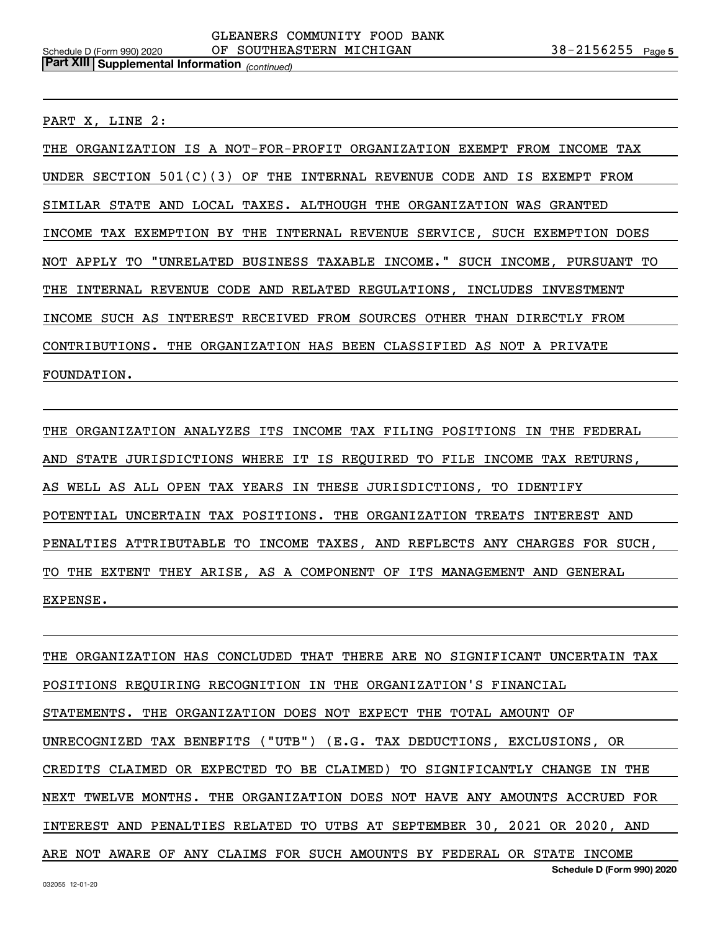*(continued)* **Part XIII Supplemental Information** 

PART X, LINE 2:

THE ORGANIZATION IS A NOT-FOR-PROFIT ORGANIZATION EXEMPT FROM INCOME TAX UNDER SECTION 501(C)(3) OF THE INTERNAL REVENUE CODE AND IS EXEMPT FROM SIMILAR STATE AND LOCAL TAXES. ALTHOUGH THE ORGANIZATION WAS GRANTED INCOME TAX EXEMPTION BY THE INTERNAL REVENUE SERVICE, SUCH EXEMPTION DOES NOT APPLY TO "UNRELATED BUSINESS TAXABLE INCOME." SUCH INCOME, PURSUANT TO THE INTERNAL REVENUE CODE AND RELATED REGULATIONS, INCLUDES INVESTMENT INCOME SUCH AS INTEREST RECEIVED FROM SOURCES OTHER THAN DIRECTLY FROM CONTRIBUTIONS. THE ORGANIZATION HAS BEEN CLASSIFIED AS NOT A PRIVATE FOUNDATION.

THE ORGANIZATION ANALYZES ITS INCOME TAX FILING POSITIONS IN THE FEDERAL AND STATE JURISDICTIONS WHERE IT IS REQUIRED TO FILE INCOME TAX RETURNS, AS WELL AS ALL OPEN TAX YEARS IN THESE JURISDICTIONS, TO IDENTIFY POTENTIAL UNCERTAIN TAX POSITIONS. THE ORGANIZATION TREATS INTEREST AND PENALTIES ATTRIBUTABLE TO INCOME TAXES, AND REFLECTS ANY CHARGES FOR SUCH, TO THE EXTENT THEY ARISE, AS A COMPONENT OF ITS MANAGEMENT AND GENERAL EXPENSE.

**Schedule D (Form 990) 2020** THE ORGANIZATION HAS CONCLUDED THAT THERE ARE NO SIGNIFICANT UNCERTAIN TAX POSITIONS REQUIRING RECOGNITION IN THE ORGANIZATION'S FINANCIAL STATEMENTS. THE ORGANIZATION DOES NOT EXPECT THE TOTAL AMOUNT OF UNRECOGNIZED TAX BENEFITS ("UTB") (E.G. TAX DEDUCTIONS, EXCLUSIONS, OR CREDITS CLAIMED OR EXPECTED TO BE CLAIMED) TO SIGNIFICANTLY CHANGE IN THE NEXT TWELVE MONTHS. THE ORGANIZATION DOES NOT HAVE ANY AMOUNTS ACCRUED FOR INTEREST AND PENALTIES RELATED TO UTBS AT SEPTEMBER 30, 2021 OR 2020, AND ARE NOT AWARE OF ANY CLAIMS FOR SUCH AMOUNTS BY FEDERAL OR STATE INCOME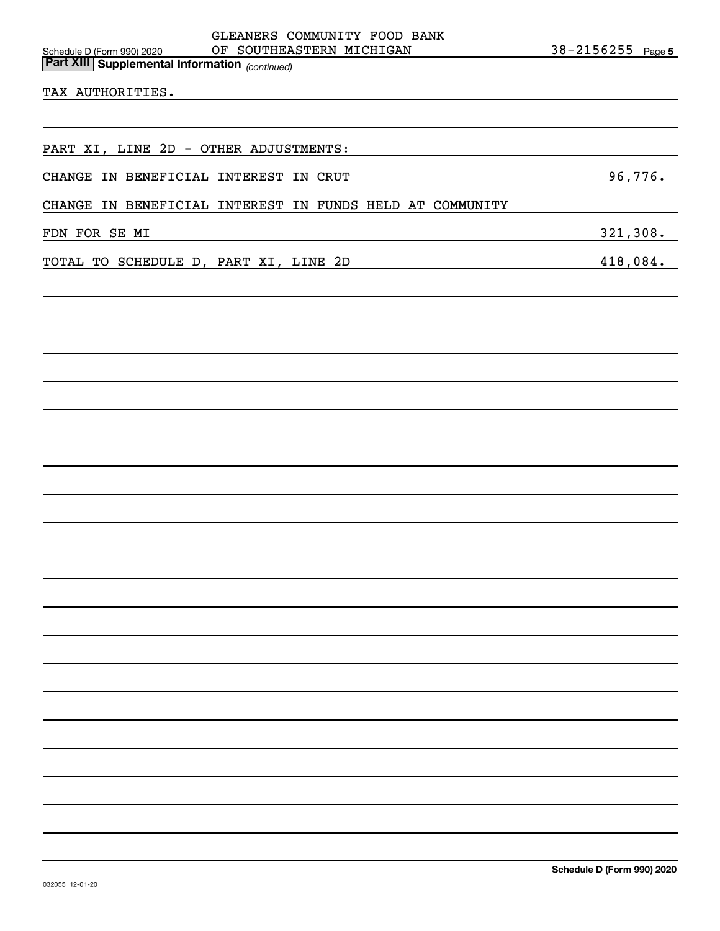| GLEANERS COMMUNITY FOOD BANK                                                                                                 |                       |
|------------------------------------------------------------------------------------------------------------------------------|-----------------------|
| OF SOUTHEASTERN MICHIGAN<br>Schedule D (Form 990) 2020<br><b>Part XIII   Supplemental Information</b> <sub>(continued)</sub> | $38 - 2156255$ Page 5 |
|                                                                                                                              |                       |
| TAX AUTHORITIES.                                                                                                             |                       |
|                                                                                                                              |                       |
|                                                                                                                              |                       |
| PART XI, LINE 2D - OTHER ADJUSTMENTS:                                                                                        |                       |
|                                                                                                                              |                       |
| CHANGE IN BENEFICIAL INTEREST IN CRUT                                                                                        | 96,776.               |
| CHANGE IN BENEFICIAL INTEREST IN FUNDS HELD AT COMMUNITY                                                                     |                       |
|                                                                                                                              |                       |
| FDN FOR SE MI                                                                                                                | 321,308.              |
| TOTAL TO SCHEDULE D, PART XI, LINE 2D                                                                                        | 418,084.              |
|                                                                                                                              |                       |
|                                                                                                                              |                       |
|                                                                                                                              |                       |
|                                                                                                                              |                       |
|                                                                                                                              |                       |
|                                                                                                                              |                       |
|                                                                                                                              |                       |
|                                                                                                                              |                       |
|                                                                                                                              |                       |
|                                                                                                                              |                       |
|                                                                                                                              |                       |
|                                                                                                                              |                       |
|                                                                                                                              |                       |
|                                                                                                                              |                       |
|                                                                                                                              |                       |
|                                                                                                                              |                       |
|                                                                                                                              |                       |
|                                                                                                                              |                       |
|                                                                                                                              |                       |
|                                                                                                                              |                       |
|                                                                                                                              |                       |
|                                                                                                                              |                       |
|                                                                                                                              |                       |
|                                                                                                                              |                       |
|                                                                                                                              |                       |
|                                                                                                                              |                       |
|                                                                                                                              |                       |
|                                                                                                                              |                       |
|                                                                                                                              |                       |
|                                                                                                                              |                       |
|                                                                                                                              |                       |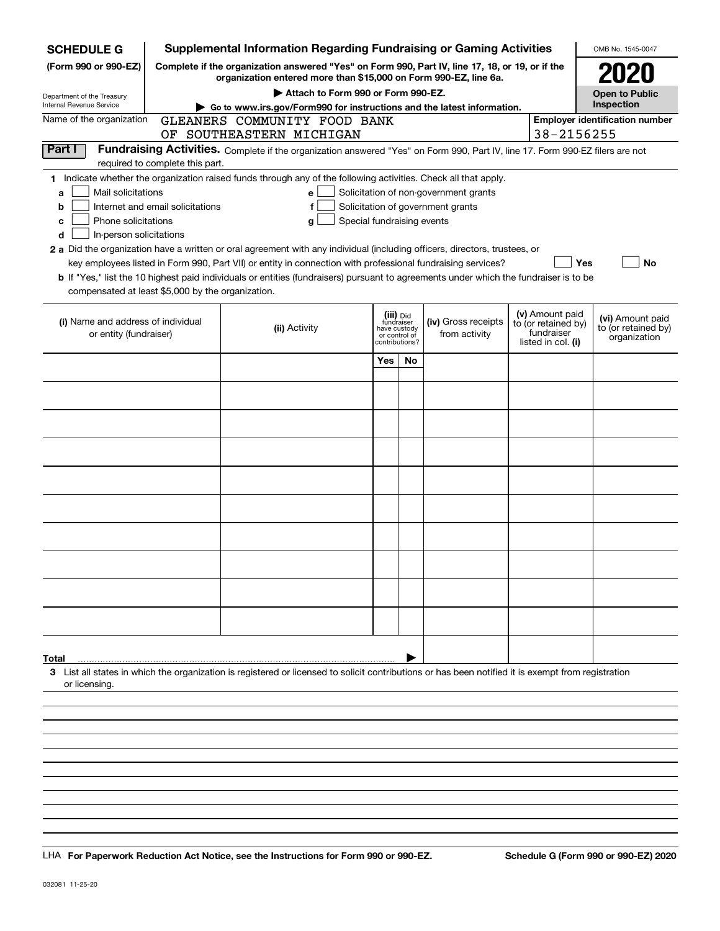| <b>SCHEDULE G</b>                                 |                                                                            | <b>Supplemental Information Regarding Fundraising or Gaming Activities</b>                                                                                                                                                                |  |                                         |    |                                       |  |                                        | OMB No. 1545-0047                       |  |  |
|---------------------------------------------------|----------------------------------------------------------------------------|-------------------------------------------------------------------------------------------------------------------------------------------------------------------------------------------------------------------------------------------|--|-----------------------------------------|----|---------------------------------------|--|----------------------------------------|-----------------------------------------|--|--|
| (Form 990 or 990-EZ)                              |                                                                            | Complete if the organization answered "Yes" on Form 990, Part IV, line 17, 18, or 19, or if the<br>organization entered more than \$15,000 on Form 990-EZ, line 6a.                                                                       |  |                                         |    |                                       |  |                                        | <b>2020</b>                             |  |  |
| Department of the Treasury                        |                                                                            | Attach to Form 990 or Form 990-EZ.                                                                                                                                                                                                        |  |                                         |    |                                       |  |                                        | <b>Open to Public</b>                   |  |  |
| Internal Revenue Service                          |                                                                            | Go to www.irs.gov/Form990 for instructions and the latest information.                                                                                                                                                                    |  |                                         |    |                                       |  |                                        | Inspection                              |  |  |
| Name of the organization                          |                                                                            | GLEANERS COMMUNITY FOOD BANK<br>OF SOUTHEASTERN MICHIGAN                                                                                                                                                                                  |  |                                         |    |                                       |  | 38-2156255                             | <b>Employer identification number</b>   |  |  |
| Part I                                            |                                                                            | Fundraising Activities. Complete if the organization answered "Yes" on Form 990, Part IV, line 17. Form 990-EZ filers are not                                                                                                             |  |                                         |    |                                       |  |                                        |                                         |  |  |
|                                                   | required to complete this part.                                            |                                                                                                                                                                                                                                           |  |                                         |    |                                       |  |                                        |                                         |  |  |
|                                                   |                                                                            | 1 Indicate whether the organization raised funds through any of the following activities. Check all that apply.                                                                                                                           |  |                                         |    |                                       |  |                                        |                                         |  |  |
| Mail solicitations<br>a                           |                                                                            | е                                                                                                                                                                                                                                         |  |                                         |    | Solicitation of non-government grants |  |                                        |                                         |  |  |
| b                                                 | Internet and email solicitations<br>Solicitation of government grants<br>f |                                                                                                                                                                                                                                           |  |                                         |    |                                       |  |                                        |                                         |  |  |
| с                                                 | Phone solicitations<br>Special fundraising events<br>g                     |                                                                                                                                                                                                                                           |  |                                         |    |                                       |  |                                        |                                         |  |  |
| In-person solicitations<br>d                      |                                                                            |                                                                                                                                                                                                                                           |  |                                         |    |                                       |  |                                        |                                         |  |  |
|                                                   |                                                                            | 2 a Did the organization have a written or oral agreement with any individual (including officers, directors, trustees, or<br>key employees listed in Form 990, Part VII) or entity in connection with professional fundraising services? |  |                                         |    |                                       |  | Yes                                    | No                                      |  |  |
|                                                   |                                                                            | <b>b</b> If "Yes," list the 10 highest paid individuals or entities (fundraisers) pursuant to agreements under which the fundraiser is to be                                                                                              |  |                                         |    |                                       |  |                                        |                                         |  |  |
| compensated at least \$5,000 by the organization. |                                                                            |                                                                                                                                                                                                                                           |  |                                         |    |                                       |  |                                        |                                         |  |  |
|                                                   |                                                                            |                                                                                                                                                                                                                                           |  |                                         |    |                                       |  |                                        |                                         |  |  |
| (i) Name and address of individual                |                                                                            | (ii) Activity                                                                                                                                                                                                                             |  | (iii) Did<br>fundraiser<br>have custody |    | (iv) Gross receipts                   |  | (v) Amount paid<br>to (or retained by) | (vi) Amount paid<br>to (or retained by) |  |  |
| or entity (fundraiser)                            |                                                                            |                                                                                                                                                                                                                                           |  | or control of<br>contributions?         |    | from activity                         |  | fundraiser<br>listed in col. (i)       | organization                            |  |  |
|                                                   |                                                                            |                                                                                                                                                                                                                                           |  | Yes                                     | No |                                       |  |                                        |                                         |  |  |
|                                                   |                                                                            |                                                                                                                                                                                                                                           |  |                                         |    |                                       |  |                                        |                                         |  |  |
|                                                   |                                                                            |                                                                                                                                                                                                                                           |  |                                         |    |                                       |  |                                        |                                         |  |  |
|                                                   |                                                                            |                                                                                                                                                                                                                                           |  |                                         |    |                                       |  |                                        |                                         |  |  |
|                                                   |                                                                            |                                                                                                                                                                                                                                           |  |                                         |    |                                       |  |                                        |                                         |  |  |
|                                                   |                                                                            |                                                                                                                                                                                                                                           |  |                                         |    |                                       |  |                                        |                                         |  |  |
|                                                   |                                                                            |                                                                                                                                                                                                                                           |  |                                         |    |                                       |  |                                        |                                         |  |  |
|                                                   |                                                                            |                                                                                                                                                                                                                                           |  |                                         |    |                                       |  |                                        |                                         |  |  |
|                                                   |                                                                            |                                                                                                                                                                                                                                           |  |                                         |    |                                       |  |                                        |                                         |  |  |
|                                                   |                                                                            |                                                                                                                                                                                                                                           |  |                                         |    |                                       |  |                                        |                                         |  |  |
|                                                   |                                                                            |                                                                                                                                                                                                                                           |  |                                         |    |                                       |  |                                        |                                         |  |  |
|                                                   |                                                                            |                                                                                                                                                                                                                                           |  |                                         |    |                                       |  |                                        |                                         |  |  |
|                                                   |                                                                            |                                                                                                                                                                                                                                           |  |                                         |    |                                       |  |                                        |                                         |  |  |
|                                                   |                                                                            |                                                                                                                                                                                                                                           |  |                                         |    |                                       |  |                                        |                                         |  |  |
|                                                   |                                                                            |                                                                                                                                                                                                                                           |  |                                         |    |                                       |  |                                        |                                         |  |  |
|                                                   |                                                                            |                                                                                                                                                                                                                                           |  |                                         |    |                                       |  |                                        |                                         |  |  |
|                                                   |                                                                            |                                                                                                                                                                                                                                           |  |                                         |    |                                       |  |                                        |                                         |  |  |
|                                                   |                                                                            |                                                                                                                                                                                                                                           |  |                                         |    |                                       |  |                                        |                                         |  |  |
|                                                   |                                                                            |                                                                                                                                                                                                                                           |  |                                         |    |                                       |  |                                        |                                         |  |  |
| Total<br>or licensing.                            |                                                                            | 3 List all states in which the organization is registered or licensed to solicit contributions or has been notified it is exempt from registration                                                                                        |  |                                         |    |                                       |  |                                        |                                         |  |  |
|                                                   |                                                                            |                                                                                                                                                                                                                                           |  |                                         |    |                                       |  |                                        |                                         |  |  |
|                                                   |                                                                            |                                                                                                                                                                                                                                           |  |                                         |    |                                       |  |                                        |                                         |  |  |
|                                                   |                                                                            |                                                                                                                                                                                                                                           |  |                                         |    |                                       |  |                                        |                                         |  |  |
|                                                   |                                                                            |                                                                                                                                                                                                                                           |  |                                         |    |                                       |  |                                        |                                         |  |  |
|                                                   |                                                                            |                                                                                                                                                                                                                                           |  |                                         |    |                                       |  |                                        |                                         |  |  |

LHA For Paperwork Reduction Act Notice, see the Instructions for Form 990 or 990-EZ. Schedule G (Form 990 or 990-EZ) 2020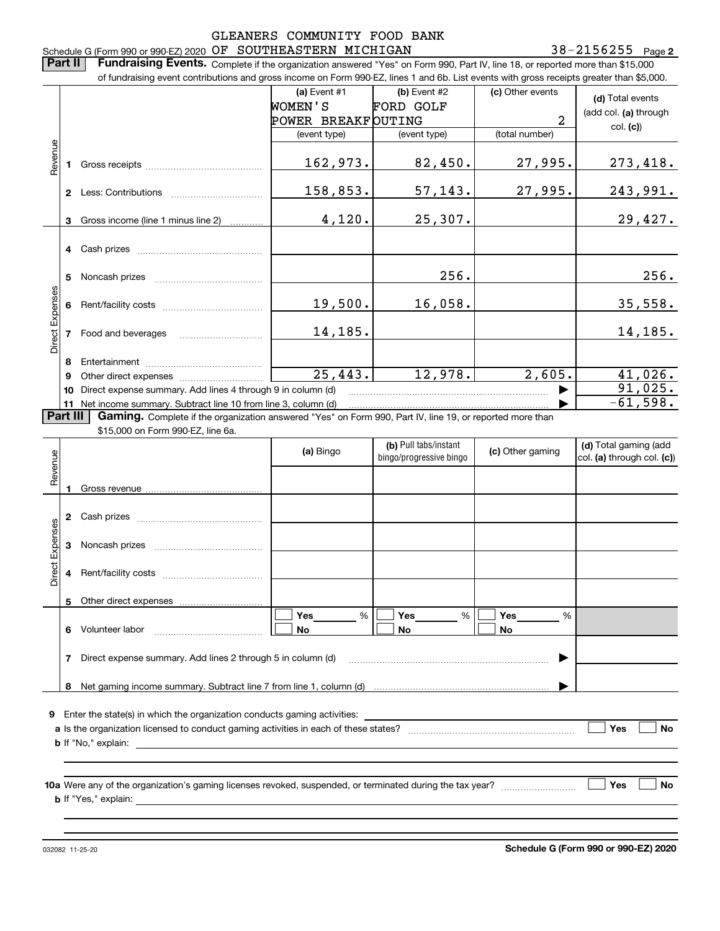|                           | Part II        | Schedule G (Form 990 or 990-EZ) 2020 OF SOUTHEASTERN MICHIGAN<br>Fundraising Events. Complete if the organization answered "Yes" on Form 990, Part IV, line 18, or reported more than \$15,000<br>of fundraising event contributions and gross income on Form 990-EZ, lines 1 and 6b. List events with gross receipts greater than \$5,000. |                                                        |                                                  |                           | $38 - 2156255$ Page 2                                             |
|---------------------------|----------------|---------------------------------------------------------------------------------------------------------------------------------------------------------------------------------------------------------------------------------------------------------------------------------------------------------------------------------------------|--------------------------------------------------------|--------------------------------------------------|---------------------------|-------------------------------------------------------------------|
|                           |                |                                                                                                                                                                                                                                                                                                                                             | (a) Event $#1$<br><b>WOMEN'S</b><br>POWER BREAKFOUTING | (b) Event #2<br>FORD GOLF                        | (c) Other events<br>2     | (d) Total events<br>(add col. (a) through<br>col. (c)             |
| Revenue                   |                | 1 Gross receipts [11] Gross receipts [11] Care and The Contemporary and The Contemporary Contemporary Contemporary Contemporary Contemporary Contemporary Contemporary Contemporary Contemporary Contemporary Contemporary Con                                                                                                              | (event type)<br>162,973.                               | (event type)<br>82,450.                          | (total number)<br>27,995. | <u>273,418.</u>                                                   |
|                           |                |                                                                                                                                                                                                                                                                                                                                             | <u>158,853.</u>                                        | 57, 143.                                         | 27,995.                   | 243,991.                                                          |
|                           |                | 3 Gross income (line 1 minus line 2)                                                                                                                                                                                                                                                                                                        | 4,120.                                                 | 25,307.                                          |                           | 29,427.                                                           |
|                           |                |                                                                                                                                                                                                                                                                                                                                             |                                                        |                                                  |                           |                                                                   |
|                           | 5              |                                                                                                                                                                                                                                                                                                                                             |                                                        | 256.                                             |                           | 256.                                                              |
|                           | 6              |                                                                                                                                                                                                                                                                                                                                             | 19,500.                                                | 16,058.                                          |                           | <u>35,558.</u>                                                    |
| Direct Expenses           |                | 7 Food and beverages                                                                                                                                                                                                                                                                                                                        | 14,185.                                                |                                                  |                           | 14,185.                                                           |
|                           | 8<br>9         |                                                                                                                                                                                                                                                                                                                                             | $\overline{25,443}.$                                   | 12,978.                                          | 2,605.                    | 41,026.                                                           |
|                           |                | Direct expense summary. Add lines 4 through 9 in column (d)                                                                                                                                                                                                                                                                                 |                                                        |                                                  |                           | 91,025.                                                           |
|                           | 10<br>Part III | 11 Net income summary. Subtract line 10 from line 3, column (d)<br>Gaming. Complete if the organization answered "Yes" on Form 990, Part IV, line 19, or reported more than                                                                                                                                                                 |                                                        |                                                  |                           |                                                                   |
|                           |                | \$15,000 on Form 990-EZ, line 6a.                                                                                                                                                                                                                                                                                                           | (a) Bingo                                              | (b) Pull tabs/instant<br>bingo/progressive bingo | (c) Other gaming          |                                                                   |
|                           |                |                                                                                                                                                                                                                                                                                                                                             |                                                        |                                                  |                           |                                                                   |
| S                         |                | 2 Cash prizes                                                                                                                                                                                                                                                                                                                               |                                                        |                                                  |                           |                                                                   |
|                           | з              |                                                                                                                                                                                                                                                                                                                                             |                                                        |                                                  |                           |                                                                   |
|                           | 4              |                                                                                                                                                                                                                                                                                                                                             |                                                        |                                                  |                           |                                                                   |
| Revenue<br>Direct Expense | 5              |                                                                                                                                                                                                                                                                                                                                             | %<br>Yes                                               | Yes<br>%                                         | Yes<br>%                  | $-61,598.$<br>(d) Total gaming (add<br>col. (a) through col. (c)) |
|                           | 6              | Volunteer labor                                                                                                                                                                                                                                                                                                                             | No                                                     | No                                               | No                        |                                                                   |
|                           | 7              | Direct expense summary. Add lines 2 through 5 in column (d)                                                                                                                                                                                                                                                                                 |                                                        |                                                  |                           |                                                                   |
| 9                         | 8              | Enter the state(s) in which the organization conducts gaming activities:                                                                                                                                                                                                                                                                    |                                                        |                                                  |                           | Yes<br>No                                                         |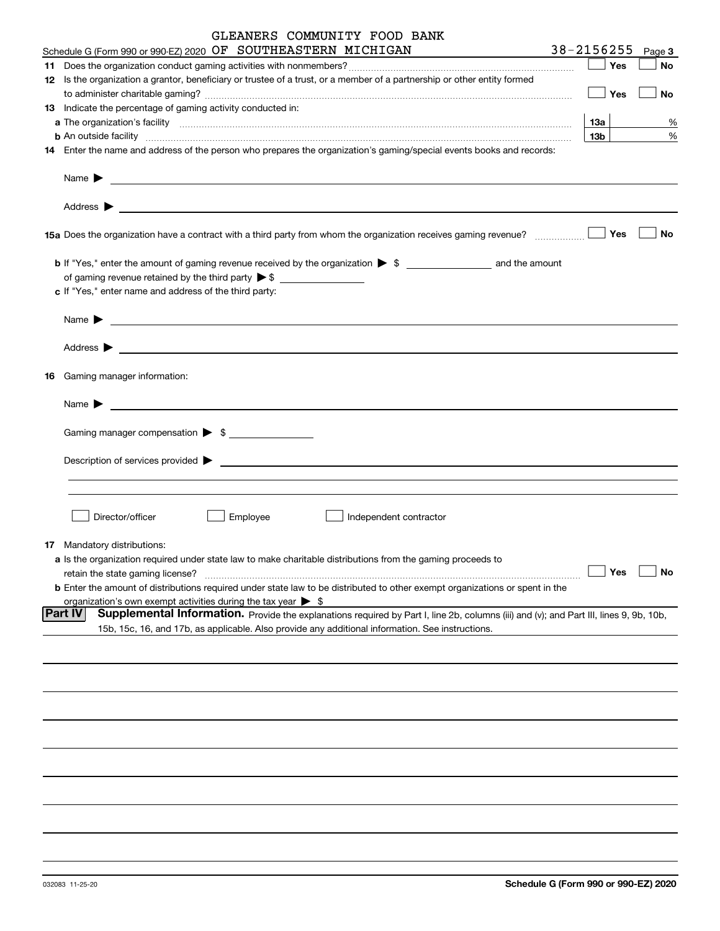| GLEANERS COMMUNITY FOOD BANK                                                                                                                                                                                                                        |            |                 |            |        |
|-----------------------------------------------------------------------------------------------------------------------------------------------------------------------------------------------------------------------------------------------------|------------|-----------------|------------|--------|
| Schedule G (Form 990 or 990-EZ) 2020 OF SOUTHEASTERN MICHIGAN                                                                                                                                                                                       | 38-2156255 |                 |            | Page 3 |
|                                                                                                                                                                                                                                                     |            |                 | <b>Yes</b> | No     |
| 12 Is the organization a grantor, beneficiary or trustee of a trust, or a member of a partnership or other entity formed                                                                                                                            |            |                 |            |        |
|                                                                                                                                                                                                                                                     |            |                 | Yes        | No     |
| 13 Indicate the percentage of gaming activity conducted in:                                                                                                                                                                                         |            |                 |            |        |
|                                                                                                                                                                                                                                                     |            | 1За             |            | %      |
| <b>b</b> An outside facility <i>www.communicality www.communicality.communicality www.communicality www.communicality.com</i>                                                                                                                       |            | 13 <sub>b</sub> |            | %      |
| 14 Enter the name and address of the person who prepares the organization's gaming/special events books and records:                                                                                                                                |            |                 |            |        |
| Name $\blacktriangleright$<br>and the control of the control of the control of the control of the control of the control of the control of the<br>Address $\blacktriangleright$<br><u> 1989 - Johann Barbara, martxa eta politikaria (h. 1989).</u> |            |                 |            |        |
| 15a Does the organization have a contract with a third party from whom the organization receives gaming revenue?                                                                                                                                    |            |                 | Yes        | No     |
| <b>b</b> If "Yes," enter the amount of gaming revenue received by the organization $\triangleright$ \$ ____________________ and the amount                                                                                                          |            |                 |            |        |
| of gaming revenue retained by the third party $\triangleright$ \$                                                                                                                                                                                   |            |                 |            |        |
| c If "Yes," enter name and address of the third party:                                                                                                                                                                                              |            |                 |            |        |
|                                                                                                                                                                                                                                                     |            |                 |            |        |
| Name $\blacktriangleright$                                                                                                                                                                                                                          |            |                 |            |        |
| Address $\blacktriangleright$                                                                                                                                                                                                                       |            |                 |            |        |
| Gaming manager information:<br>16                                                                                                                                                                                                                   |            |                 |            |        |
| Name $\blacktriangleright$                                                                                                                                                                                                                          |            |                 |            |        |
| Gaming manager compensation > \$                                                                                                                                                                                                                    |            |                 |            |        |
|                                                                                                                                                                                                                                                     |            |                 |            |        |
| $\blacksquare$ Description of services provided $\blacktriangleright$                                                                                                                                                                               |            |                 |            |        |
|                                                                                                                                                                                                                                                     |            |                 |            |        |
|                                                                                                                                                                                                                                                     |            |                 |            |        |
| Director/officer<br>Employee<br>Independent contractor                                                                                                                                                                                              |            |                 |            |        |
|                                                                                                                                                                                                                                                     |            |                 |            |        |
| <b>17</b> Mandatory distributions:                                                                                                                                                                                                                  |            |                 |            |        |
| a Is the organization required under state law to make charitable distributions from the gaming proceeds to                                                                                                                                         |            |                 |            |        |
| retain the state gaming license?                                                                                                                                                                                                                    |            |                 | Yes        | No     |
| <b>b</b> Enter the amount of distributions required under state law to be distributed to other exempt organizations or spent in the                                                                                                                 |            |                 |            |        |
| organization's own exempt activities during the tax year $\triangleright$ \$                                                                                                                                                                        |            |                 |            |        |
| Supplemental Information. Provide the explanations required by Part I, line 2b, columns (iii) and (v); and Part III, lines 9, 9b, 10b,<br>∣Part IV                                                                                                  |            |                 |            |        |
| 15b, 15c, 16, and 17b, as applicable. Also provide any additional information. See instructions.                                                                                                                                                    |            |                 |            |        |
|                                                                                                                                                                                                                                                     |            |                 |            |        |
|                                                                                                                                                                                                                                                     |            |                 |            |        |
|                                                                                                                                                                                                                                                     |            |                 |            |        |
|                                                                                                                                                                                                                                                     |            |                 |            |        |
|                                                                                                                                                                                                                                                     |            |                 |            |        |
|                                                                                                                                                                                                                                                     |            |                 |            |        |
|                                                                                                                                                                                                                                                     |            |                 |            |        |
|                                                                                                                                                                                                                                                     |            |                 |            |        |
|                                                                                                                                                                                                                                                     |            |                 |            |        |
|                                                                                                                                                                                                                                                     |            |                 |            |        |
|                                                                                                                                                                                                                                                     |            |                 |            |        |
|                                                                                                                                                                                                                                                     |            |                 |            |        |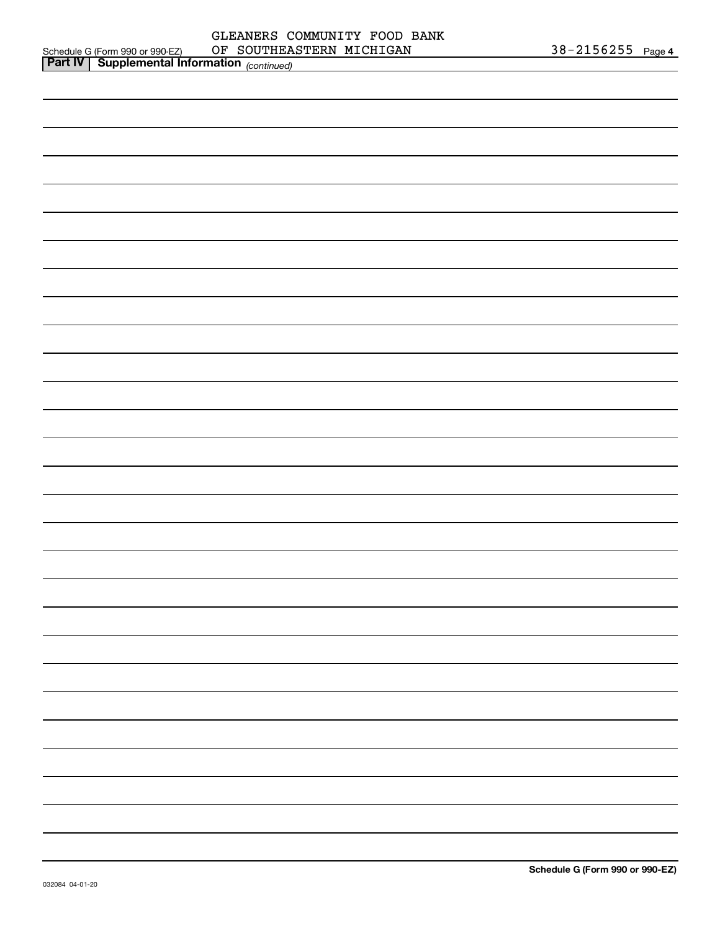|                                                                                                                                                                      | GLEANERS COMMUNITY FOOD BANK |                       |
|----------------------------------------------------------------------------------------------------------------------------------------------------------------------|------------------------------|-----------------------|
| Schedule G (Form 990 or 990-EZ)                                                                                                                                      | OF SOUTHEASTERN MICHIGAN     | $38 - 2156255$ Page 4 |
| $\mathbf{D}_{\mathbf{c}}$ at $\mathbf{M}$ $\mathbf{D}_{\mathbf{c}}$ and $\mathbf{D}_{\mathbf{c}}$ are set of $\mathbf{D}_{\mathbf{c}}$ and $\mathbf{D}_{\mathbf{c}}$ |                              |                       |

| Part IV | <b>Supplemental Information (continued)</b> |
|---------|---------------------------------------------|
|         |                                             |
|         |                                             |
|         |                                             |
|         |                                             |
|         |                                             |
|         |                                             |
|         |                                             |
|         |                                             |
|         |                                             |
|         |                                             |
|         |                                             |
|         |                                             |
|         |                                             |
|         |                                             |
|         |                                             |
|         |                                             |
|         |                                             |
|         |                                             |
|         |                                             |
|         |                                             |
|         |                                             |
|         |                                             |
|         |                                             |
|         |                                             |
|         |                                             |
|         |                                             |
|         |                                             |
|         |                                             |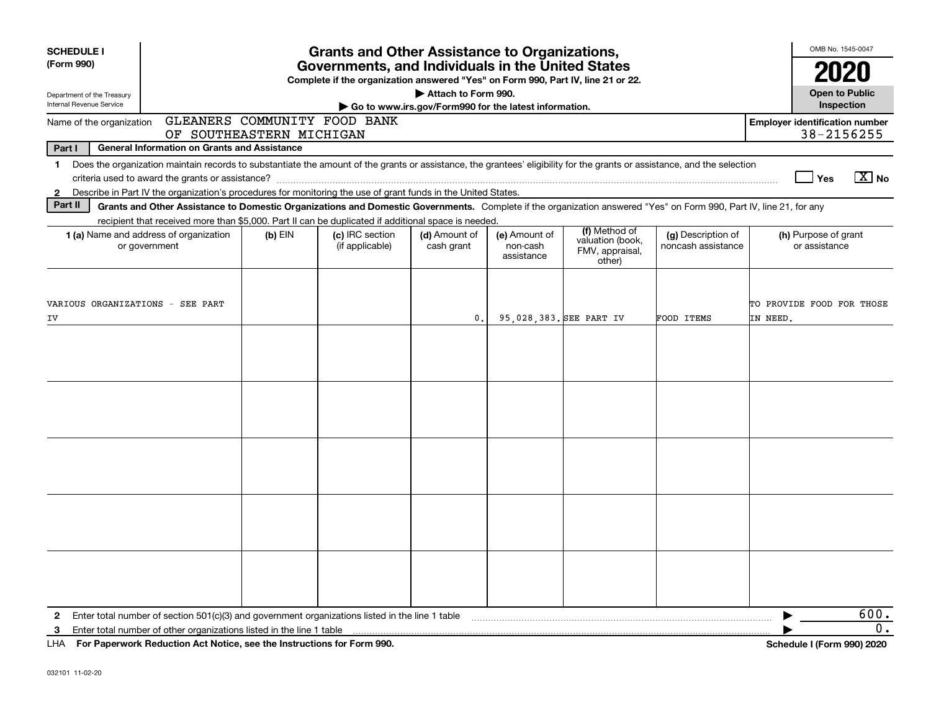| <b>SCHEDULE I</b>                                      |                                                                                                                                                                                                                                                                                           |                          | <b>Grants and Other Assistance to Organizations,</b> |                             |                                         |                                                                |                                          | OMB No. 1545-0047                                   |  |  |  |
|--------------------------------------------------------|-------------------------------------------------------------------------------------------------------------------------------------------------------------------------------------------------------------------------------------------------------------------------------------------|--------------------------|------------------------------------------------------|-----------------------------|-----------------------------------------|----------------------------------------------------------------|------------------------------------------|-----------------------------------------------------|--|--|--|
| (Form 990)                                             | Governments, and Individuals in the United States<br>Complete if the organization answered "Yes" on Form 990, Part IV, line 21 or 22.                                                                                                                                                     |                          |                                                      |                             |                                         |                                                                |                                          |                                                     |  |  |  |
| Department of the Treasury<br>Internal Revenue Service | Attach to Form 990.<br>Go to www.irs.gov/Form990 for the latest information.                                                                                                                                                                                                              |                          |                                                      |                             |                                         |                                                                |                                          |                                                     |  |  |  |
| Name of the organization                               |                                                                                                                                                                                                                                                                                           | OF SOUTHEASTERN MICHIGAN | GLEANERS COMMUNITY FOOD BANK                         |                             |                                         |                                                                |                                          | <b>Employer identification number</b><br>38-2156255 |  |  |  |
| Part I                                                 | <b>General Information on Grants and Assistance</b>                                                                                                                                                                                                                                       |                          |                                                      |                             |                                         |                                                                |                                          |                                                     |  |  |  |
| $\mathbf{1}$<br>$\mathbf{2}$                           | Does the organization maintain records to substantiate the amount of the grants or assistance, the grantees' eligibility for the grants or assistance, and the selection<br>Describe in Part IV the organization's procedures for monitoring the use of grant funds in the United States. |                          |                                                      |                             |                                         |                                                                |                                          | $\boxed{\text{X}}$ No<br>Yes                        |  |  |  |
| Part II                                                | Grants and Other Assistance to Domestic Organizations and Domestic Governments. Complete if the organization answered "Yes" on Form 990, Part IV, line 21, for any<br>recipient that received more than \$5,000. Part II can be duplicated if additional space is needed.                 |                          |                                                      |                             |                                         |                                                                |                                          |                                                     |  |  |  |
|                                                        | 1 (a) Name and address of organization<br>or government                                                                                                                                                                                                                                   | $(b)$ EIN                | (c) IRC section<br>(if applicable)                   | (d) Amount of<br>cash grant | (e) Amount of<br>non-cash<br>assistance | (f) Method of<br>valuation (book,<br>FMV, appraisal,<br>other) | (g) Description of<br>noncash assistance | (h) Purpose of grant<br>or assistance               |  |  |  |
| VARIOUS ORGANIZATIONS - SEE PART<br>IV                 |                                                                                                                                                                                                                                                                                           |                          |                                                      | 0.                          |                                         | 95,028,383. SEE PART IV                                        | FOOD ITEMS                               | TO PROVIDE FOOD FOR THOSE<br>IN NEED.               |  |  |  |
|                                                        |                                                                                                                                                                                                                                                                                           |                          |                                                      |                             |                                         |                                                                |                                          |                                                     |  |  |  |
|                                                        |                                                                                                                                                                                                                                                                                           |                          |                                                      |                             |                                         |                                                                |                                          |                                                     |  |  |  |
|                                                        |                                                                                                                                                                                                                                                                                           |                          |                                                      |                             |                                         |                                                                |                                          |                                                     |  |  |  |
|                                                        |                                                                                                                                                                                                                                                                                           |                          |                                                      |                             |                                         |                                                                |                                          |                                                     |  |  |  |
|                                                        |                                                                                                                                                                                                                                                                                           |                          |                                                      |                             |                                         |                                                                |                                          |                                                     |  |  |  |
| $\mathbf{2}$                                           | Enter total number of section $501(c)(3)$ and government organizations listed in the line 1 table                                                                                                                                                                                         |                          |                                                      |                             |                                         |                                                                |                                          | 600.                                                |  |  |  |
| 3                                                      | Enter total number of other organizations listed in the line 1 table                                                                                                                                                                                                                      |                          |                                                      |                             |                                         |                                                                |                                          | О.                                                  |  |  |  |
|                                                        | LHA For Paperwork Reduction Act Notice, see the Instructions for Form 990.                                                                                                                                                                                                                |                          |                                                      |                             |                                         |                                                                |                                          | Schedule I (Form 990) 2020                          |  |  |  |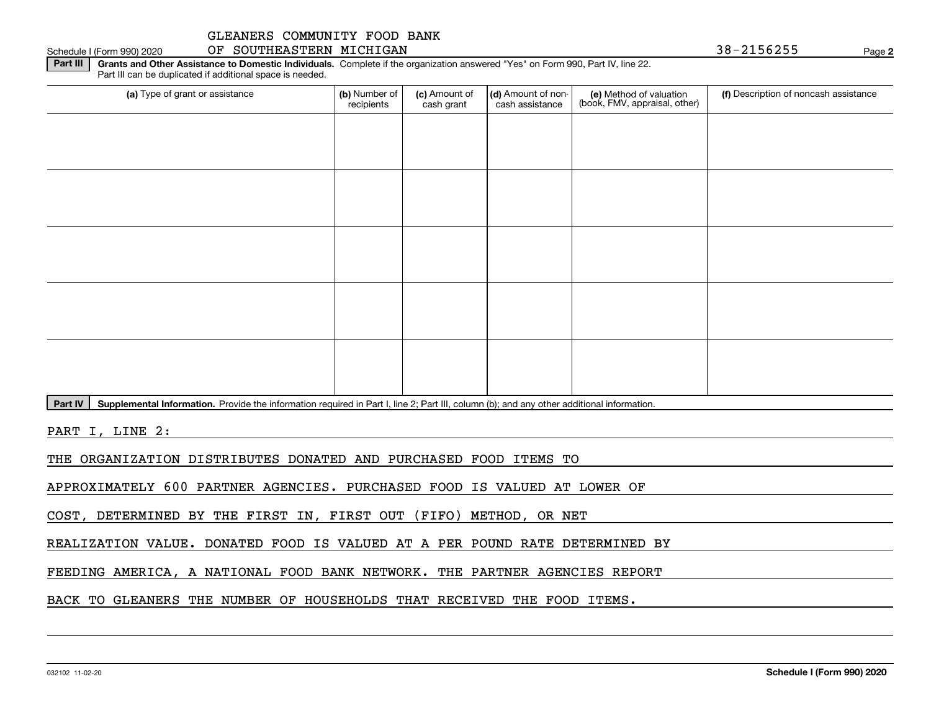Schedule I (Form 990) 2020 OF SOUTHEASTERN MICHIGAN 38-2156255 Page

**2**

**Part III | Grants and Other Assistance to Domestic Individuals. Complete if the organization answered "Yes" on Form 990, Part IV, line 22.** Part III can be duplicated if additional space is needed.

| (a) Type of grant or assistance | (b) Number of<br>recipients | (c) Amount of<br>cash grant | (d) Amount of non-<br>cash assistance | (e) Method of valuation<br>(book, FMV, appraisal, other) | (f) Description of noncash assistance |
|---------------------------------|-----------------------------|-----------------------------|---------------------------------------|----------------------------------------------------------|---------------------------------------|
|                                 |                             |                             |                                       |                                                          |                                       |
|                                 |                             |                             |                                       |                                                          |                                       |
|                                 |                             |                             |                                       |                                                          |                                       |
|                                 |                             |                             |                                       |                                                          |                                       |
|                                 |                             |                             |                                       |                                                          |                                       |
|                                 |                             |                             |                                       |                                                          |                                       |
|                                 |                             |                             |                                       |                                                          |                                       |
|                                 |                             |                             |                                       |                                                          |                                       |
|                                 |                             |                             |                                       |                                                          |                                       |
|                                 |                             |                             |                                       |                                                          |                                       |
|                                 |                             |                             |                                       |                                                          |                                       |

Part IV | Supplemental Information. Provide the information required in Part I, line 2; Part III, column (b); and any other additional information.

PART I, LINE 2:

THE ORGANIZATION DISTRIBUTES DONATED AND PURCHASED FOOD ITEMS TO

APPROXIMATELY 600 PARTNER AGENCIES. PURCHASED FOOD IS VALUED AT LOWER OF

COST, DETERMINED BY THE FIRST IN, FIRST OUT (FIFO) METHOD, OR NET

REALIZATION VALUE. DONATED FOOD IS VALUED AT A PER POUND RATE DETERMINED BY

FEEDING AMERICA, A NATIONAL FOOD BANK NETWORK. THE PARTNER AGENCIES REPORT

BACK TO GLEANERS THE NUMBER OF HOUSEHOLDS THAT RECEIVED THE FOOD ITEMS.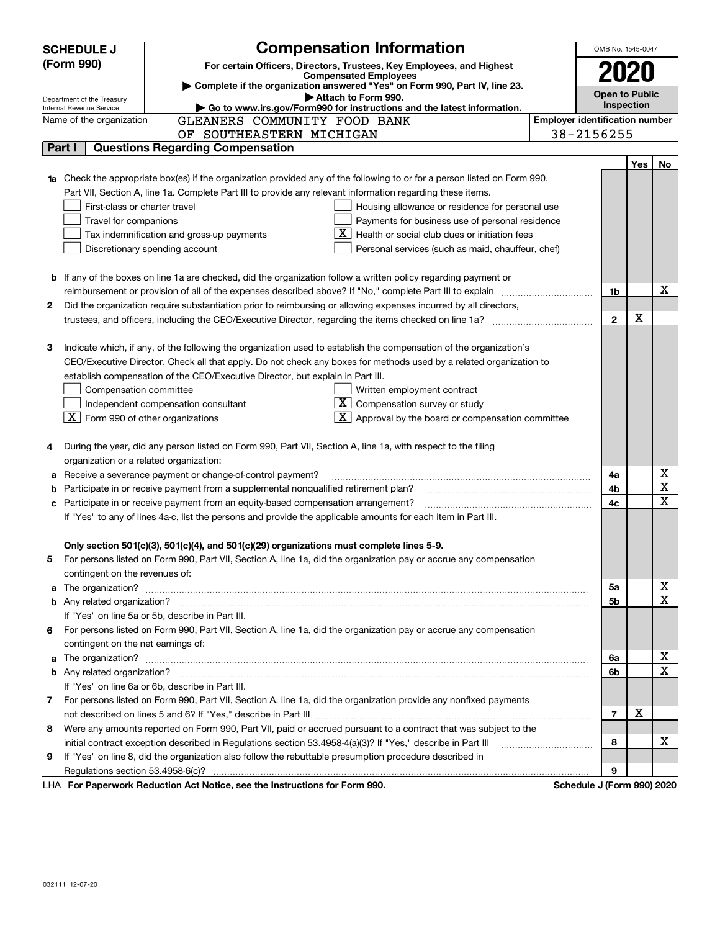|    | <b>SCHEDULE J</b>                                      | <b>Compensation Information</b>                                                                                                                                                                                                      | OMB No. 1545-0047          |                                       |             |  |  |  |  |
|----|--------------------------------------------------------|--------------------------------------------------------------------------------------------------------------------------------------------------------------------------------------------------------------------------------------|----------------------------|---------------------------------------|-------------|--|--|--|--|
|    | (Form 990)                                             | For certain Officers, Directors, Trustees, Key Employees, and Highest                                                                                                                                                                | 2020                       |                                       |             |  |  |  |  |
|    |                                                        | <b>Compensated Employees</b>                                                                                                                                                                                                         |                            |                                       |             |  |  |  |  |
|    |                                                        | Complete if the organization answered "Yes" on Form 990, Part IV, line 23.<br>Attach to Form 990.                                                                                                                                    | <b>Open to Public</b>      |                                       |             |  |  |  |  |
|    | Department of the Treasury<br>Internal Revenue Service | Go to www.irs.gov/Form990 for instructions and the latest information.                                                                                                                                                               | Inspection                 |                                       |             |  |  |  |  |
|    | Name of the organization                               | GLEANERS COMMUNITY FOOD BANK                                                                                                                                                                                                         |                            | <b>Employer identification number</b> |             |  |  |  |  |
|    |                                                        | OF SOUTHEASTERN MICHIGAN                                                                                                                                                                                                             | 38-2156255                 |                                       |             |  |  |  |  |
|    | Part I                                                 | <b>Questions Regarding Compensation</b>                                                                                                                                                                                              |                            |                                       |             |  |  |  |  |
|    |                                                        |                                                                                                                                                                                                                                      |                            | Yes                                   | No          |  |  |  |  |
|    |                                                        | Check the appropriate box(es) if the organization provided any of the following to or for a person listed on Form 990,                                                                                                               |                            |                                       |             |  |  |  |  |
|    |                                                        | Part VII, Section A, line 1a. Complete Part III to provide any relevant information regarding these items.                                                                                                                           |                            |                                       |             |  |  |  |  |
|    | First-class or charter travel                          | Housing allowance or residence for personal use                                                                                                                                                                                      |                            |                                       |             |  |  |  |  |
|    | Travel for companions                                  | Payments for business use of personal residence                                                                                                                                                                                      |                            |                                       |             |  |  |  |  |
|    |                                                        | X.<br>Health or social club dues or initiation fees<br>Tax indemnification and gross-up payments                                                                                                                                     |                            |                                       |             |  |  |  |  |
|    | Discretionary spending account                         | Personal services (such as maid, chauffeur, chef)                                                                                                                                                                                    |                            |                                       |             |  |  |  |  |
|    |                                                        |                                                                                                                                                                                                                                      |                            |                                       |             |  |  |  |  |
| b  |                                                        | If any of the boxes on line 1a are checked, did the organization follow a written policy regarding payment or                                                                                                                        |                            |                                       |             |  |  |  |  |
|    |                                                        | reimbursement or provision of all of the expenses described above? If "No," complete Part III to explain                                                                                                                             | 1b                         |                                       | х           |  |  |  |  |
| 2  |                                                        | Did the organization require substantiation prior to reimbursing or allowing expenses incurred by all directors,                                                                                                                     |                            |                                       |             |  |  |  |  |
|    |                                                        |                                                                                                                                                                                                                                      | $\mathbf{2}$               | х                                     |             |  |  |  |  |
|    |                                                        |                                                                                                                                                                                                                                      |                            |                                       |             |  |  |  |  |
| з  |                                                        | Indicate which, if any, of the following the organization used to establish the compensation of the organization's                                                                                                                   |                            |                                       |             |  |  |  |  |
|    |                                                        | CEO/Executive Director. Check all that apply. Do not check any boxes for methods used by a related organization to                                                                                                                   |                            |                                       |             |  |  |  |  |
|    |                                                        | establish compensation of the CEO/Executive Director, but explain in Part III.                                                                                                                                                       |                            |                                       |             |  |  |  |  |
|    | Compensation committee                                 | Written employment contract                                                                                                                                                                                                          |                            |                                       |             |  |  |  |  |
|    |                                                        | $\overline{X}$ Compensation survey or study<br>Independent compensation consultant                                                                                                                                                   |                            |                                       |             |  |  |  |  |
|    | $\overline{X}$ Form 990 of other organizations         | Approval by the board or compensation committee                                                                                                                                                                                      |                            |                                       |             |  |  |  |  |
|    |                                                        |                                                                                                                                                                                                                                      |                            |                                       |             |  |  |  |  |
| 4  |                                                        | During the year, did any person listed on Form 990, Part VII, Section A, line 1a, with respect to the filing                                                                                                                         |                            |                                       |             |  |  |  |  |
|    | organization or a related organization:                |                                                                                                                                                                                                                                      |                            |                                       |             |  |  |  |  |
| а  |                                                        | Receive a severance payment or change-of-control payment?                                                                                                                                                                            | 4a                         |                                       | х           |  |  |  |  |
| b  |                                                        | Participate in or receive payment from a supplemental nonqualified retirement plan?                                                                                                                                                  | 4b                         |                                       | $\mathbf X$ |  |  |  |  |
|    |                                                        | Participate in or receive payment from an equity-based compensation arrangement?                                                                                                                                                     | 4с                         |                                       | $\mathbf X$ |  |  |  |  |
|    |                                                        | If "Yes" to any of lines 4a-c, list the persons and provide the applicable amounts for each item in Part III.                                                                                                                        |                            |                                       |             |  |  |  |  |
|    |                                                        |                                                                                                                                                                                                                                      |                            |                                       |             |  |  |  |  |
|    |                                                        | Only section 501(c)(3), 501(c)(4), and 501(c)(29) organizations must complete lines 5-9.                                                                                                                                             |                            |                                       |             |  |  |  |  |
| 5  |                                                        | For persons listed on Form 990, Part VII, Section A, line 1a, did the organization pay or accrue any compensation                                                                                                                    |                            |                                       |             |  |  |  |  |
|    | contingent on the revenues of:                         |                                                                                                                                                                                                                                      |                            |                                       |             |  |  |  |  |
| a  |                                                        | The organization? <b>With the contract of the contract of the contract of the contract of the contract of the contract of the contract of the contract of the contract of the contract of the contract of the contract of the co</b> | 5a                         |                                       | х<br>X      |  |  |  |  |
|    |                                                        |                                                                                                                                                                                                                                      | 5b                         |                                       |             |  |  |  |  |
|    |                                                        | If "Yes" on line 5a or 5b, describe in Part III.                                                                                                                                                                                     |                            |                                       |             |  |  |  |  |
| 6. |                                                        | For persons listed on Form 990, Part VII, Section A, line 1a, did the organization pay or accrue any compensation                                                                                                                    |                            |                                       |             |  |  |  |  |
|    | contingent on the net earnings of:                     |                                                                                                                                                                                                                                      |                            |                                       | х           |  |  |  |  |
| a  |                                                        |                                                                                                                                                                                                                                      | 6a                         |                                       | X           |  |  |  |  |
|    |                                                        |                                                                                                                                                                                                                                      | 6b                         |                                       |             |  |  |  |  |
|    |                                                        | If "Yes" on line 6a or 6b, describe in Part III.                                                                                                                                                                                     |                            |                                       |             |  |  |  |  |
| 7  |                                                        | For persons listed on Form 990, Part VII, Section A, line 1a, did the organization provide any nonfixed payments                                                                                                                     | $\overline{7}$             | х                                     |             |  |  |  |  |
|    |                                                        |                                                                                                                                                                                                                                      |                            |                                       |             |  |  |  |  |
| 8  |                                                        | Were any amounts reported on Form 990, Part VII, paid or accrued pursuant to a contract that was subject to the                                                                                                                      | 8                          |                                       | х           |  |  |  |  |
|    |                                                        | initial contract exception described in Regulations section 53.4958-4(a)(3)? If "Yes," describe in Part III                                                                                                                          |                            |                                       |             |  |  |  |  |
| 9  |                                                        | If "Yes" on line 8, did the organization also follow the rebuttable presumption procedure described in                                                                                                                               | 9                          |                                       |             |  |  |  |  |
|    |                                                        | For Panorwork Poduction Act Notice, see the Instructions for Form 000                                                                                                                                                                | Schodule I (Form 000) 2020 |                                       |             |  |  |  |  |

LHA For Paperwork Reduction Act Notice, see the Instructions for Form 990. Schedule J (Form 990) 2020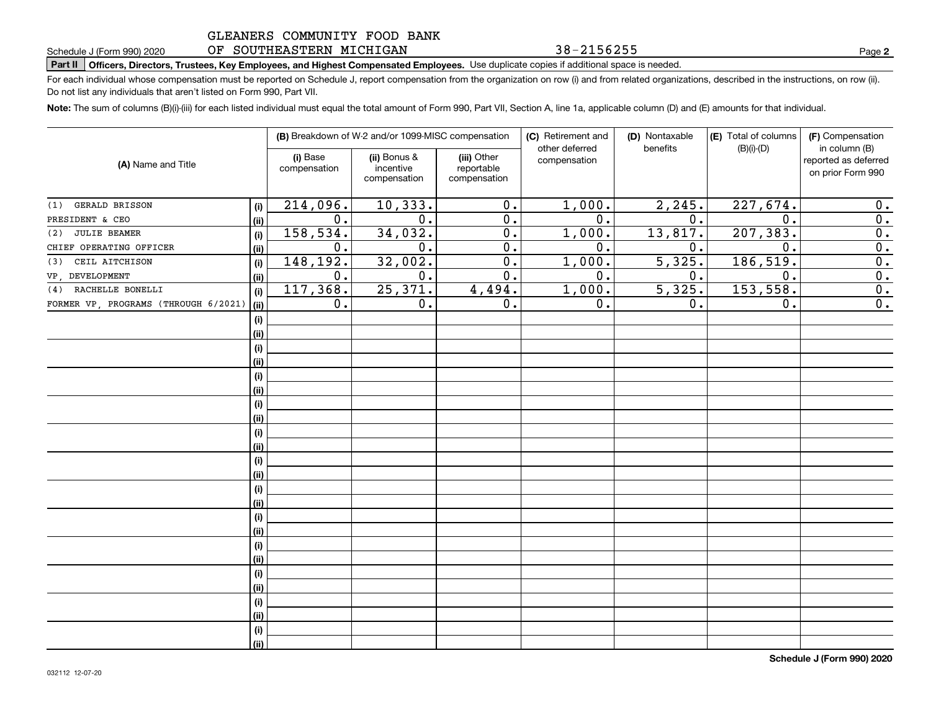#### GLEANERS COMMUNITY FOOD BANK OF SOUTHEASTERN MICHIGAN

# **Part II Officers, Directors, Trustees, Key Employees, and Highest Compensated Employees.**  Schedule J (Form 990) 2020 Page Use duplicate copies if additional space is needed.

For each individual whose compensation must be reported on Schedule J, report compensation from the organization on row (i) and from related organizations, described in the instructions, on row (ii). Do not list any individuals that aren't listed on Form 990, Part VII.

**Note:**  The sum of columns (B)(i)-(iii) for each listed individual must equal the total amount of Form 990, Part VII, Section A, line 1a, applicable column (D) and (E) amounts for that individual.

| (A) Name and Title                   |      |                          | (B) Breakdown of W-2 and/or 1099-MISC compensation |                                           | (C) Retirement and<br>other deferred | (D) Nontaxable<br>benefits | (E) Total of columns<br>$(B)(i)-(D)$ | (F) Compensation<br>in column (B)         |
|--------------------------------------|------|--------------------------|----------------------------------------------------|-------------------------------------------|--------------------------------------|----------------------------|--------------------------------------|-------------------------------------------|
|                                      |      | (i) Base<br>compensation | (ii) Bonus &<br>incentive<br>compensation          | (iii) Other<br>reportable<br>compensation | compensation                         |                            |                                      | reported as deferred<br>on prior Form 990 |
| <b>GERALD BRISSON</b><br>(1)         | (i)  | 214,096.                 | 10, 333.                                           | $\overline{0}$ .                          | 1,000.                               | 2,245.                     | 227,674.                             | $\mathbf 0$ .                             |
| PRESIDENT & CEO                      | (ii) | 0.                       | $\overline{0}$ .                                   | $\overline{0}$ .                          | $\overline{0}$ .                     | $\overline{0}$ .           | $\overline{0}$ .                     | $\overline{0}$ .                          |
| <b>JULIE BEAMER</b><br>(2)           | (i)  | 158, 534.                | 34,032.                                            | $\overline{0}$ .                          | 1,000.                               | 13,817.                    | 207,383.                             | $\overline{0}$ .                          |
| CHIEF OPERATING OFFICER              | (ii) | 0.                       | $\overline{0}$ .                                   | $\overline{0}$ .                          | $\overline{0}$ .                     | $\overline{0}$ .           | $\overline{0}$ .                     | $\overline{0}$ .                          |
| CEIL AITCHISON<br>(3)                | (i)  | 148,192.                 | 32,002.                                            | $\overline{0}$ .                          | 1,000.                               | 5,325.                     | 186, 519.                            | $\overline{0}$ .                          |
| VP, DEVELOPMENT                      | (ii) | $\overline{0}$ .         | $\overline{0}$ .                                   | $\overline{0}$ .                          | $\overline{0}$ .                     | 0.                         | $\overline{0}$ .                     | $\overline{0}$ .                          |
| RACHELLE BONELLI<br>(4)              | (i)  | 117,368.                 | 25,371.                                            | 4,494.                                    | 1,000.                               | 5,325.                     | 153,558.                             | $\overline{0}$ .                          |
| FORMER VP, PROGRAMS (THROUGH 6/2021) | (ii) | 0.                       | $\overline{0}$ .                                   | 0.                                        | $\overline{0}$ .                     | 0.                         | 0.                                   | $\overline{0}$ .                          |
|                                      | (i)  |                          |                                                    |                                           |                                      |                            |                                      |                                           |
|                                      | (ii) |                          |                                                    |                                           |                                      |                            |                                      |                                           |
|                                      | (i)  |                          |                                                    |                                           |                                      |                            |                                      |                                           |
|                                      | (ii) |                          |                                                    |                                           |                                      |                            |                                      |                                           |
|                                      | (i)  |                          |                                                    |                                           |                                      |                            |                                      |                                           |
|                                      | (ii) |                          |                                                    |                                           |                                      |                            |                                      |                                           |
|                                      | (i)  |                          |                                                    |                                           |                                      |                            |                                      |                                           |
|                                      | (ii) |                          |                                                    |                                           |                                      |                            |                                      |                                           |
|                                      | (i)  |                          |                                                    |                                           |                                      |                            |                                      |                                           |
|                                      | (ii) |                          |                                                    |                                           |                                      |                            |                                      |                                           |
|                                      | (i)  |                          |                                                    |                                           |                                      |                            |                                      |                                           |
|                                      | (ii) |                          |                                                    |                                           |                                      |                            |                                      |                                           |
|                                      | (i)  |                          |                                                    |                                           |                                      |                            |                                      |                                           |
|                                      | (ii) |                          |                                                    |                                           |                                      |                            |                                      |                                           |
|                                      | (i)  |                          |                                                    |                                           |                                      |                            |                                      |                                           |
|                                      | (ii) |                          |                                                    |                                           |                                      |                            |                                      |                                           |
|                                      | (i)  |                          |                                                    |                                           |                                      |                            |                                      |                                           |
|                                      | (ii) |                          |                                                    |                                           |                                      |                            |                                      |                                           |
|                                      | (i)  |                          |                                                    |                                           |                                      |                            |                                      |                                           |
|                                      | (ii) |                          |                                                    |                                           |                                      |                            |                                      |                                           |
|                                      | (i)  |                          |                                                    |                                           |                                      |                            |                                      |                                           |
|                                      | (ii) |                          |                                                    |                                           |                                      |                            |                                      |                                           |
|                                      | (i)  |                          |                                                    |                                           |                                      |                            |                                      |                                           |
|                                      | (ii) |                          |                                                    |                                           |                                      |                            |                                      |                                           |

**2**

38-2156255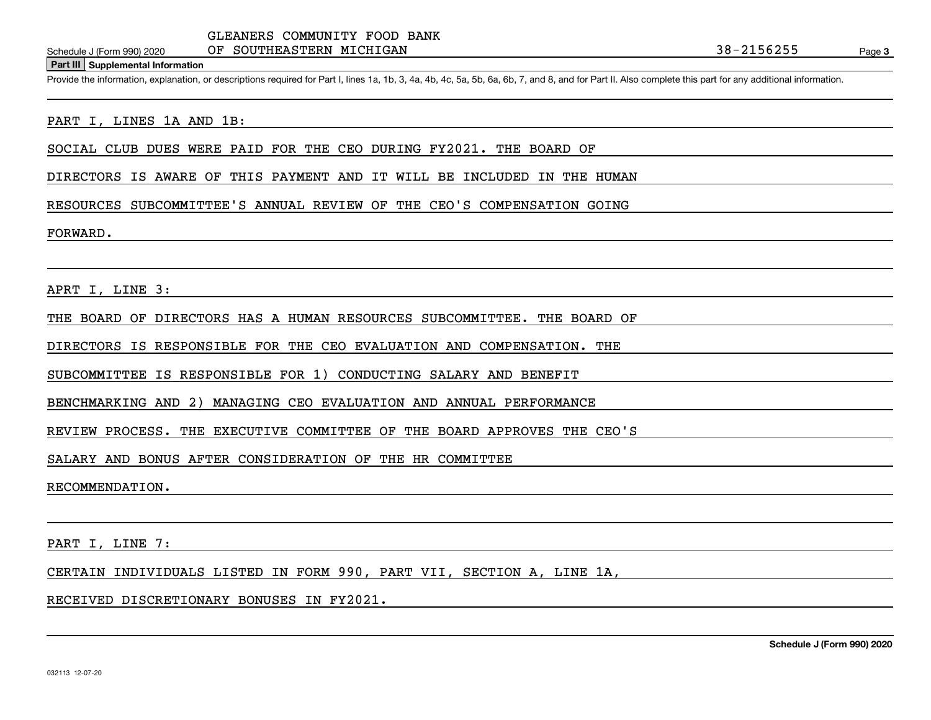OF SOUTHEASTERN MICHIGAN

**Part III Supplemental Information**

Schedule J (Form 990) 2020 OF SOUTHEASTERN MICHIGAN<br>
Part III Supplemental Information<br>
Provide the information, explanation, or descriptions required for Part I, lines 1a, 1b, 3, 4a, 4b, 4c, 5a, 5b, 6a, 6b, 7, and 8, and

#### PART I, LINES 1A AND 1B:

SOCIAL CLUB DUES WERE PAID FOR THE CEO DURING FY2021. THE BOARD OF

DIRECTORS IS AWARE OF THIS PAYMENT AND IT WILL BE INCLUDED IN THE HUMAN

RESOURCES SUBCOMMITTEE'S ANNUAL REVIEW OF THE CEO'S COMPENSATION GOING

FORWARD.

APRT I, LINE 3:

THE BOARD OF DIRECTORS HAS A HUMAN RESOURCES SUBCOMMITTEE. THE BOARD OF

DIRECTORS IS RESPONSIBLE FOR THE CEO EVALUATION AND COMPENSATION. THE

SUBCOMMITTEE IS RESPONSIBLE FOR 1) CONDUCTING SALARY AND BENEFIT

BENCHMARKING AND 2) MANAGING CEO EVALUATION AND ANNUAL PERFORMANCE

REVIEW PROCESS. THE EXECUTIVE COMMITTEE OF THE BOARD APPROVES THE CEO'S

SALARY AND BONUS AFTER CONSIDERATION OF THE HR COMMITTEE

RECOMMENDATION.

PART I, LINE 7:

CERTAIN INDIVIDUALS LISTED IN FORM 990, PART VII, SECTION A, LINE 1A,

RECEIVED DISCRETIONARY BONUSES IN FY2021.

**Schedule J (Form 990) 2020**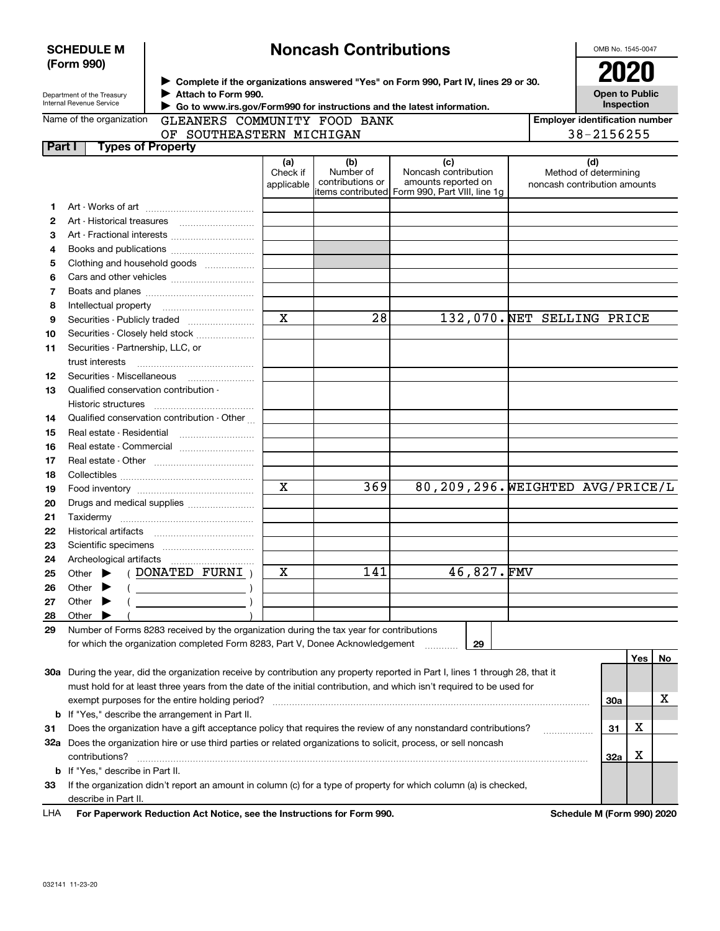|        | <b>SCHEDULE M</b>                                      |                                                                                                                                                                           | <b>Noncash Contributions</b> | OMB No. 1545-0047 |                                                |   |                                       |     |    |
|--------|--------------------------------------------------------|---------------------------------------------------------------------------------------------------------------------------------------------------------------------------|------------------------------|-------------------|------------------------------------------------|---|---------------------------------------|-----|----|
|        | (Form 990)                                             |                                                                                                                                                                           |                              |                   |                                                |   | 2020                                  |     |    |
|        |                                                        | > Complete if the organizations answered "Yes" on Form 990, Part IV, lines 29 or 30.                                                                                      |                              |                   |                                                |   |                                       |     |    |
|        | Department of the Treasury<br>Internal Revenue Service | Attach to Form 990.                                                                                                                                                       |                              |                   | <b>Open to Public</b><br>Inspection            |   |                                       |     |    |
|        |                                                        | Go to www.irs.gov/Form990 for instructions and the latest information.                                                                                                    |                              |                   |                                                |   |                                       |     |    |
|        | Name of the organization                               | GLEANERS COMMUNITY FOOD BANK<br>OF SOUTHEASTERN MICHIGAN                                                                                                                  |                              |                   |                                                |   | <b>Employer identification number</b> |     |    |
|        |                                                        | 38-2156255                                                                                                                                                                |                              |                   |                                                |   |                                       |     |    |
| Part I |                                                        | <b>Types of Property</b>                                                                                                                                                  |                              |                   |                                                |   |                                       |     |    |
|        |                                                        |                                                                                                                                                                           | (a)<br>Check if              | (b)<br>Number of  | (c)<br>Noncash contribution                    |   | (d)<br>Method of determining          |     |    |
|        |                                                        |                                                                                                                                                                           | applicable                   | contributions or  | amounts reported on                            |   | noncash contribution amounts          |     |    |
|        |                                                        |                                                                                                                                                                           |                              |                   | items contributed Form 990, Part VIII, line 1q |   |                                       |     |    |
| 1      |                                                        |                                                                                                                                                                           |                              |                   |                                                |   |                                       |     |    |
| 2      | Art - Historical treasures                             |                                                                                                                                                                           |                              |                   |                                                |   |                                       |     |    |
| З      |                                                        | Art - Fractional interests                                                                                                                                                |                              |                   |                                                |   |                                       |     |    |
| 4      |                                                        |                                                                                                                                                                           |                              |                   |                                                |   |                                       |     |    |
| 5      |                                                        | Clothing and household goods                                                                                                                                              |                              |                   |                                                |   |                                       |     |    |
| 6      |                                                        |                                                                                                                                                                           |                              |                   |                                                |   |                                       |     |    |
| 7      |                                                        |                                                                                                                                                                           |                              |                   |                                                |   |                                       |     |    |
| 8      |                                                        |                                                                                                                                                                           |                              |                   |                                                |   |                                       |     |    |
| 9      |                                                        |                                                                                                                                                                           | $\mathbf X$                  | 28                | 132,070. NET SELLING PRICE                     |   |                                       |     |    |
| 10     |                                                        | Securities - Closely held stock                                                                                                                                           |                              |                   |                                                |   |                                       |     |    |
| 11     | Securities - Partnership, LLC, or                      |                                                                                                                                                                           |                              |                   |                                                |   |                                       |     |    |
|        | trust interests                                        |                                                                                                                                                                           |                              |                   |                                                |   |                                       |     |    |
| 12     | Securities - Miscellaneous                             |                                                                                                                                                                           |                              |                   |                                                |   |                                       |     |    |
| 13     |                                                        | Qualified conservation contribution -                                                                                                                                     |                              |                   |                                                |   |                                       |     |    |
|        | Historic structures                                    |                                                                                                                                                                           |                              |                   |                                                |   |                                       |     |    |
| 14     |                                                        | Qualified conservation contribution - Other                                                                                                                               |                              |                   |                                                |   |                                       |     |    |
| 15     |                                                        | Real estate - Residential                                                                                                                                                 |                              |                   |                                                |   |                                       |     |    |
| 16     |                                                        | Real estate - Commercial                                                                                                                                                  |                              |                   |                                                |   |                                       |     |    |
| 17     |                                                        |                                                                                                                                                                           |                              |                   |                                                |   |                                       |     |    |
| 18     |                                                        |                                                                                                                                                                           | $\mathbf X$                  | 369               |                                                |   |                                       |     |    |
| 19     |                                                        |                                                                                                                                                                           |                              |                   | 80, 209, 296. WEIGHTED AVG/PRICE/L             |   |                                       |     |    |
| 20     |                                                        | Drugs and medical supplies                                                                                                                                                |                              |                   |                                                |   |                                       |     |    |
| 21     |                                                        |                                                                                                                                                                           |                              |                   |                                                |   |                                       |     |    |
| 22     |                                                        |                                                                                                                                                                           |                              |                   |                                                |   |                                       |     |    |
| 23     |                                                        |                                                                                                                                                                           |                              |                   |                                                |   |                                       |     |    |
| 24     |                                                        |                                                                                                                                                                           | $\overline{\text{x}}$        | $\overline{141}$  | 46,827.FMV                                     |   |                                       |     |    |
| 25     | Other                                                  | DONATED FURNI                                                                                                                                                             |                              |                   |                                                |   |                                       |     |    |
| 26     | Other                                                  |                                                                                                                                                                           |                              |                   |                                                |   |                                       |     |    |
| 27     | Other                                                  |                                                                                                                                                                           |                              |                   |                                                |   |                                       |     |    |
| 28     | Other                                                  |                                                                                                                                                                           |                              |                   |                                                |   |                                       |     |    |
| 29     |                                                        | Number of Forms 8283 received by the organization during the tax year for contributions                                                                                   |                              |                   |                                                |   |                                       |     |    |
|        |                                                        | for which the organization completed Form 8283, Part V, Donee Acknowledgement                                                                                             |                              |                   | 29                                             |   |                                       |     |    |
|        |                                                        |                                                                                                                                                                           |                              |                   |                                                |   |                                       | Yes | No |
|        |                                                        | 30a During the year, did the organization receive by contribution any property reported in Part I, lines 1 through 28, that it                                            |                              |                   |                                                |   |                                       |     |    |
|        |                                                        | must hold for at least three years from the date of the initial contribution, and which isn't required to be used for                                                     |                              |                   |                                                |   |                                       |     | х  |
|        |                                                        | exempt purposes for the entire holding period?                                                                                                                            |                              |                   |                                                |   | 30a                                   |     |    |
|        |                                                        | <b>b</b> If "Yes," describe the arrangement in Part II.<br>Does the organization have a gift acceptance policy that requires the review of any nonstandard contributions? |                              |                   |                                                |   |                                       | х   |    |
| 31     |                                                        |                                                                                                                                                                           |                              |                   |                                                | . | 31                                    |     |    |
|        |                                                        | 32a Does the organization hire or use third parties or related organizations to solicit, process, or sell noncash                                                         |                              |                   |                                                |   |                                       | X   |    |
|        | contributions?                                         |                                                                                                                                                                           |                              |                   |                                                |   | 32a                                   |     |    |
|        | <b>b</b> If "Yes," describe in Part II.                | If the organization didn't report an amount in column (c) for a type of property for which column (a) is checked,                                                         |                              |                   |                                                |   |                                       |     |    |
| 33     | describe in Part II.                                   |                                                                                                                                                                           |                              |                   |                                                |   |                                       |     |    |
| LHA    |                                                        |                                                                                                                                                                           |                              |                   |                                                |   | Schedule M (Form 990) 2020            |     |    |
|        |                                                        | For Paperwork Reduction Act Notice, see the Instructions for Form 990.                                                                                                    |                              |                   |                                                |   |                                       |     |    |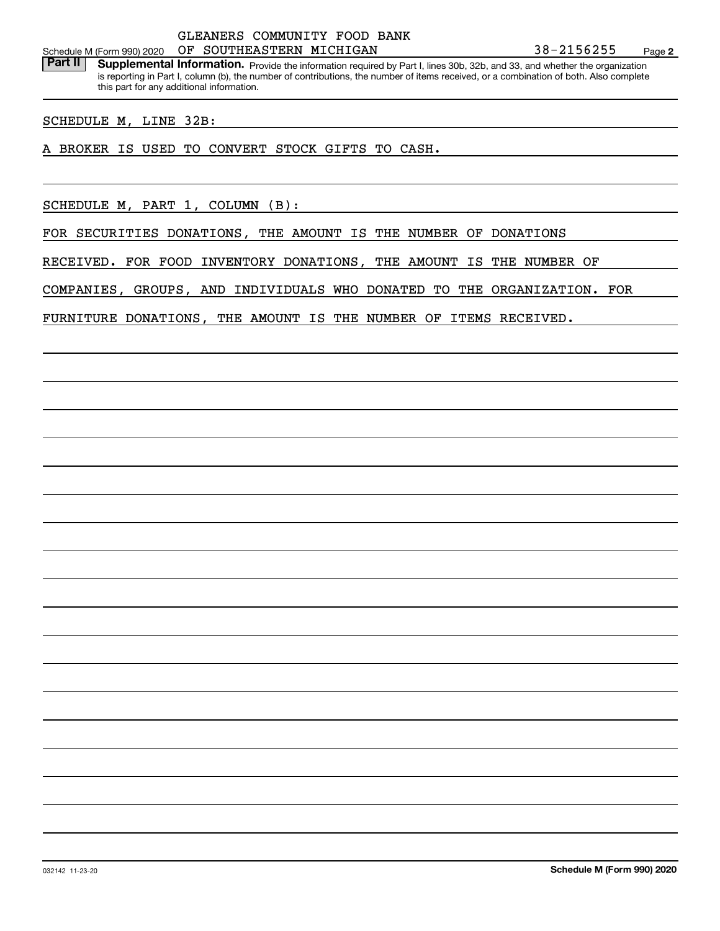Part II | Supplemental Information. Provide the information required by Part I, lines 30b, 32b, and 33, and whether the organization is reporting in Part I, column (b), the number of contributions, the number of items received, or a combination of both. Also complete this part for any additional information.

#### SCHEDULE M, LINE 32B:

A BROKER IS USED TO CONVERT STOCK GIFTS TO CASH.

SCHEDULE M, PART 1, COLUMN (B):

FOR SECURITIES DONATIONS, THE AMOUNT IS THE NUMBER OF DONATIONS

RECEIVED. FOR FOOD INVENTORY DONATIONS, THE AMOUNT IS THE NUMBER OF

COMPANIES, GROUPS, AND INDIVIDUALS WHO DONATED TO THE ORGANIZATION. FOR

FURNITURE DONATIONS, THE AMOUNT IS THE NUMBER OF ITEMS RECEIVED.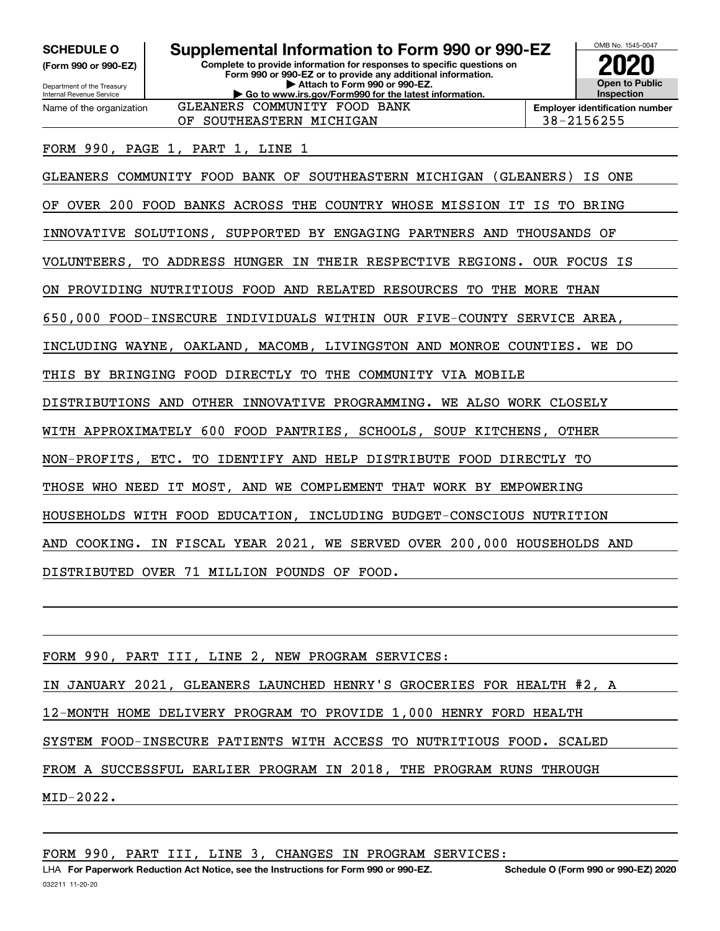**(Form 990 or 990-EZ)**

Department of the Treasury Internal Revenue Service Name of the organization

**Complete to provide information for responses to specific questions on Form 990 or 990-EZ or to provide any additional information. | Attach to Form 990 or 990-EZ. | Go to www.irs.gov/Form990 for the latest information. SCHEDULE O Supplemental Information to Form 990 or 990-EZ**

OF SOUTHEASTERN MICHIGAN  $\vert$  38-2156255 GLEANERS COMMUNITY FOOD BANK

**Open to Public InspectionEmployer identification number 2020**

OMB No. 1545-0047

#### FORM 990, PAGE 1, PART 1, LINE 1

GLEANERS COMMUNITY FOOD BANK OF SOUTHEASTERN MICHIGAN (GLEANERS) IS ONE OF OVER 200 FOOD BANKS ACROSS THE COUNTRY WHOSE MISSION IT IS TO BRING INNOVATIVE SOLUTIONS, SUPPORTED BY ENGAGING PARTNERS AND THOUSANDS OF VOLUNTEERS, TO ADDRESS HUNGER IN THEIR RESPECTIVE REGIONS. OUR FOCUS IS ON PROVIDING NUTRITIOUS FOOD AND RELATED RESOURCES TO THE MORE THAN 650,000 FOOD-INSECURE INDIVIDUALS WITHIN OUR FIVE-COUNTY SERVICE AREA, INCLUDING WAYNE, OAKLAND, MACOMB, LIVINGSTON AND MONROE COUNTIES. WE DO THIS BY BRINGING FOOD DIRECTLY TO THE COMMUNITY VIA MOBILE DISTRIBUTIONS AND OTHER INNOVATIVE PROGRAMMING. WE ALSO WORK CLOSELY WITH APPROXIMATELY 600 FOOD PANTRIES, SCHOOLS, SOUP KITCHENS, OTHER NON-PROFITS, ETC. TO IDENTIFY AND HELP DISTRIBUTE FOOD DIRECTLY TO THOSE WHO NEED IT MOST, AND WE COMPLEMENT THAT WORK BY EMPOWERING HOUSEHOLDS WITH FOOD EDUCATION, INCLUDING BUDGET-CONSCIOUS NUTRITION AND COOKING. IN FISCAL YEAR 2021, WE SERVED OVER 200,000 HOUSEHOLDS AND DISTRIBUTED OVER 71 MILLION POUNDS OF FOOD.

FORM 990, PART III, LINE 2, NEW PROGRAM SERVICES: IN JANUARY 2021, GLEANERS LAUNCHED HENRY'S GROCERIES FOR HEALTH #2, A 12-MONTH HOME DELIVERY PROGRAM TO PROVIDE 1,000 HENRY FORD HEALTH SYSTEM FOOD-INSECURE PATIENTS WITH ACCESS TO NUTRITIOUS FOOD. SCALED FROM A SUCCESSFUL EARLIER PROGRAM IN 2018, THE PROGRAM RUNS THROUGH MID-2022.

FORM 990, PART III, LINE 3, CHANGES IN PROGRAM SERVICES: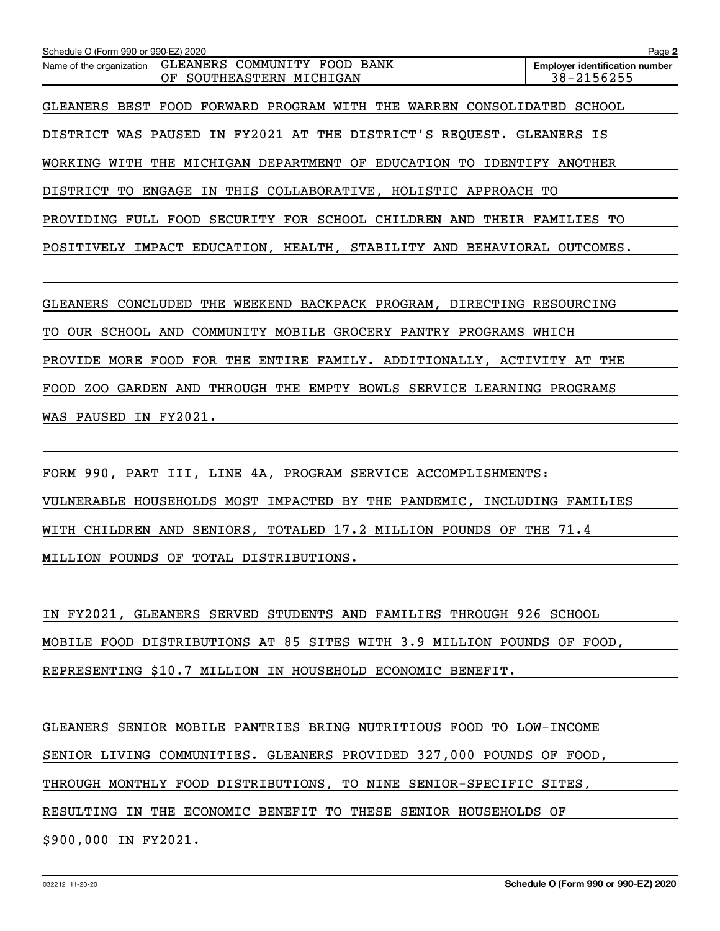| Schedule O (Form 990 or 990-EZ) 2020                                                     | Page 2                                              |
|------------------------------------------------------------------------------------------|-----------------------------------------------------|
| GLEANERS COMMUNITY FOOD BANK<br>Name of the organization<br>SOUTHEASTERN MICHIGAN<br>OF. | <b>Employer identification number</b><br>38-2156255 |
| GLEANERS BEST FOOD FORWARD PROGRAM WITH<br>THE<br>WARREN<br>CONSOLIDATED                 | SCHOOL                                              |
| IN FY2021 AT THE DISTRICT'S REQUEST. GLEANERS IS<br>PAUSED<br>DISTRICT<br>WAS            |                                                     |
| WORKING WITH THE MICHIGAN DEPARTMENT OF EDUCATION<br>TO.                                 | IDENTIFY ANOTHER                                    |
| THIS COLLABORATIVE, HOLISTIC APPROACH TO<br>DISTRICT<br>TО<br><b>ENGAGE</b><br>IN        |                                                     |
| SECURITY FOR SCHOOL<br>CHILDREN AND<br>PROVIDING<br>FULL FOOD                            | THEIR FAMILIES<br>TО                                |
| POSITIVELY IMPACT EDUCATION, HEALTH, STABILITY AND BEHAVIORAL                            | OUTCOMES.                                           |
|                                                                                          |                                                     |
| WEEKEND BACKPACK PROGRAM,<br>GLEANERS<br>CONCLUDED<br>THE<br>DIRECTING                   | RESOURCING                                          |
| TO OUR SCHOOL AND COMMUNITY MOBILE GROCERY PANTRY<br>PROGRAMS                            | WHICH                                               |

PROVIDE MORE FOOD FOR THE ENTIRE FAMILY. ADDITIONALLY, ACTIVITY AT THE

FOOD ZOO GARDEN AND THROUGH THE EMPTY BOWLS SERVICE LEARNING PROGRAMS

WAS PAUSED IN FY2021.

FORM 990, PART III, LINE 4A, PROGRAM SERVICE ACCOMPLISHMENTS: VULNERABLE HOUSEHOLDS MOST IMPACTED BY THE PANDEMIC, INCLUDING FAMILIES WITH CHILDREN AND SENIORS, TOTALED 17.2 MILLION POUNDS OF THE 71.4 MILLION POUNDS OF TOTAL DISTRIBUTIONS.

IN FY2021, GLEANERS SERVED STUDENTS AND FAMILIES THROUGH 926 SCHOOL MOBILE FOOD DISTRIBUTIONS AT 85 SITES WITH 3.9 MILLION POUNDS OF FOOD, REPRESENTING \$10.7 MILLION IN HOUSEHOLD ECONOMIC BENEFIT.

GLEANERS SENIOR MOBILE PANTRIES BRING NUTRITIOUS FOOD TO LOW-INCOME SENIOR LIVING COMMUNITIES. GLEANERS PROVIDED 327,000 POUNDS OF FOOD, THROUGH MONTHLY FOOD DISTRIBUTIONS, TO NINE SENIOR-SPECIFIC SITES, RESULTING IN THE ECONOMIC BENEFIT TO THESE SENIOR HOUSEHOLDS OF \$900,000 IN FY2021.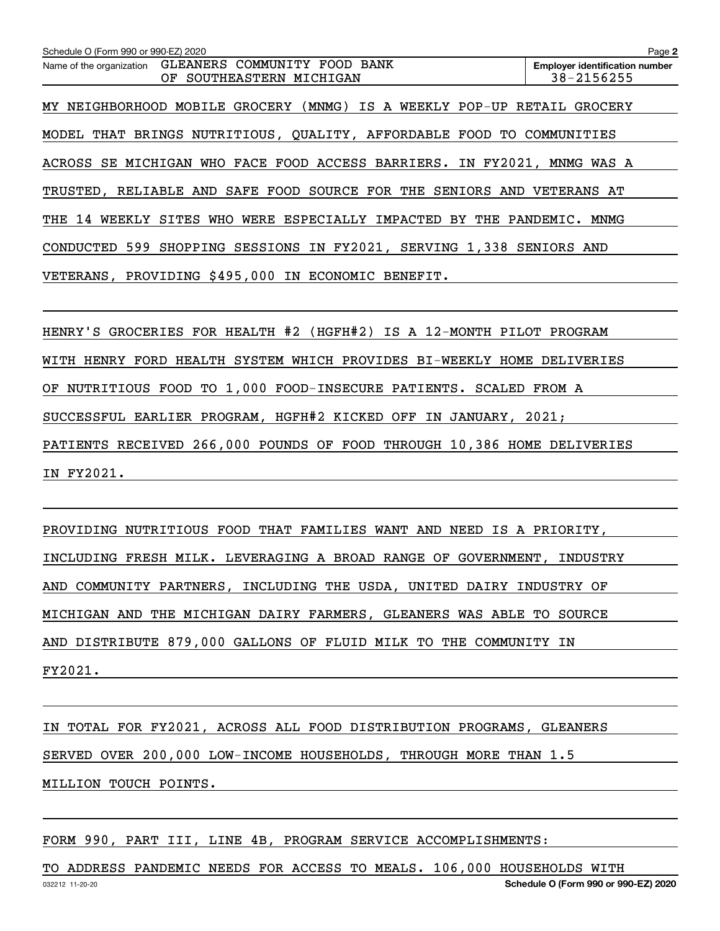| Schedule O (Form 990 or 990-EZ) 2020                                              | Page 2                                              |
|-----------------------------------------------------------------------------------|-----------------------------------------------------|
| Name of the organization GLEANERS COMMUNITY FOOD BANK<br>OF SOUTHEASTERN MICHIGAN | <b>Employer identification number</b><br>38-2156255 |
| MY NEIGHBORHOOD MOBILE GROCERY (MNMG) IS A WEEKLY POP-UP RETAIL GROCERY           |                                                     |
| MODEL THAT BRINGS NUTRITIOUS, QUALITY, AFFORDABLE FOOD TO COMMUNITIES             |                                                     |
| ACROSS SE MICHIGAN WHO FACE FOOD ACCESS BARRIERS. IN FY2021, MNMG WAS A           |                                                     |
| TRUSTED, RELIABLE AND SAFE FOOD SOURCE FOR THE SENIORS AND VETERANS AT            |                                                     |
| THE 14 WEEKLY SITES WHO WERE ESPECIALLY IMPACTED BY THE PANDEMIC. MNMG            |                                                     |
| CONDUCTED 599 SHOPPING SESSIONS IN FY2021, SERVING 1,338 SENIORS AND              |                                                     |
| VETERANS, PROVIDING \$495,000 IN ECONOMIC BENEFIT.                                |                                                     |

HENRY'S GROCERIES FOR HEALTH #2 (HGFH#2) IS A 12-MONTH PILOT PROGRAM WITH HENRY FORD HEALTH SYSTEM WHICH PROVIDES BI-WEEKLY HOME DELIVERIES OF NUTRITIOUS FOOD TO 1,000 FOOD-INSECURE PATIENTS. SCALED FROM A SUCCESSFUL EARLIER PROGRAM, HGFH#2 KICKED OFF IN JANUARY, 2021; PATIENTS RECEIVED 266,000 POUNDS OF FOOD THROUGH 10,386 HOME DELIVERIES IN FY2021.

PROVIDING NUTRITIOUS FOOD THAT FAMILIES WANT AND NEED IS A PRIORITY, INCLUDING FRESH MILK. LEVERAGING A BROAD RANGE OF GOVERNMENT, INDUSTRY AND COMMUNITY PARTNERS, INCLUDING THE USDA, UNITED DAIRY INDUSTRY OF MICHIGAN AND THE MICHIGAN DAIRY FARMERS, GLEANERS WAS ABLE TO SOURCE AND DISTRIBUTE 879,000 GALLONS OF FLUID MILK TO THE COMMUNITY IN FY2021.

IN TOTAL FOR FY2021, ACROSS ALL FOOD DISTRIBUTION PROGRAMS, GLEANERS SERVED OVER 200,000 LOW-INCOME HOUSEHOLDS, THROUGH MORE THAN 1.5 MILLION TOUCH POINTS.

FORM 990, PART III, LINE 4B, PROGRAM SERVICE ACCOMPLISHMENTS:

032212 11-20-20 **Schedule O (Form 990 or 990-EZ) 2020** TO ADDRESS PANDEMIC NEEDS FOR ACCESS TO MEALS. 106,000 HOUSEHOLDS WITH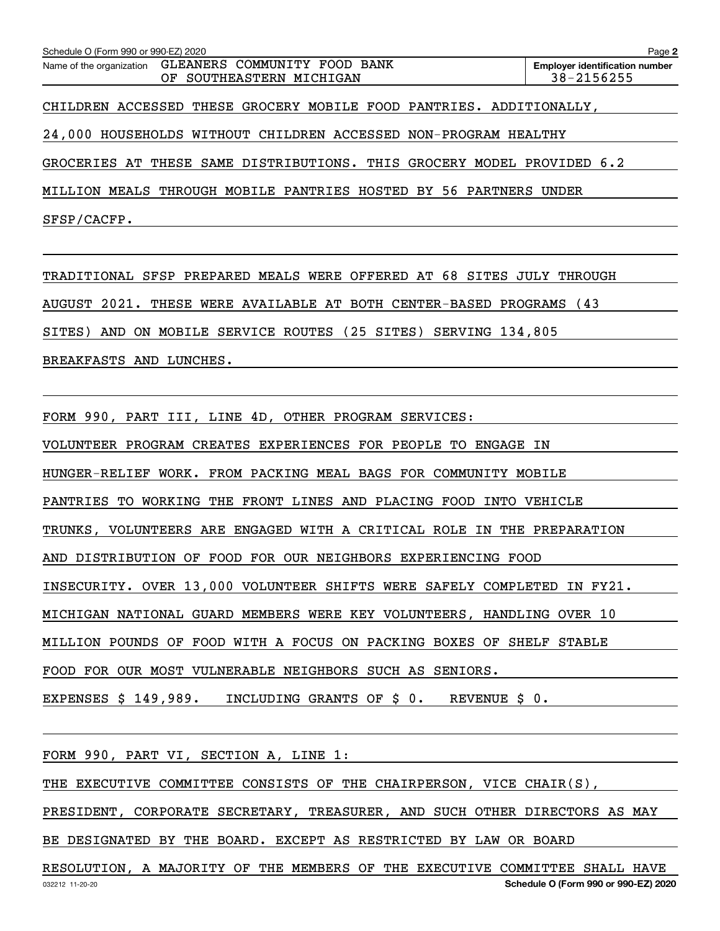**2Employer identification number** Schedule O (Form 990 or 990-EZ) 2020 Page Name of the organization GLEANERS COMMUNITY FOOD BANK CHILDREN ACCESSED THESE GROCERY MOBILE FOOD PANTRIES. ADDITIONALLY, 24,000 HOUSEHOLDS WITHOUT CHILDREN ACCESSED NON-PROGRAM HEALTHY GROCERIES AT THESE SAME DISTRIBUTIONS. THIS GROCERY MODEL PROVIDED 6.2 MILLION MEALS THROUGH MOBILE PANTRIES HOSTED BY 56 PARTNERS UNDER SFSP/CACFP. OF SOUTHEASTERN MICHIGAN 38-2156255

TRADITIONAL SFSP PREPARED MEALS WERE OFFERED AT 68 SITES JULY THROUGH AUGUST 2021. THESE WERE AVAILABLE AT BOTH CENTER-BASED PROGRAMS (43 SITES) AND ON MOBILE SERVICE ROUTES (25 SITES) SERVING 134,805 BREAKFASTS AND LUNCHES.

FORM 990, PART III, LINE 4D, OTHER PROGRAM SERVICES:

VOLUNTEER PROGRAM CREATES EXPERIENCES FOR PEOPLE TO ENGAGE IN

HUNGER-RELIEF WORK. FROM PACKING MEAL BAGS FOR COMMUNITY MOBILE

PANTRIES TO WORKING THE FRONT LINES AND PLACING FOOD INTO VEHICLE

TRUNKS, VOLUNTEERS ARE ENGAGED WITH A CRITICAL ROLE IN THE PREPARATION

AND DISTRIBUTION OF FOOD FOR OUR NEIGHBORS EXPERIENCING FOOD

INSECURITY. OVER 13,000 VOLUNTEER SHIFTS WERE SAFELY COMPLETED IN FY21.

MICHIGAN NATIONAL GUARD MEMBERS WERE KEY VOLUNTEERS, HANDLING OVER 10

MILLION POUNDS OF FOOD WITH A FOCUS ON PACKING BOXES OF SHELF STABLE

FOOD FOR OUR MOST VULNERABLE NEIGHBORS SUCH AS SENIORS.

EXPENSES \$ 149,989. INCLUDING GRANTS OF \$ 0. REVENUE \$ 0.

FORM 990, PART VI, SECTION A, LINE 1:

THE EXECUTIVE COMMITTEE CONSISTS OF THE CHAIRPERSON, VICE CHAIR(S),

PRESIDENT, CORPORATE SECRETARY, TREASURER, AND SUCH OTHER DIRECTORS AS MAY

BE DESIGNATED BY THE BOARD. EXCEPT AS RESTRICTED BY LAW OR BOARD

032212 11-20-20 **Schedule O (Form 990 or 990-EZ) 2020** RESOLUTION, A MAJORITY OF THE MEMBERS OF THE EXECUTIVE COMMITTEE SHALL HAVE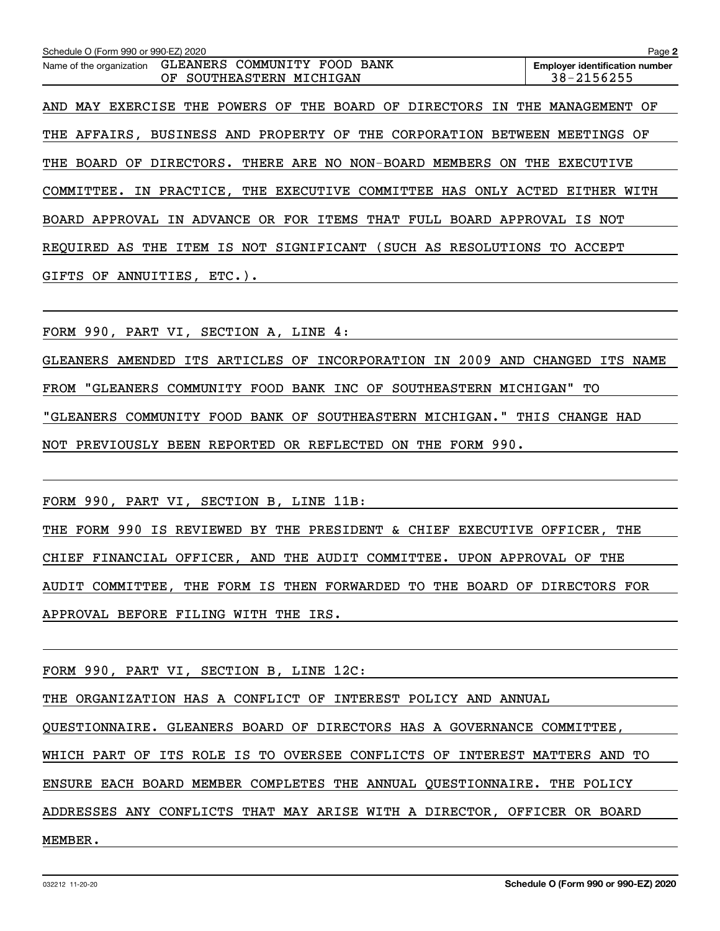| Schedule O (Form 990 or 990-EZ) 2020                                                     | Page 2                                              |
|------------------------------------------------------------------------------------------|-----------------------------------------------------|
| GLEANERS COMMUNITY FOOD BANK<br>Name of the organization<br>SOUTHEASTERN MICHIGAN<br>OF. | <b>Employer identification number</b><br>38-2156255 |
| MAY EXERCISE THE POWERS OF<br>THE BOARD OF DIRECTORS<br>IN<br>AND                        | THE<br>MANAGEMENT OF                                |
| THE AFFAIRS, BUSINESS AND PROPERTY OF THE CORPORATION<br><b>BETWEEN</b>                  | MEETINGS OF                                         |
| DIRECTORS.<br>THERE ARE NO NON-BOARD<br>THE<br>MEMBERS<br>BOARD<br>OF<br>ON.             | THE<br><b>EXECUTIVE</b>                             |
| EXECUTIVE<br>COMMITTEE.<br>PRACTICE,<br>THE<br>COMMITTEE<br>HAS<br>ONLY<br>IN            | ACTED<br>EITHER<br>WITH                             |
| BOARD APPROVAL IN ADVANCE OR FOR ITEMS<br>THAT FULL<br>BOARD APPROVAL                    | IS<br>NOT                                           |
| SIGNIFICANT<br>(SUCH AS RESOLUTIONS TO<br>REOUIRED AS THE<br>ITEM IS<br>NOT              | ACCEPT                                              |
| GIFTS<br>ANNUITIES,<br>OF<br>$ETC.$ ).                                                   |                                                     |
|                                                                                          |                                                     |

FORM 990, PART VI, SECTION A, LINE 4:

GLEANERS AMENDED ITS ARTICLES OF INCORPORATION IN 2009 AND CHANGED ITS NAME

FROM "GLEANERS COMMUNITY FOOD BANK INC OF SOUTHEASTERN MICHIGAN" TO

"GLEANERS COMMUNITY FOOD BANK OF SOUTHEASTERN MICHIGAN." THIS CHANGE HAD

NOT PREVIOUSLY BEEN REPORTED OR REFLECTED ON THE FORM 990.

FORM 990, PART VI, SECTION B, LINE 11B:

THE FORM 990 IS REVIEWED BY THE PRESIDENT & CHIEF EXECUTIVE OFFICER, THE CHIEF FINANCIAL OFFICER, AND THE AUDIT COMMITTEE. UPON APPROVAL OF THE AUDIT COMMITTEE, THE FORM IS THEN FORWARDED TO THE BOARD OF DIRECTORS FOR APPROVAL BEFORE FILING WITH THE IRS.

FORM 990, PART VI, SECTION B, LINE 12C:

THE ORGANIZATION HAS A CONFLICT OF INTEREST POLICY AND ANNUAL

QUESTIONNAIRE. GLEANERS BOARD OF DIRECTORS HAS A GOVERNANCE COMMITTEE,

WHICH PART OF ITS ROLE IS TO OVERSEE CONFLICTS OF INTEREST MATTERS AND TO

ENSURE EACH BOARD MEMBER COMPLETES THE ANNUAL QUESTIONNAIRE. THE POLICY

ADDRESSES ANY CONFLICTS THAT MAY ARISE WITH A DIRECTOR, OFFICER OR BOARD

MEMBER.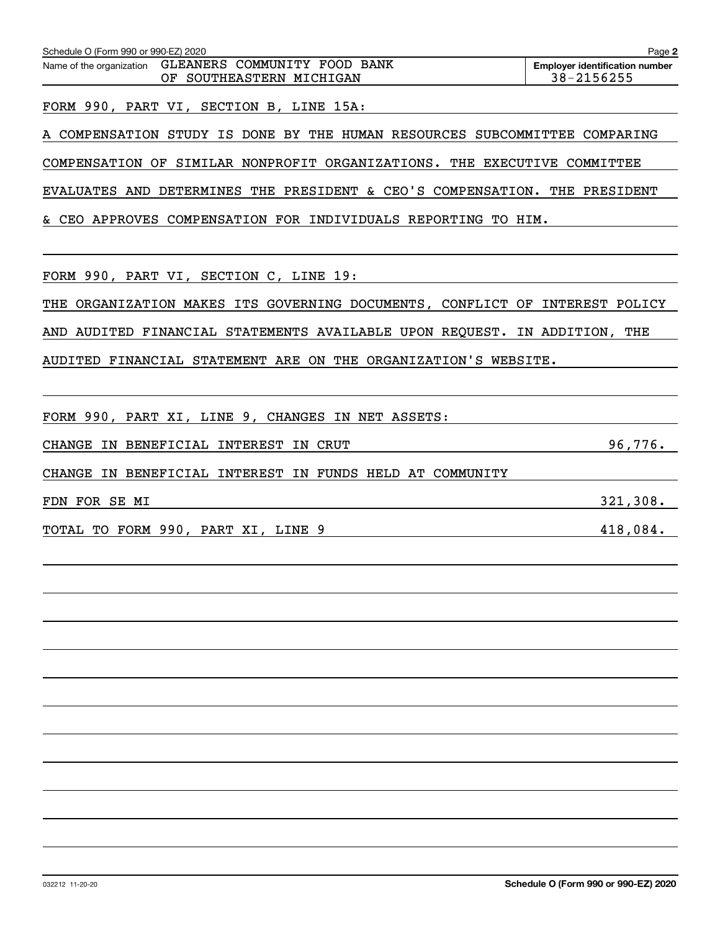| Schedule O (Form 990 or 990-EZ) 2020                                              | Page 2                                                                   |  |  |  |  |  |  |
|-----------------------------------------------------------------------------------|--------------------------------------------------------------------------|--|--|--|--|--|--|
| Name of the organization GLEANERS COMMUNITY FOOD BANK<br>OF SOUTHEASTERN MICHIGAN | <b>Employer identification number</b><br>38-2156255                      |  |  |  |  |  |  |
| FORM 990, PART VI, SECTION B, LINE 15A:                                           |                                                                          |  |  |  |  |  |  |
| A COMPENSATION STUDY IS DONE BY THE HUMAN RESOURCES SUBCOMMITTEE COMPARING        |                                                                          |  |  |  |  |  |  |
|                                                                                   | COMPENSATION OF SIMILAR NONPROFIT ORGANIZATIONS. THE EXECUTIVE COMMITTEE |  |  |  |  |  |  |
| EVALUATES AND DETERMINES THE PRESIDENT & CEO'S COMPENSATION. THE PRESIDENT        |                                                                          |  |  |  |  |  |  |
| & CEO APPROVES COMPENSATION FOR INDIVIDUALS REPORTING TO HIM.                     |                                                                          |  |  |  |  |  |  |
|                                                                                   |                                                                          |  |  |  |  |  |  |
| FORM 990, PART VI, SECTION C, LINE 19:                                            |                                                                          |  |  |  |  |  |  |
| THE ORGANIZATION MAKES ITS GOVERNING DOCUMENTS, CONFLICT OF INTEREST POLICY       |                                                                          |  |  |  |  |  |  |
| AND AUDITED FINANCIAL STATEMENTS AVAILABLE UPON REQUEST. IN ADDITION, THE         |                                                                          |  |  |  |  |  |  |
| AUDITED FINANCIAL STATEMENT ARE ON THE ORGANIZATION'S WEBSITE.                    |                                                                          |  |  |  |  |  |  |
|                                                                                   |                                                                          |  |  |  |  |  |  |
| FORM 990, PART XI, LINE 9, CHANGES IN NET ASSETS:                                 |                                                                          |  |  |  |  |  |  |
| CHANGE IN BENEFICIAL INTEREST IN CRUT                                             | 96,776.                                                                  |  |  |  |  |  |  |
| CHANGE IN BENEFICIAL INTEREST IN FUNDS HELD AT COMMUNITY                          |                                                                          |  |  |  |  |  |  |
| FDN FOR SE MI                                                                     | 321,308.                                                                 |  |  |  |  |  |  |
| TOTAL TO FORM 990, PART XI, LINE 9                                                | 418,084.                                                                 |  |  |  |  |  |  |
|                                                                                   |                                                                          |  |  |  |  |  |  |
|                                                                                   |                                                                          |  |  |  |  |  |  |
|                                                                                   |                                                                          |  |  |  |  |  |  |
|                                                                                   |                                                                          |  |  |  |  |  |  |
|                                                                                   |                                                                          |  |  |  |  |  |  |
|                                                                                   |                                                                          |  |  |  |  |  |  |
|                                                                                   |                                                                          |  |  |  |  |  |  |
|                                                                                   |                                                                          |  |  |  |  |  |  |
|                                                                                   |                                                                          |  |  |  |  |  |  |
|                                                                                   |                                                                          |  |  |  |  |  |  |